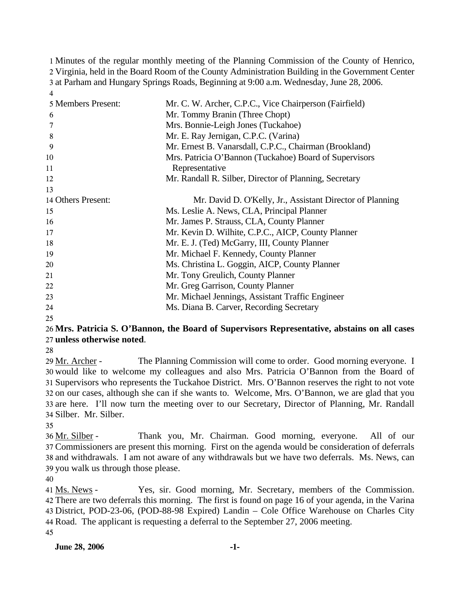Minutes of the regular monthly meeting of the Planning Commission of the County of Henrico, Virginia, held in the Board Room of the County Administration Building in the Government Center at Parham and Hungary Springs Roads, Beginning at 9:00 a.m. Wednesday, June 28, 2006. 4

| 5 Members Present: | Mr. C. W. Archer, C.P.C., Vice Chairperson (Fairfield)    |
|--------------------|-----------------------------------------------------------|
| 6                  | Mr. Tommy Branin (Three Chopt)                            |
|                    | Mrs. Bonnie-Leigh Jones (Tuckahoe)                        |
| 8                  | Mr. E. Ray Jernigan, C.P.C. (Varina)                      |
| 9                  | Mr. Ernest B. Vanarsdall, C.P.C., Chairman (Brookland)    |
| 10                 | Mrs. Patricia O'Bannon (Tuckahoe) Board of Supervisors    |
| 11                 | Representative                                            |
| 12                 | Mr. Randall R. Silber, Director of Planning, Secretary    |
| 13                 |                                                           |
| 14 Others Present: | Mr. David D. O'Kelly, Jr., Assistant Director of Planning |
| 15                 | Ms. Leslie A. News, CLA, Principal Planner                |
| 16                 | Mr. James P. Strauss, CLA, County Planner                 |
| 17                 | Mr. Kevin D. Wilhite, C.P.C., AICP, County Planner        |
| 18                 | Mr. E. J. (Ted) McGarry, III, County Planner              |
| 19                 | Mr. Michael F. Kennedy, County Planner                    |
| 20                 | Ms. Christina L. Goggin, AICP, County Planner             |
| 21                 | Mr. Tony Greulich, County Planner                         |
| 22                 | Mr. Greg Garrison, County Planner                         |
| 23                 | Mr. Michael Jennings, Assistant Traffic Engineer          |
| 24                 | Ms. Diana B. Carver, Recording Secretary                  |
|                    |                                                           |

25

## 26 **Mrs. Patricia S. O'Bannon, the Board of Supervisors Representative, abstains on all cases**  27 **unless otherwise noted**.

28

The Planning Commission will come to order. Good morning everyone. I 30 would like to welcome my colleagues and also Mrs. Patricia O'Bannon from the Board of 31 Supervisors who represents the Tuckahoe District. Mrs. O'Bannon reserves the right to not vote 32 on our cases, although she can if she wants to. Welcome, Mrs. O'Bannon, we are glad that you 33 are here. I'll now turn the meeting over to our Secretary, Director of Planning, Mr. Randall Silber. Mr. Silber. 34 29 Mr. Archer -

35

Thank you, Mr. Chairman. Good morning, everyone. All of our Commissioners are present this morning. First on the agenda would be consideration of deferrals 37 38 and withdrawals. I am not aware of any withdrawals but we have two deferrals. Ms. News, can 39 you walk us through those please. 36 Mr. Silber -

40

Yes, sir. Good morning, Mr. Secretary, members of the Commission. There are two deferrals this morning. The first is found on page 16 of your agenda, in the Varina 42 District, POD-23-06, (POD-88-98 Expired) Landin – Cole Office Warehouse on Charles City 43 44 Road. The applicant is requesting a deferral to the September 27, 2006 meeting. 41 Ms. News -45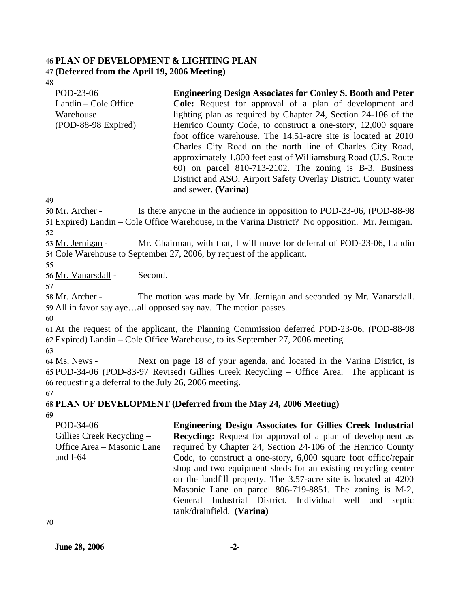#### 46 **PLAN OF DEVELOPMENT & LIGHTING PLAN**  47 **(Deferred from the April 19, 2006 Meeting)**

48

| POD-23-06              | <b>Engineering Design Associates for Conley S. Booth and Peter</b> |
|------------------------|--------------------------------------------------------------------|
| Landin – Cole Office   | <b>Cole:</b> Request for approval of a plan of development and     |
| Warehouse              | lighting plan as required by Chapter 24, Section 24-106 of the     |
| $(POD-88-98)$ Expired) | Henrico County Code, to construct a one-story, 12,000 square       |
|                        | foot office warehouse. The 14.51-acre site is located at 2010      |
|                        | Charles City Road on the north line of Charles City Road,          |
|                        | approximately 1,800 feet east of Williamsburg Road (U.S. Route     |
|                        | $60$ ) on parcel 810-713-2102. The zoning is B-3, Business         |
|                        | District and ASO, Airport Safety Overlay District. County water    |
|                        | and sewer. (Varina)                                                |

49

Is there anyone in the audience in opposition to POD-23-06, (POD-88-98) Expired) Landin – Cole Office Warehouse, in the Varina District? No opposition. Mr. Jernigan. 51 50 Mr. Archer -

52

Mr. Chairman, with that, I will move for deferral of POD-23-06, Landin 54 Cole Warehouse to September 27, 2006, by request of the applicant. 53 Mr. Jernigan -

55

56 Mr. Vanarsdall - Second.

57

The motion was made by Mr. Jernigan and seconded by Mr. Vanarsdall. 59 All in favor say aye...all opposed say nay. The motion passes. 58 Mr. Archer -

60

61 At the request of the applicant, the Planning Commission deferred POD-23-06, (POD-88-98 62 Expired) Landin – Cole Office Warehouse, to its September 27, 2006 meeting.

63

Next on page 18 of your agenda, and located in the Varina District, is POD-34-06 (POD-83-97 Revised) Gillies Creek Recycling – Office Area. The applicant is 65 66 requesting a deferral to the July 26, 2006 meeting. 64 Ms. News -

67

# 68 **PLAN OF DEVELOPMENT (Deferred from the May 24, 2006 Meeting)**

69

POD-34-06 Gillies Creek Recycling – Office Area – Masonic Lane and I-64 **Engineering Design Associates for Gillies Creek Industrial Recycling:** Request for approval of a plan of development as required by Chapter 24, Section 24-106 of the Henrico County Code, to construct a one-story, 6,000 square foot office/repair shop and two equipment sheds for an existing recycling center on the landfill property. The 3.57-acre site is located at 4200 Masonic Lane on parcel 806-719-8851. The zoning is M-2, General Industrial District. Individual well and septic tank/drainfield. **(Varina)**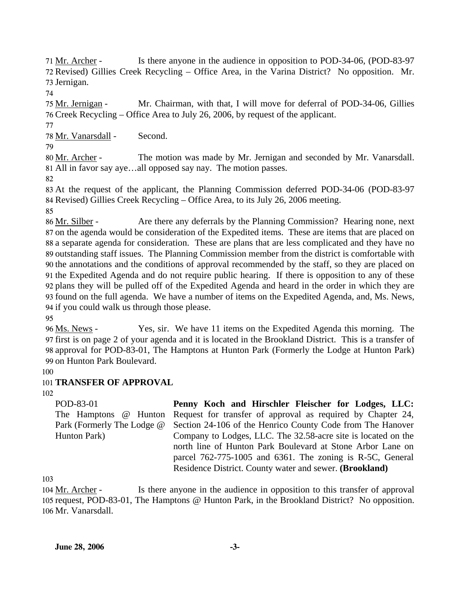Is there anyone in the audience in opposition to POD-34-06, (POD-83-97 72 Revised) Gillies Creek Recycling – Office Area, in the Varina District? No opposition. Mr. 73 Jernigan. 71 Mr. Archer -

74

Mr. Chairman, with that, I will move for deferral of POD-34-06, Gillies Creek Recycling – Office Area to July 26, 2006, by request of the applicant. 76 75 Mr. Jernigan -

78 Mr. Vanarsdall - Second.

79

77

The motion was made by Mr. Jernigan and seconded by Mr. Vanarsdall. All in favor say aye…all opposed say nay. The motion passes. 81 80 Mr. Archer -

82

83 At the request of the applicant, the Planning Commission deferred POD-34-06 (POD-83-97 84 Revised) Gillies Creek Recycling – Office Area, to its July 26, 2006 meeting.

85

Are there any deferrals by the Planning Commission? Hearing none, next 87 on the agenda would be consideration of the Expedited items. These are items that are placed on 88 a separate agenda for consideration. These are plans that are less complicated and they have no 89 outstanding staff issues. The Planning Commission member from the district is comfortable with 90 the annotations and the conditions of approval recommended by the staff, so they are placed on 91 the Expedited Agenda and do not require public hearing. If there is opposition to any of these 92 plans they will be pulled off of the Expedited Agenda and heard in the order in which they are 93 found on the full agenda. We have a number of items on the Expedited Agenda, and, Ms. News, 94 if you could walk us through those please. 86 Mr. Silber -

95

Yes, sir. We have 11 items on the Expedited Agenda this morning. The 97 first is on page 2 of your agenda and it is located in the Brookland District. This is a transfer of 98 approval for POD-83-01, The Hamptons at Hunton Park (Formerly the Lodge at Hunton Park) 99 on Hunton Park Boulevard. 96 Ms. News -

100

## 101 **TRANSFER OF APPROVAL**

102

POD-83-01 The Hamptons @ Hunton Park (Formerly The Lodge @ Hunton Park) **Penny Koch and Hirschler Fleischer for Lodges, LLC:**  Request for transfer of approval as required by Chapter 24, Section 24-106 of the Henrico County Code from The Hanover Company to Lodges, LLC. The 32.58-acre site is located on the north line of Hunton Park Boulevard at Stone Arbor Lane on parcel 762-775-1005 and 6361. The zoning is R-5C, General Residence District. County water and sewer. **(Brookland)** 

103

Is there anyone in the audience in opposition to this transfer of approval 105 request, POD-83-01, The Hamptons @ Hunton Park, in the Brookland District? No opposition. Mr. Vanarsdall. 106 104 Mr. Archer -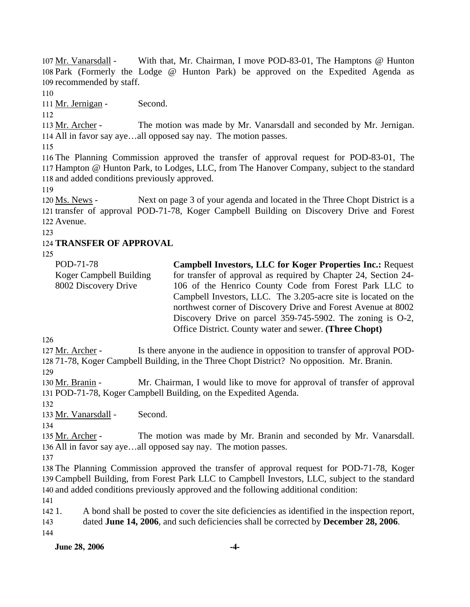With that, Mr. Chairman, I move POD-83-01, The Hamptons @ Hunton 108 Park (Formerly the Lodge @ Hunton Park) be approved on the Expedited Agenda as 109 recommended by staff. 107 Mr. Vanarsdall -

110

111 Mr. Jernigan - Second.

112

The motion was made by Mr. Vanarsdall and seconded by Mr. Jernigan. All in favor say aye…all opposed say nay. The motion passes. 114 113 Mr. Archer -

115

116 The Planning Commission approved the transfer of approval request for POD-83-01, The 117 Hampton @ Hunton Park, to Lodges, LLC, from The Hanover Company, subject to the standard 118 and added conditions previously approved.

119

Next on page 3 of your agenda and located in the Three Chopt District is a 121 transfer of approval POD-71-78, Koger Campbell Building on Discovery Drive and Forest 122 Avenue. 120 Ms. News -

123

### 124 **TRANSFER OF APPROVAL**

125

| POD-71-78               | <b>Campbell Investors, LLC for Koger Properties Inc.: Request</b> |
|-------------------------|-------------------------------------------------------------------|
| Koger Campbell Building | for transfer of approval as required by Chapter 24, Section 24-   |
| 8002 Discovery Drive    | 106 of the Henrico County Code from Forest Park LLC to            |
|                         | Campbell Investors, LLC. The 3.205-acre site is located on the    |
|                         | northwest corner of Discovery Drive and Forest Avenue at 8002     |
|                         | Discovery Drive on parcel $359-745-5902$ . The zoning is O-2,     |
|                         | Office District. County water and sewer. (Three Chopt)            |
|                         |                                                                   |

126

Is there anyone in the audience in opposition to transfer of approval POD-128 71-78, Koger Campbell Building, in the Three Chopt District? No opposition. Mr. Branin. 127 Mr. Archer -

129

Mr. Chairman, I would like to move for approval of transfer of approval POD-71-78, Koger Campbell Building, on the Expedited Agenda. 131 130 Mr. Branin -

132

133 Mr. Vanarsdall - Second.

134

The motion was made by Mr. Branin and seconded by Mr. Vanarsdall. 136 All in favor say aye...all opposed say nay. The motion passes. 135 Mr. Archer -

137

138 The Planning Commission approved the transfer of approval request for POD-71-78, Koger 139 Campbell Building, from Forest Park LLC to Campbell Investors, LLC, subject to the standard 140 and added conditions previously approved and the following additional condition:

141

142 1. 143 144 1. A bond shall be posted to cover the site deficiencies as identified in the inspection report, dated **June 14, 2006**, and such deficiencies shall be corrected by **December 28, 2006**.

**June 28, 2006** -4-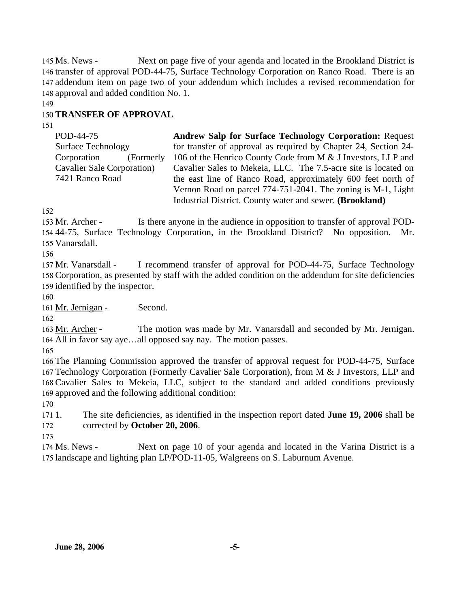Next on page five of your agenda and located in the Brookland District is 146 transfer of approval POD-44-75, Surface Technology Corporation on Ranco Road. There is an 147 addendum item on page two of your addendum which includes a revised recommendation for 148 approval and added condition No. 1. 145 Ms. News -

149

### 150 **TRANSFER OF APPROVAL**

151

POD-44-75 Surface Technology Corporation (Formerly Cavalier Sale Corporation) 7421 Ranco Road **Andrew Salp for Surface Technology Corporation:** Request for transfer of approval as required by Chapter 24, Section 24- 106 of the Henrico County Code from M & J Investors, LLP and Cavalier Sales to Mekeia, LLC. The 7.5-acre site is located on the east line of Ranco Road, approximately 600 feet north of Vernon Road on parcel 774-751-2041. The zoning is M-1, Light Industrial District. County water and sewer. **(Brookland)** 

152

Is there anyone in the audience in opposition to transfer of approval POD-44-75, Surface Technology Corporation, in the Brookland District? No opposition. Mr. 154 Vanarsdall. 155 153 Mr. Archer -

156

I recommend transfer of approval for POD-44-75, Surface Technology 158 Corporation, as presented by staff with the added condition on the addendum for site deficiencies 159 identified by the inspector. 157 Mr. Vanarsdall -

160

161 Mr. Jernigan - Second.

162

The motion was made by Mr. Vanarsdall and seconded by Mr. Jernigan. All in favor say aye…all opposed say nay. The motion passes. 164 163 Mr. Archer -

165

 The Planning Commission approved the transfer of approval request for POD-44-75, Surface Technology Corporation (Formerly Cavalier Sale Corporation), from M & J Investors, LLP and Cavalier Sales to Mekeia, LLC, subject to the standard and added conditions previously approved and the following additional condition:

170

 $1711.$ 172 1. The site deficiencies, as identified in the inspection report dated **June 19, 2006** shall be corrected by **October 20, 2006**.

173

Next on page 10 of your agenda and located in the Varina District is a 175 landscape and lighting plan LP/POD-11-05, Walgreens on S. Laburnum Avenue. 174 Ms. News -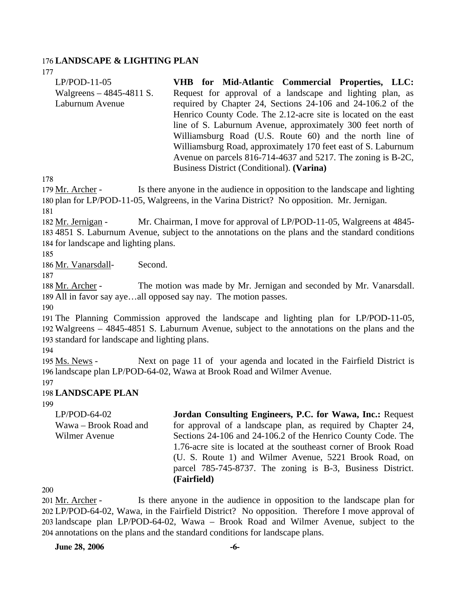#### 176 **LANDSCAPE & LIGHTING PLAN**

177

| $LP/POD-11-05$            | VHB for Mid-Atlantic Commercial Properties, LLC:               |
|---------------------------|----------------------------------------------------------------|
| Walgreens $-4845-4811$ S. | Request for approval of a landscape and lighting plan, as      |
| Laburnum Avenue           | required by Chapter 24, Sections 24-106 and 24-106.2 of the    |
|                           | Henrico County Code. The 2.12-acre site is located on the east |
|                           | line of S. Laburnum Avenue, approximately 300 feet north of    |
|                           | Williamsburg Road (U.S. Route 60) and the north line of        |
|                           | Williamsburg Road, approximately 170 feet east of S. Laburnum  |
|                           | Avenue on parcels 816-714-4637 and 5217. The zoning is B-2C,   |
|                           | Business District (Conditional). (Varina)                      |

178

Is there anyone in the audience in opposition to the landscape and lighting 180 plan for LP/POD-11-05, Walgreens, in the Varina District? No opposition. Mr. Jernigan. 179 Mr. Archer -

181

Mr. Chairman, I move for approval of LP/POD-11-05, Walgreens at 4845-4851 S. Laburnum Avenue, subject to the annotations on the plans and the standard conditions 183 184 for landscape and lighting plans. 182 Mr. Jernigan -

185

186 Mr. Vanarsdall- Second.

187

The motion was made by Mr. Jernigan and seconded by Mr. Vanarsdall. All in favor say aye…all opposed say nay. The motion passes. 189 188 Mr. Archer -

190

191 The Planning Commission approved the landscape and lighting plan for LP/POD-11-05, 192 Walgreens – 4845-4851 S. Laburnum Avenue, subject to the annotations on the plans and the 193 standard for landscape and lighting plans.

194

Next on page 11 of your agenda and located in the Fairfield District is 196 landscape plan LP/POD-64-02, Wawa at Brook Road and Wilmer Avenue. 195 Ms. News -

197

#### 198 **LANDSCAPE PLAN**

199

LP/POD-64-02 Wawa – Brook Road and Wilmer Avenue **Jordan Consulting Engineers, P.C. for Wawa, Inc.:** Request for approval of a landscape plan, as required by Chapter 24, Sections 24-106 and 24-106.2 of the Henrico County Code. The 1.76-acre site is located at the southeast corner of Brook Road (U. S. Route 1) and Wilmer Avenue, 5221 Brook Road, on parcel 785-745-8737. The zoning is B-3, Business District. **(Fairfield)** 

200

Is there anyone in the audience in opposition to the landscape plan for LP/POD-64-02, Wawa, in the Fairfield District? No opposition. Therefore I move approval of 202 203 landscape plan LP/POD-64-02, Wawa – Brook Road and Wilmer Avenue, subject to the annotations on the plans and the standard conditions for landscape plans. 204 201 Mr. Archer -

**June 28, 2006** -6-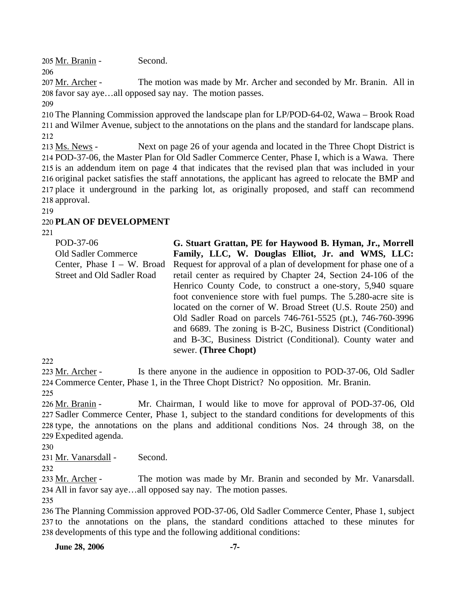205 Mr. Branin - Second.

The motion was made by Mr. Archer and seconded by Mr. Branin. All in 208 favor say aye...all opposed say nay. The motion passes. 207 Mr. Archer -

209

206

210 The Planning Commission approved the landscape plan for LP/POD-64-02, Wawa – Brook Road 211 and Wilmer Avenue, subject to the annotations on the plans and the standard for landscape plans. 212

Next on page 26 of your agenda and located in the Three Chopt District is 214 POD-37-06, the Master Plan for Old Sadler Commerce Center, Phase I, which is a Wawa. There 215 is an addendum item on page 4 that indicates that the revised plan that was included in your 216 original packet satisfies the staff annotations, the applicant has agreed to relocate the BMP and 217 place it underground in the parking lot, as originally proposed, and staff can recommend 218 approval. 213 Ms. News -

219

### 220 **PLAN OF DEVELOPMENT**

 $221$ 

| POD-37-06                     | G. Stuart Grattan, PE for Haywood B. Hyman, Jr., Morrell         |
|-------------------------------|------------------------------------------------------------------|
| <b>Old Sadler Commerce</b>    | Family, LLC, W. Douglas Elliot, Jr. and WMS, LLC:                |
| Center, Phase $I - W$ . Broad | Request for approval of a plan of development for phase one of a |
| Street and Old Sadler Road    | retail center as required by Chapter 24, Section 24-106 of the   |
|                               | Henrico County Code, to construct a one-story, 5,940 square      |
|                               | foot convenience store with fuel pumps. The 5.280-acre site is   |
|                               | located on the corner of W. Broad Street (U.S. Route 250) and    |
|                               | Old Sadler Road on parcels 746-761-5525 (pt.), 746-760-3996      |
|                               | and 6689. The zoning is B-2C, Business District (Conditional)    |
|                               | and B-3C, Business District (Conditional). County water and      |
|                               | sewer. (Three Chopt)                                             |
|                               |                                                                  |

222

Is there anyone in the audience in opposition to POD-37-06, Old Sadler 224 Commerce Center, Phase 1, in the Three Chopt District? No opposition. Mr. Branin. 223 Mr. Archer -225

Mr. Chairman, I would like to move for approval of POD-37-06, Old 227 Sadler Commerce Center, Phase 1, subject to the standard conditions for developments of this 228 type, the annotations on the plans and additional conditions Nos. 24 through 38, on the 229 Expedited agenda. 226 Mr. Branin -

230

231 Mr. Vanarsdall - Second.

232

The motion was made by Mr. Branin and seconded by Mr. Vanarsdall. All in favor say aye…all opposed say nay. The motion passes. 234 233 Mr. Archer -

235

236 The Planning Commission approved POD-37-06, Old Sadler Commerce Center, Phase 1, subject 237 to the annotations on the plans, the standard conditions attached to these minutes for 238 developments of this type and the following additional conditions:

**June 28, 2006** -7-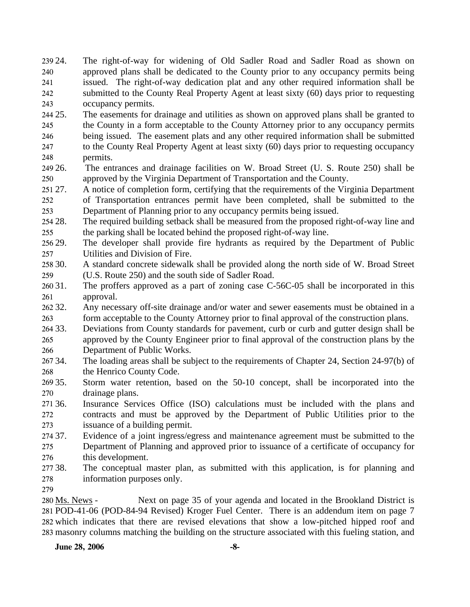239 24. 240 241 242 243 24. The right-of-way for widening of Old Sadler Road and Sadler Road as shown on approved plans shall be dedicated to the County prior to any occupancy permits being issued. The right-of-way dedication plat and any other required information shall be submitted to the County Real Property Agent at least sixty (60) days prior to requesting occupancy permits.

244 25. 245 246 247 248 25. The easements for drainage and utilities as shown on approved plans shall be granted to the County in a form acceptable to the County Attorney prior to any occupancy permits being issued. The easement plats and any other required information shall be submitted to the County Real Property Agent at least sixty (60) days prior to requesting occupancy permits.

- 249 26. 250 26. The entrances and drainage facilities on W. Broad Street (U. S. Route 250) shall be approved by the Virginia Department of Transportation and the County.
- 251 27. 252 253 A notice of completion form, certifying that the requirements of the Virginia Department of Transportation entrances permit have been completed, shall be submitted to the Department of Planning prior to any occupancy permits being issued.
- 254 28. 255 The required building setback shall be measured from the proposed right-of-way line and the parking shall be located behind the proposed right-of-way line.
- 256 29. 257 The developer shall provide fire hydrants as required by the Department of Public Utilities and Division of Fire.
- 258 30. 259 30. A standard concrete sidewalk shall be provided along the north side of W. Broad Street (U.S. Route 250) and the south side of Sadler Road.
- $26031.$ 261 The proffers approved as a part of zoning case C-56C-05 shall be incorporated in this approval.
- 262 32. 263 Any necessary off-site drainage and/or water and sewer easements must be obtained in a form acceptable to the County Attorney prior to final approval of the construction plans.
- 264 33. 265 266 33. Deviations from County standards for pavement, curb or curb and gutter design shall be approved by the County Engineer prior to final approval of the construction plans by the Department of Public Works.
- 267 34. 268 The loading areas shall be subject to the requirements of Chapter 24, Section 24-97(b) of the Henrico County Code.
- 269 35. 270 35. Storm water retention, based on the 50-10 concept, shall be incorporated into the drainage plans.
- 271 36. 272 273 Insurance Services Office (ISO) calculations must be included with the plans and contracts and must be approved by the Department of Public Utilities prior to the issuance of a building permit.
- 274 37. 275 276 Evidence of a joint ingress/egress and maintenance agreement must be submitted to the Department of Planning and approved prior to issuance of a certificate of occupancy for this development.
- 277 38. 278 The conceptual master plan, as submitted with this application, is for planning and information purposes only.
- 279

Next on page 35 of your agenda and located in the Brookland District is POD-41-06 (POD-84-94 Revised) Kroger Fuel Center. There is an addendum item on page 7 281 282 which indicates that there are revised elevations that show a low-pitched hipped roof and 283 masonry columns matching the building on the structure associated with this fueling station, and 280 Ms. News -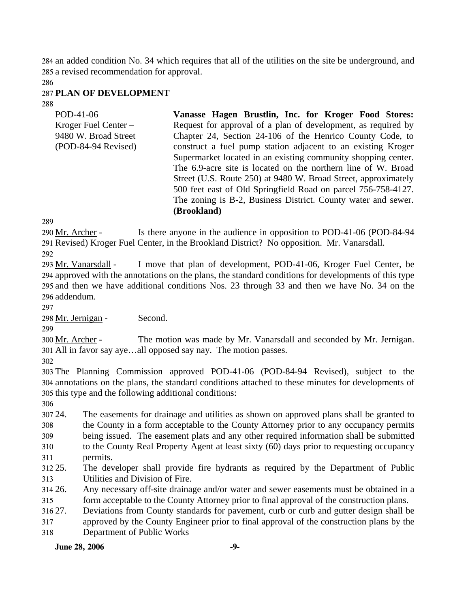284 an added condition No. 34 which requires that all of the utilities on the site be underground, and 285 a revised recommendation for approval.

286

### 287 **PLAN OF DEVELOPMENT**

288

| POD-41-06<br>Kroger Fuel Center $-$<br>9480 W. Broad Street<br>$(POD-84-94$ Revised) | Vanasse Hagen Brustlin, Inc. for Kroger Food Stores:<br>Request for approval of a plan of development, as required by<br>Chapter 24, Section 24-106 of the Henrico County Code, to<br>construct a fuel pump station adjacent to an existing Kroger<br>Supermarket located in an existing community shopping center.<br>The 6.9-acre site is located on the northern line of W. Broad<br>Street (U.S. Route 250) at 9480 W. Broad Street, approximately<br>500 feet east of Old Springfield Road on parcel 756-758-4127. |
|--------------------------------------------------------------------------------------|-------------------------------------------------------------------------------------------------------------------------------------------------------------------------------------------------------------------------------------------------------------------------------------------------------------------------------------------------------------------------------------------------------------------------------------------------------------------------------------------------------------------------|
|                                                                                      | The zoning is B-2, Business District. County water and sewer.<br>(Brookland)                                                                                                                                                                                                                                                                                                                                                                                                                                            |

289

Is there anyone in the audience in opposition to POD-41-06 (POD-84-94) Revised) Kroger Fuel Center, in the Brookland District? No opposition. Mr. Vanarsdall. 291 290 Mr. Archer -

292

I move that plan of development, POD-41-06, Kroger Fuel Center, be approved with the annotations on the plans, the standard conditions for developments of this type 294 295 and then we have additional conditions Nos. 23 through 33 and then we have No. 34 on the addendum. 296 293 Mr. Vanarsdall -

297

298 Mr. Jernigan - Second.

299

The motion was made by Mr. Vanarsdall and seconded by Mr. Jernigan. All in favor say aye…all opposed say nay. The motion passes. 301 300 Mr. Archer -

302

303 The Planning Commission approved POD-41-06 (POD-84-94 Revised), subject to the 304 annotations on the plans, the standard conditions attached to these minutes for developments of 305 this type and the following additional conditions:

306

307 24. 308 309 310 311 24. The easements for drainage and utilities as shown on approved plans shall be granted to the County in a form acceptable to the County Attorney prior to any occupancy permits being issued. The easement plats and any other required information shall be submitted to the County Real Property Agent at least sixty (60) days prior to requesting occupancy permits.

312 25. 313 The developer shall provide fire hydrants as required by the Department of Public Utilities and Division of Fire.

314 26. 315 Any necessary off-site drainage and/or water and sewer easements must be obtained in a form acceptable to the County Attorney prior to final approval of the construction plans.

316 27. 27. Deviations from County standards for pavement, curb or curb and gutter design shall be

317 approved by the County Engineer prior to final approval of the construction plans by the

318 Department of Public Works

### **June 28, 2006** -9-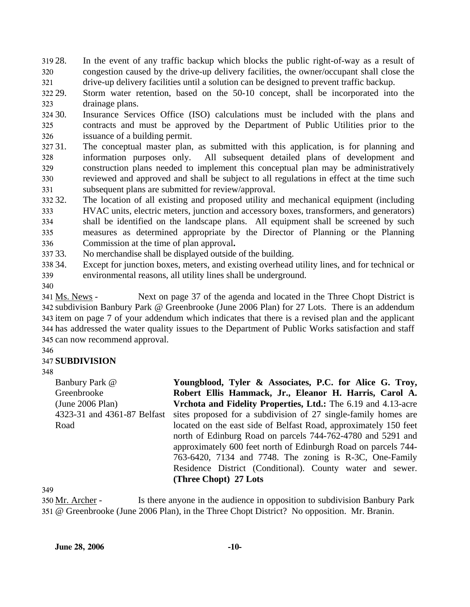319 28. 320 321 In the event of any traffic backup which blocks the public right-of-way as a result of congestion caused by the drive-up delivery facilities, the owner/occupant shall close the drive-up delivery facilities until a solution can be designed to prevent traffic backup.

322 29. 323 Storm water retention, based on the 50-10 concept, shall be incorporated into the drainage plans.

30. 325 326 Insurance Services Office (ISO) calculations must be included with the plans and contracts and must be approved by the Department of Public Utilities prior to the issuance of a building permit.

327 31. 328 329 330 331 The conceptual master plan, as submitted with this application, is for planning and information purposes only. All subsequent detailed plans of development and construction plans needed to implement this conceptual plan may be administratively reviewed and approved and shall be subject to all regulations in effect at the time such subsequent plans are submitted for review/approval.

332.32 333 334 335 336 32. The location of all existing and proposed utility and mechanical equipment (including HVAC units, electric meters, junction and accessory boxes, transformers, and generators) shall be identified on the landscape plans. All equipment shall be screened by such measures as determined appropriate by the Director of Planning or the Planning Commission at the time of plan approval**.** 

33. No merchandise shall be displayed outside of the building.

338 34. 339 Except for junction boxes, meters, and existing overhead utility lines, and for technical or environmental reasons, all utility lines shall be underground.

340

Next on page 37 of the agenda and located in the Three Chopt District is subdivision Banbury Park @ Greenbrooke (June 2006 Plan) for 27 Lots. There is an addendum 342 343 item on page 7 of your addendum which indicates that there is a revised plan and the applicant 344 has addressed the water quality issues to the Department of Public Works satisfaction and staff 345 can now recommend approval. 341 Ms. News -

346

## 347 **SUBDIVISION**

348

Banbury Park @ Greenbrooke (June 2006 Plan) 4323-31 and 4361-87 Belfast Road

**Youngblood, Tyler & Associates, P.C. for Alice G. Troy, Robert Ellis Hammack, Jr., Eleanor H. Harris, Carol A. Vrchota and Fidelity Properties, Ltd.:** The 6.19 and 4.13-acre sites proposed for a subdivision of 27 single-family homes are located on the east side of Belfast Road, approximately 150 feet north of Edinburg Road on parcels 744-762-4780 and 5291 and approximately 600 feet north of Edinburgh Road on parcels 744- 763-6420, 7134 and 7748. The zoning is R-3C, One-Family Residence District (Conditional). County water and sewer. **(Three Chopt) 27 Lots**

349

Is there anyone in the audience in opposition to subdivision Banbury Park @ Greenbrooke (June 2006 Plan), in the Three Chopt District? No opposition. Mr. Branin. 351 350 Mr. Archer -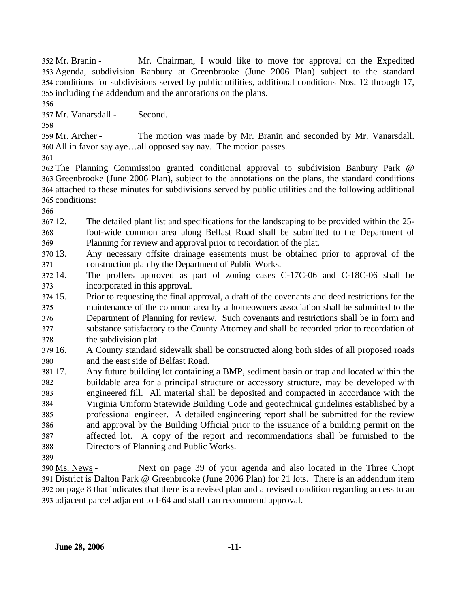Mr. Chairman, I would like to move for approval on the Expedited Agenda, subdivision Banbury at Greenbrooke (June 2006 Plan) subject to the standard 353 354 conditions for subdivisions served by public utilities, additional conditions Nos. 12 through 17, 355 including the addendum and the annotations on the plans. 352 Mr. Branin -

356

357 Mr. Vanarsdall - Second.

358

The motion was made by Mr. Branin and seconded by Mr. Vanarsdall. All in favor say aye…all opposed say nay. The motion passes. 360 359 Mr. Archer -

361

 The Planning Commission granted conditional approval to subdivision Banbury Park @ Greenbrooke (June 2006 Plan), subject to the annotations on the plans, the standard conditions attached to these minutes for subdivisions served by public utilities and the following additional conditions:

366

367 12. 368 369 12. The detailed plant list and specifications for the landscaping to be provided within the 25 foot-wide common area along Belfast Road shall be submitted to the Department of Planning for review and approval prior to recordation of the plat.

370 13. 371 Any necessary offsite drainage easements must be obtained prior to approval of the construction plan by the Department of Public Works.

372 14. 373 The proffers approved as part of zoning cases C-17C-06 and C-18C-06 shall be incorporated in this approval.

374 15. 375 376 377 378 15. Prior to requesting the final approval, a draft of the covenants and deed restrictions for the maintenance of the common area by a homeowners association shall be submitted to the Department of Planning for review. Such covenants and restrictions shall be in form and substance satisfactory to the County Attorney and shall be recorded prior to recordation of the subdivision plat.

379 16. 380 16. A County standard sidewalk shall be constructed along both sides of all proposed roads and the east side of Belfast Road.

381 17. 382 383 384 385 386 387 388 Any future building lot containing a BMP, sediment basin or trap and located within the buildable area for a principal structure or accessory structure, may be developed with engineered fill. All material shall be deposited and compacted in accordance with the Virginia Uniform Statewide Building Code and geotechnical guidelines established by a professional engineer. A detailed engineering report shall be submitted for the review and approval by the Building Official prior to the issuance of a building permit on the affected lot. A copy of the report and recommendations shall be furnished to the Directors of Planning and Public Works.

389

Next on page 39 of your agenda and also located in the Three Chopt District is Dalton Park @ Greenbrooke (June 2006 Plan) for 21 lots. There is an addendum item 391 392 on page 8 that indicates that there is a revised plan and a revised condition regarding access to an 393 adjacent parcel adjacent to I-64 and staff can recommend approval. 390 Ms. News -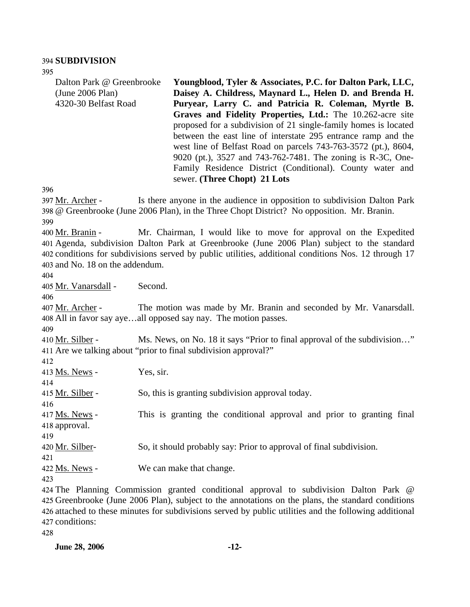#### 394 **SUBDIVISION**

395

| Dalton Park @ Greenbrooke<br>(June 2006 Plan)<br>4320-30 Belfast Road | Youngblood, Tyler & Associates, P.C. for Dalton Park, LLC,<br>Daisey A. Childress, Maynard L., Helen D. and Brenda H.<br>Puryear, Larry C. and Patricia R. Coleman, Myrtle B.<br>Graves and Fidelity Properties, Ltd.: The 10.262-acre site<br>proposed for a subdivision of 21 single-family homes is located<br>between the east line of interstate 295 entrance ramp and the<br>west line of Belfast Road on parcels 743-763-3572 (pt.), 8604,<br>9020 (pt.), 3527 and 743-762-7481. The zoning is R-3C, One-<br>Family Residence District (Conditional). County water and<br>sewer. (Three Chopt) 21 Lots |
|-----------------------------------------------------------------------|---------------------------------------------------------------------------------------------------------------------------------------------------------------------------------------------------------------------------------------------------------------------------------------------------------------------------------------------------------------------------------------------------------------------------------------------------------------------------------------------------------------------------------------------------------------------------------------------------------------|
| 396                                                                   |                                                                                                                                                                                                                                                                                                                                                                                                                                                                                                                                                                                                               |
| 397 Mr. Archer -                                                      | Is there anyone in the audience in opposition to subdivision Dalton Park<br>398 @ Greenbrooke (June 2006 Plan), in the Three Chopt District? No opposition. Mr. Branin.                                                                                                                                                                                                                                                                                                                                                                                                                                       |
| 399                                                                   |                                                                                                                                                                                                                                                                                                                                                                                                                                                                                                                                                                                                               |
| 400 Mr. Branin -                                                      | Mr. Chairman, I would like to move for approval on the Expedited                                                                                                                                                                                                                                                                                                                                                                                                                                                                                                                                              |
|                                                                       | 401 Agenda, subdivision Dalton Park at Greenbrooke (June 2006 Plan) subject to the standard                                                                                                                                                                                                                                                                                                                                                                                                                                                                                                                   |
|                                                                       | 402 conditions for subdivisions served by public utilities, additional conditions Nos. 12 through 17                                                                                                                                                                                                                                                                                                                                                                                                                                                                                                          |
| 403 and No. 18 on the addendum.                                       |                                                                                                                                                                                                                                                                                                                                                                                                                                                                                                                                                                                                               |
| 404                                                                   |                                                                                                                                                                                                                                                                                                                                                                                                                                                                                                                                                                                                               |
| 405 Mr. Vanarsdall -<br>406                                           | Second.                                                                                                                                                                                                                                                                                                                                                                                                                                                                                                                                                                                                       |
|                                                                       |                                                                                                                                                                                                                                                                                                                                                                                                                                                                                                                                                                                                               |
| 407 Mr. Archer -                                                      | The motion was made by Mr. Branin and seconded by Mr. Vanarsdall.                                                                                                                                                                                                                                                                                                                                                                                                                                                                                                                                             |
|                                                                       | 408 All in favor say ayeall opposed say nay. The motion passes.                                                                                                                                                                                                                                                                                                                                                                                                                                                                                                                                               |
| 409                                                                   |                                                                                                                                                                                                                                                                                                                                                                                                                                                                                                                                                                                                               |
| 410 Mr. Silber -                                                      | Ms. News, on No. 18 it says "Prior to final approval of the subdivision"                                                                                                                                                                                                                                                                                                                                                                                                                                                                                                                                      |
|                                                                       | 411 Are we talking about "prior to final subdivision approval?"                                                                                                                                                                                                                                                                                                                                                                                                                                                                                                                                               |
| 412                                                                   |                                                                                                                                                                                                                                                                                                                                                                                                                                                                                                                                                                                                               |
| 413 Ms. News -                                                        | Yes, sir.                                                                                                                                                                                                                                                                                                                                                                                                                                                                                                                                                                                                     |
| 414                                                                   |                                                                                                                                                                                                                                                                                                                                                                                                                                                                                                                                                                                                               |
| 415 Mr. Silber -                                                      | So, this is granting subdivision approval today.                                                                                                                                                                                                                                                                                                                                                                                                                                                                                                                                                              |
| 416                                                                   |                                                                                                                                                                                                                                                                                                                                                                                                                                                                                                                                                                                                               |
| $417$ Ms. News -                                                      | This is granting the conditional approval and prior to granting final                                                                                                                                                                                                                                                                                                                                                                                                                                                                                                                                         |
| 418 approval.                                                         |                                                                                                                                                                                                                                                                                                                                                                                                                                                                                                                                                                                                               |
| 419                                                                   |                                                                                                                                                                                                                                                                                                                                                                                                                                                                                                                                                                                                               |
| 420 Mr. Silber-                                                       | So, it should probably say: Prior to approval of final subdivision.                                                                                                                                                                                                                                                                                                                                                                                                                                                                                                                                           |
| 421                                                                   |                                                                                                                                                                                                                                                                                                                                                                                                                                                                                                                                                                                                               |
|                                                                       |                                                                                                                                                                                                                                                                                                                                                                                                                                                                                                                                                                                                               |
| 422 Ms. News -                                                        | We can make that change.                                                                                                                                                                                                                                                                                                                                                                                                                                                                                                                                                                                      |
| 423                                                                   |                                                                                                                                                                                                                                                                                                                                                                                                                                                                                                                                                                                                               |

 The Planning Commission granted conditional approval to subdivision Dalton Park @ Greenbrooke (June 2006 Plan), subject to the annotations on the plans, the standard conditions attached to these minutes for subdivisions served by public utilities and the following additional conditions: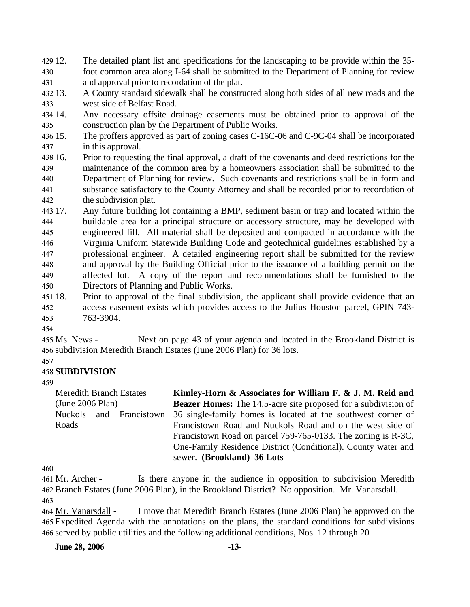- 429 12. 430 431 The detailed plant list and specifications for the landscaping to be provide within the 35foot common area along I-64 shall be submitted to the Department of Planning for review and approval prior to recordation of the plat.
- 432 13. 433 13. A County standard sidewalk shall be constructed along both sides of all new roads and the west side of Belfast Road.
- 434 14. 435 Any necessary offsite drainage easements must be obtained prior to approval of the construction plan by the Department of Public Works.
- 436 15. 437 The proffers approved as part of zoning cases C-16C-06 and C-9C-04 shall be incorporated in this approval.
- 438 16. 439 440 441 442 16. Prior to requesting the final approval, a draft of the covenants and deed restrictions for the maintenance of the common area by a homeowners association shall be submitted to the Department of Planning for review. Such covenants and restrictions shall be in form and substance satisfactory to the County Attorney and shall be recorded prior to recordation of the subdivision plat.
- 443 17. 444 445 446 447 448 449 450 Any future building lot containing a BMP, sediment basin or trap and located within the buildable area for a principal structure or accessory structure, may be developed with engineered fill. All material shall be deposited and compacted in accordance with the Virginia Uniform Statewide Building Code and geotechnical guidelines established by a professional engineer. A detailed engineering report shall be submitted for the review and approval by the Building Official prior to the issuance of a building permit on the affected lot. A copy of the report and recommendations shall be furnished to the Directors of Planning and Public Works.
- 451 18. 452 453 18. Prior to approval of the final subdivision, the applicant shall provide evidence that an access easement exists which provides access to the Julius Houston parcel, GPIN 743- 763-3904.
- 454

Next on page 43 of your agenda and located in the Brookland District is 456 subdivision Meredith Branch Estates (June 2006 Plan) for 36 lots. 455 Ms. News -

457

## 458 **SUBDIVISION**

459

Meredith Branch Estates (June 2006 Plan) Nuckols and Francistown Roads **Kimley-Horn & Associates for William F. & J. M. Reid and Beazer Homes:** The 14.5-acre site proposed for a subdivision of 36 single-family homes is located at the southwest corner of Francistown Road and Nuckols Road and on the west side of Francistown Road on parcel 759-765-0133. The zoning is R-3C, One-Family Residence District (Conditional). County water and sewer. **(Brookland) 36 Lots** 

460

Is there anyone in the audience in opposition to subdivision Meredith 462 Branch Estates (June 2006 Plan), in the Brookland District? No opposition. Mr. Vanarsdall. 461 Mr. Archer -463

I move that Meredith Branch Estates (June 2006 Plan) be approved on the Expedited Agenda with the annotations on the plans, the standard conditions for subdivisions 465 466 served by public utilities and the following additional conditions, Nos. 12 through 20 464 Mr. Vanarsdall -

**June 28, 2006 -13-**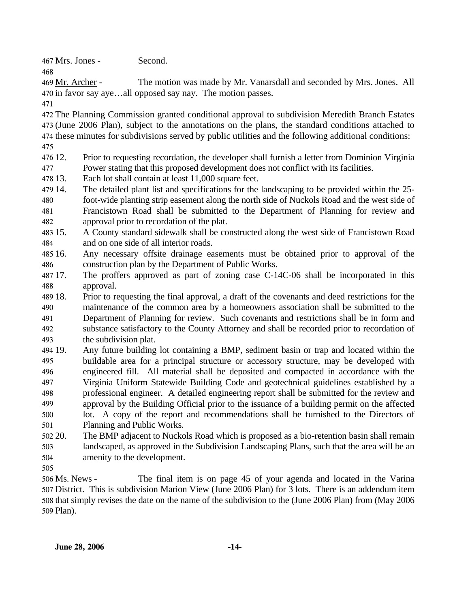467 Mrs. Jones - Second.

The motion was made by Mr. Vanarsdall and seconded by Mrs. Jones. All 470 in favor say aye...all opposed say nay. The motion passes. 469 Mr. Archer -

471

468

472 The Planning Commission granted conditional approval to subdivision Meredith Branch Estates 473 (June 2006 Plan), subject to the annotations on the plans, the standard conditions attached to 474 these minutes for subdivisions served by public utilities and the following additional conditions:

- 475
- 476 12. 477 12. Prior to requesting recordation, the developer shall furnish a letter from Dominion Virginia Power stating that this proposed development does not conflict with its facilities.
- 478 13. Each lot shall contain at least 11,000 square feet.
- 479 14. The detailed plant list and specifications for the landscaping to be provided within the 25-
- 480 481 482 foot-wide planting strip easement along the north side of Nuckols Road and the west side of Francistown Road shall be submitted to the Department of Planning for review and approval prior to recordation of the plat.
- 483 15. 484 15. A County standard sidewalk shall be constructed along the west side of Francistown Road and on one side of all interior roads.
- 485 16. 486 16. Any necessary offsite drainage easements must be obtained prior to approval of the construction plan by the Department of Public Works.
- 487 17. 488 The proffers approved as part of zoning case C-14C-06 shall be incorporated in this approval.
- 489 18. 490 491 492 493 18. Prior to requesting the final approval, a draft of the covenants and deed restrictions for the maintenance of the common area by a homeowners association shall be submitted to the Department of Planning for review. Such covenants and restrictions shall be in form and substance satisfactory to the County Attorney and shall be recorded prior to recordation of the subdivision plat.
- 494 19. 495 496 497 498 499 500 501 19. Any future building lot containing a BMP, sediment basin or trap and located within the buildable area for a principal structure or accessory structure, may be developed with engineered fill. All material shall be deposited and compacted in accordance with the Virginia Uniform Statewide Building Code and geotechnical guidelines established by a professional engineer. A detailed engineering report shall be submitted for the review and approval by the Building Official prior to the issuance of a building permit on the affected lot. A copy of the report and recommendations shall be furnished to the Directors of Planning and Public Works.
- 502.20 503 The BMP adjacent to Nuckols Road which is proposed as a bio-retention basin shall remain landscaped, as approved in the Subdivision Landscaping Plans, such that the area will be an
- 504 amenity to the development.
- 505

The final item is on page 45 of your agenda and located in the Varina 507 District. This is subdivision Marion View (June 2006 Plan) for 3 lots. There is an addendum item 508 that simply revises the date on the name of the subdivision to the (June 2006 Plan) from (May 2006 509 Plan). 506 Ms. News -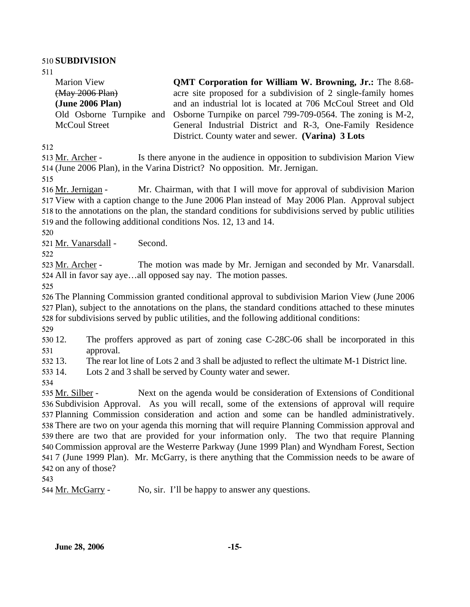#### 510 **SUBDIVISION**

511

Marion View (May 2006 Plan) **(June 2006 Plan)**  Old Osborne Turnpike and McCoul Street **OMT Corporation for William W. Browning, Jr.:** The 8.68acre site proposed for a subdivision of 2 single-family homes and an industrial lot is located at 706 McCoul Street and Old Osborne Turnpike on parcel 799-709-0564. The zoning is M-2, General Industrial District and R-3, One-Family Residence District. County water and sewer. **(Varina) 3 Lots** 

512

Is there anyone in the audience in opposition to subdivision Marion View 514 (June 2006 Plan), in the Varina District? No opposition. Mr. Jernigan. 513 Mr. Archer -

515

Mr. Chairman, with that I will move for approval of subdivision Marion 517 View with a caption change to the June 2006 Plan instead of May 2006 Plan. Approval subject 518 to the annotations on the plan, the standard conditions for subdivisions served by public utilities 519 and the following additional conditions Nos. 12, 13 and 14. 516 Mr. Jernigan -

520

521 Mr. Vanarsdall - Second.

522

The motion was made by Mr. Jernigan and seconded by Mr. Vanarsdall. All in favor say aye…all opposed say nay. The motion passes. 524 523 Mr. Archer -

525

526 The Planning Commission granted conditional approval to subdivision Marion View (June 2006 527 Plan), subject to the annotations on the plans, the standard conditions attached to these minutes 528 for subdivisions served by public utilities, and the following additional conditions:

529

530 12. 531 The proffers approved as part of zoning case C-28C-06 shall be incorporated in this approval.

532.13 13. The rear lot line of Lots 2 and 3 shall be adjusted to reflect the ultimate M-1 District line.

533 14. Lots 2 and 3 shall be served by County water and sewer.

534

Next on the agenda would be consideration of Extensions of Conditional 536 Subdivision Approval. As you will recall, some of the extensions of approval will require 537 Planning Commission consideration and action and some can be handled administratively. 538 There are two on your agenda this morning that will require Planning Commission approval and 539 there are two that are provided for your information only. The two that require Planning 540 Commission approval are the Westerre Parkway (June 1999 Plan) and Wyndham Forest, Section 541 7 (June 1999 Plan). Mr. McGarry, is there anything that the Commission needs to be aware of 542 on any of those? 535 Mr. Silber -

543

544 Mr. McGarry - No, sir. I'll be happy to answer any questions.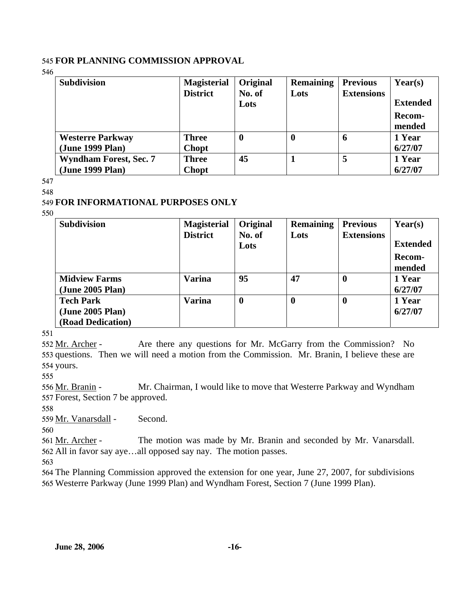#### 545 **FOR PLANNING COMMISSION APPROVAL**

546

| <b>Subdivision</b>            | <b>Magisterial</b> | Original         | <b>Remaining</b> | <b>Previous</b>   | Year(s)         |
|-------------------------------|--------------------|------------------|------------------|-------------------|-----------------|
|                               | <b>District</b>    | No. of           | Lots             | <b>Extensions</b> |                 |
|                               |                    | Lots             |                  |                   | <b>Extended</b> |
|                               |                    |                  |                  |                   | <b>Recom-</b>   |
|                               |                    |                  |                  |                   | mended          |
| <b>Westerre Parkway</b>       | <b>Three</b>       | $\boldsymbol{0}$ | 0                | 6                 | 1 Year          |
| (June 1999 Plan)              | <b>Chopt</b>       |                  |                  |                   | 6/27/07         |
| <b>Wyndham Forest, Sec. 7</b> | <b>Three</b>       | 45               |                  | 5                 | 1 Year          |
| (June 1999 Plan)              | <b>Chopt</b>       |                  |                  |                   | 6/27/07         |

547

### 548

## 549 **FOR INFORMATIONAL PURPOSES ONLY**

550

| <b>Subdivision</b>   | <b>Magisterial</b> | <b>Original</b>  | <b>Remaining</b> | <b>Previous</b>   | Year(s)         |
|----------------------|--------------------|------------------|------------------|-------------------|-----------------|
|                      | <b>District</b>    | No. of           | Lots             | <b>Extensions</b> |                 |
|                      |                    | Lots             |                  |                   | <b>Extended</b> |
|                      |                    |                  |                  |                   | Recom-          |
|                      |                    |                  |                  |                   | mended          |
| <b>Midview Farms</b> | <b>Varina</b>      | 95               | 47               | $\bf{0}$          | 1 Year          |
| (June 2005 Plan)     |                    |                  |                  |                   | 6/27/07         |
| <b>Tech Park</b>     | Varina             | $\boldsymbol{0}$ | $\boldsymbol{0}$ | $\bf{0}$          | 1 Year          |
| (June 2005 Plan)     |                    |                  |                  |                   | 6/27/07         |
| (Road Dedication)    |                    |                  |                  |                   |                 |

551

Are there any questions for Mr. McGarry from the Commission? No 553 questions. Then we will need a motion from the Commission. Mr. Branin, I believe these are 554 yours. 552 Mr. Archer -

555

Mr. Chairman, I would like to move that Westerre Parkway and Wyndham 557 Forest, Section 7 be approved. 556 Mr. Branin -

558

559 Mr. Vanarsdall - Second.

560

The motion was made by Mr. Branin and seconded by Mr. Vanarsdall. All in favor say aye…all opposed say nay. The motion passes. 562 561 Mr. Archer -

563

564 The Planning Commission approved the extension for one year, June 27, 2007, for subdivisions 565 Westerre Parkway (June 1999 Plan) and Wyndham Forest, Section 7 (June 1999 Plan).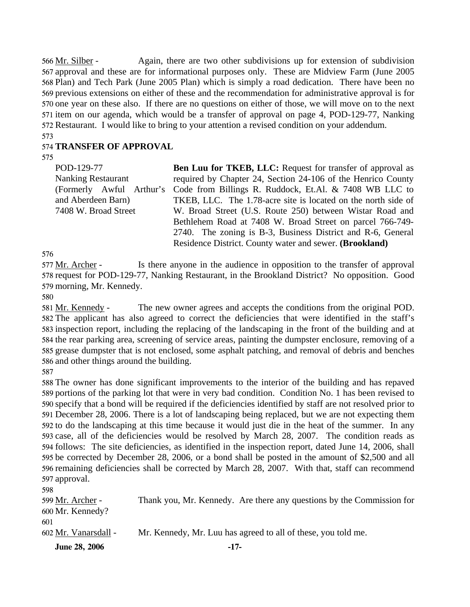Again, there are two other subdivisions up for extension of subdivision 567 approval and these are for informational purposes only. These are Midview Farm (June 2005 568 Plan) and Tech Park (June 2005 Plan) which is simply a road dedication. There have been no 569 previous extensions on either of these and the recommendation for administrative approval is for 570 one year on these also. If there are no questions on either of those, we will move on to the next 571 item on our agenda, which would be a transfer of approval on page 4, POD-129-77, Nanking 572 Restaurant. I would like to bring to your attention a revised condition on your addendum. 566 Mr. Silber -

#### 573

#### 574 **TRANSFER OF APPROVAL**

575

| POD-129-77                | <b>Ben Luu for TKEB, LLC:</b> Request for transfer of approval as               |
|---------------------------|---------------------------------------------------------------------------------|
| <b>Nanking Restaurant</b> | required by Chapter 24, Section 24-106 of the Henrico County                    |
|                           | (Formerly Awful Arthur's Code from Billings R. Ruddock, Et.Al. & 7408 WB LLC to |
| and Aberdeen Barn)        | TKEB, LLC. The 1.78-acre site is located on the north side of                   |
| 7408 W. Broad Street      | W. Broad Street (U.S. Route 250) between Wistar Road and                        |
|                           | Bethlehem Road at 7408 W. Broad Street on parcel 766-749-                       |
|                           | 2740. The zoning is B-3, Business District and R-6, General                     |
|                           | Residence District. County water and sewer. (Brookland)                         |

576

Is there anyone in the audience in opposition to the transfer of approval 578 request for POD-129-77, Nanking Restaurant, in the Brookland District? No opposition. Good 579 morning, Mr. Kennedy. 577 Mr. Archer -

580

The new owner agrees and accepts the conditions from the original POD. 582 The applicant has also agreed to correct the deficiencies that were identified in the staff's 583 inspection report, including the replacing of the landscaping in the front of the building and at 584 the rear parking area, screening of service areas, painting the dumpster enclosure, removing of a 585 grease dumpster that is not enclosed, some asphalt patching, and removal of debris and benches 586 and other things around the building. 581 Mr. Kennedy -

587

 The owner has done significant improvements to the interior of the building and has repaved portions of the parking lot that were in very bad condition. Condition No. 1 has been revised to specify that a bond will be required if the deficiencies identified by staff are not resolved prior to December 28, 2006. There is a lot of landscaping being replaced, but we are not expecting them to do the landscaping at this time because it would just die in the heat of the summer. In any case, all of the deficiencies would be resolved by March 28, 2007. The condition reads as follows: The site deficiencies, as identified in the inspection report, dated June 14, 2006, shall be corrected by December 28, 2006, or a bond shall be posted in the amount of \$2,500 and all remaining deficiencies shall be corrected by March 28, 2007. With that, staff can recommend approval.  $509$ 

| <b>June 28, 2006</b>        | $-17-$                                                                |
|-----------------------------|-----------------------------------------------------------------------|
| 601<br>602 Mr. Vanarsdall - | Mr. Kennedy, Mr. Luu has agreed to all of these, you told me.         |
| 600 Mr. Kennedy?            |                                                                       |
| 599 Mr. Archer -            | Thank you, Mr. Kennedy. Are there any questions by the Commission for |
| 598.                        |                                                                       |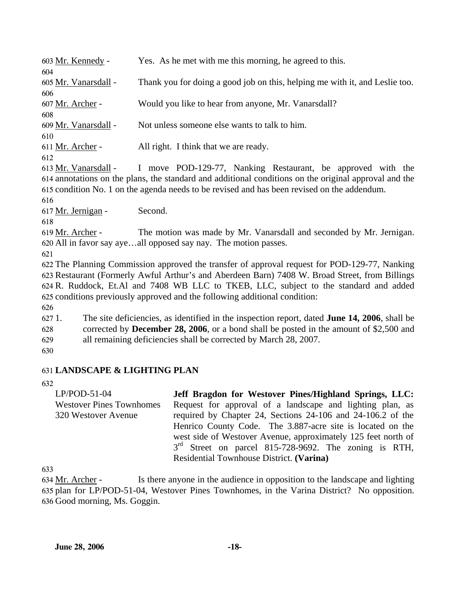| 603 Mr. Kennedy -    | Yes. As he met with me this morning, he agreed to this.                     |
|----------------------|-----------------------------------------------------------------------------|
| 604                  |                                                                             |
| 605 Mr. Vanarsdall - | Thank you for doing a good job on this, helping me with it, and Leslie too. |
| 606                  |                                                                             |
| 607 Mr. Archer -     | Would you like to hear from anyone, Mr. Vanarsdall?                         |
| 608                  |                                                                             |
| 609 Mr. Vanarsdall - | Not unless someone else wants to talk to him.                               |
| 610                  |                                                                             |
| 611 Mr. Archer -     | All right. I think that we are ready.                                       |
| 612                  |                                                                             |

I move POD-129-77, Nanking Restaurant, be approved with the annotations on the plans, the standard and additional conditions on the original approval and the 614 615 condition No. 1 on the agenda needs to be revised and has been revised on the addendum. 613 Mr. Vanarsdall -

616

617 Mr. Jernigan - Second.

618

The motion was made by Mr. Vanarsdall and seconded by Mr. Jernigan. All in favor say aye…all opposed say nay. The motion passes. 620 619 Mr. Archer -

621

 The Planning Commission approved the transfer of approval request for POD-129-77, Nanking Restaurant (Formerly Awful Arthur's and Aberdeen Barn) 7408 W. Broad Street, from Billings R. Ruddock, Et.Al and 7408 WB LLC to TKEB, LLC, subject to the standard and added conditions previously approved and the following additional condition:

626

 $6271.$ 628 629 1. The site deficiencies, as identified in the inspection report, dated **June 14, 2006**, shall be corrected by **December 28, 2006**, or a bond shall be posted in the amount of \$2,500 and all remaining deficiencies shall be corrected by March 28, 2007.

630

## 631 **LANDSCAPE & LIGHTING PLAN**

632

LP/POD-51-04 Westover Pines Townhomes 320 Westover Avenue **Jeff Bragdon for Westover Pines/Highland Springs, LLC:**  Request for approval of a landscape and lighting plan, as required by Chapter 24, Sections 24-106 and 24-106.2 of the Henrico County Code. The 3.887-acre site is located on the west side of Westover Avenue, approximately 125 feet north of  $3<sup>rd</sup>$  Street on parcel 815-728-9692. The zoning is RTH, Residential Townhouse District. **(Varina)** 

633

Is there anyone in the audience in opposition to the landscape and lighting 635 plan for LP/POD-51-04, Westover Pines Townhomes, in the Varina District? No opposition. 636 Good morning, Ms. Goggin. 634 Mr. Archer -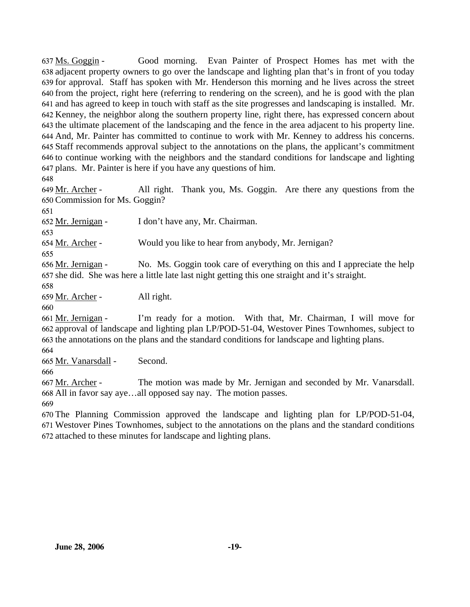Good morning. Evan Painter of Prospect Homes has met with the 638 adjacent property owners to go over the landscape and lighting plan that's in front of you today 639 for approval. Staff has spoken with Mr. Henderson this morning and he lives across the street 640 from the project, right here (referring to rendering on the screen), and he is good with the plan 641 and has agreed to keep in touch with staff as the site progresses and landscaping is installed. Mr. 642 Kenney, the neighbor along the southern property line, right there, has expressed concern about 643 the ultimate placement of the landscaping and the fence in the area adjacent to his property line. And, Mr. Painter has committed to continue to work with Mr. Kenney to address his concerns. 644 Staff recommends approval subject to the annotations on the plans, the applicant's commitment 645 646 to continue working with the neighbors and the standard conditions for landscape and lighting plans. Mr. Painter is here if you have any questions of him. 647 637 Ms. Goggin -

648

All right. Thank you, Ms. Goggin. Are there any questions from the 650 Commission for Ms. Goggin? 649 Mr. Archer -

651

652 Mr. Jernigan - I don't have any, Mr. Chairman.

653

654 Mr. Archer - Would you like to hear from anybody, Mr. Jernigan?

655

No. Ms. Goggin took care of everything on this and I appreciate the help 657 she did. She was here a little late last night getting this one straight and it's straight. 656 Mr. Jernigan -

658

659 Mr. Archer - All right.

660

I'm ready for a motion. With that, Mr. Chairman, I will move for 662 approval of landscape and lighting plan LP/POD-51-04, Westover Pines Townhomes, subject to 663 the annotations on the plans and the standard conditions for landscape and lighting plans. 661 Mr. Jernigan -

664

665 Mr. Vanarsdall - Second.

666

The motion was made by Mr. Jernigan and seconded by Mr. Vanarsdall. All in favor say aye…all opposed say nay. The motion passes. 668 667 Mr. Archer -

669

670 The Planning Commission approved the landscape and lighting plan for LP/POD-51-04, 671 Westover Pines Townhomes, subject to the annotations on the plans and the standard conditions 672 attached to these minutes for landscape and lighting plans.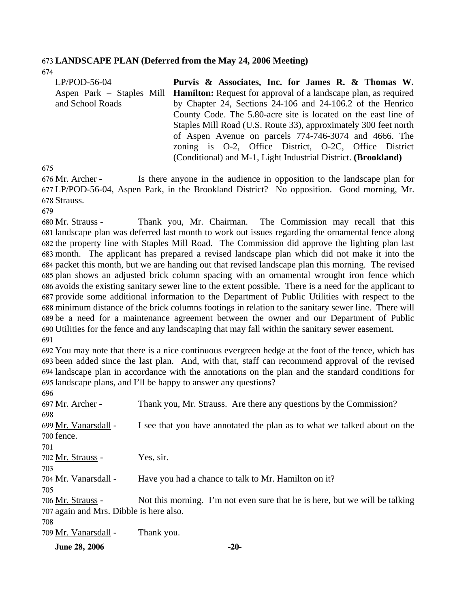#### 673 **LANDSCAPE PLAN (Deferred from the May 24, 2006 Meeting)**

674

| $LP/POD-56-04$            | Purvis & Associates, Inc. for James R. & Thomas W.                     |
|---------------------------|------------------------------------------------------------------------|
| Aspen Park – Staples Mill | <b>Hamilton:</b> Request for approval of a landscape plan, as required |
| and School Roads          | by Chapter 24, Sections 24-106 and 24-106.2 of the Henrico             |
|                           | County Code. The 5.80-acre site is located on the east line of         |
|                           | Staples Mill Road (U.S. Route 33), approximately 300 feet north        |
|                           | of Aspen Avenue on parcels 774-746-3074 and 4666. The                  |
|                           | zoning is O-2, Office District, O-2C, Office District                  |
|                           | (Conditional) and M-1, Light Industrial District. (Brookland)          |

675

Is there anyone in the audience in opposition to the landscape plan for LP/POD-56-04, Aspen Park, in the Brookland District? No opposition. Good morning, Mr. 677 678 Strauss. 676 Mr. Archer -

679

Thank you, Mr. Chairman. The Commission may recall that this 681 landscape plan was deferred last month to work out issues regarding the ornamental fence along 682 the property line with Staples Mill Road. The Commission did approve the lighting plan last 683 month. The applicant has prepared a revised landscape plan which did not make it into the 684 packet this month, but we are handing out that revised landscape plan this morning. The revised 685 plan shows an adjusted brick column spacing with an ornamental wrought iron fence which 686 avoids the existing sanitary sewer line to the extent possible. There is a need for the applicant to 687 provide some additional information to the Department of Public Utilities with respect to the 688 minimum distance of the brick columns footings in relation to the sanitary sewer line. There will 689 be a need for a maintenance agreement between the owner and our Department of Public Utilities for the fence and any landscaping that may fall within the sanitary sewer easement. 690 680 Mr. Strauss -691

 You may note that there is a nice continuous evergreen hedge at the foot of the fence, which has been added since the last plan. And, with that, staff can recommend approval of the revised landscape plan in accordance with the annotations on the plan and the standard conditions for landscape plans, and I'll be happy to answer any questions?

| 696                                     |                                                                             |
|-----------------------------------------|-----------------------------------------------------------------------------|
| 697 Mr. Archer -                        | Thank you, Mr. Strauss. Are there any questions by the Commission?          |
| 698                                     |                                                                             |
| 699 Mr. Vanarsdall -                    | I see that you have annotated the plan as to what we talked about on the    |
| 700 fence.                              |                                                                             |
| 701                                     |                                                                             |
| 702 Mr. Strauss -                       | Yes, sir.                                                                   |
| 703                                     |                                                                             |
| 704 Mr. Vanarsdall -                    | Have you had a chance to talk to Mr. Hamilton on it?                        |
| 705                                     |                                                                             |
| 706 Mr. Strauss -                       | Not this morning. I'm not even sure that he is here, but we will be talking |
| 707 again and Mrs. Dibble is here also. |                                                                             |
| 708                                     |                                                                             |
| 709 Mr. Vanarsdall -                    | Thank you.                                                                  |
|                                         |                                                                             |

**June 28, 2006** -20-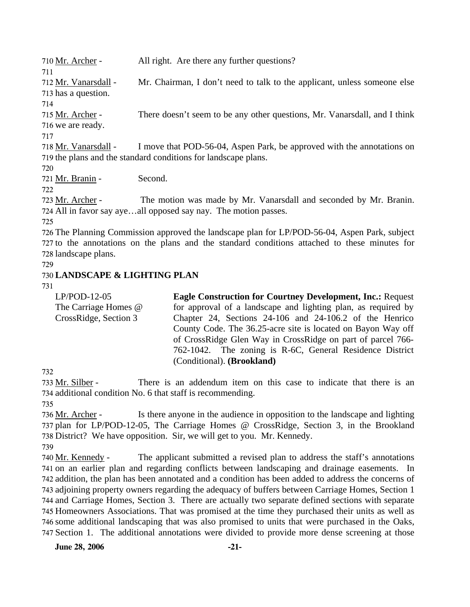| 710 Mr. Archer -     | All right. Are there any further questions?                               |
|----------------------|---------------------------------------------------------------------------|
| 711                  |                                                                           |
| 712 Mr. Vanarsdall - | Mr. Chairman, I don't need to talk to the applicant, unless someone else  |
| 713 has a question.  |                                                                           |
| 714                  |                                                                           |
| 715 Mr. Archer -     | There doesn't seem to be any other questions, Mr. Vanarsdall, and I think |
| 716 we are ready.    |                                                                           |
| 717                  |                                                                           |
| 718 Mr. Vanarsdall - | I move that POD-56-04, Aspen Park, be approved with the annotations on    |
|                      | 719 the plans and the standard conditions for landscape plans.            |
| 720                  |                                                                           |

721 Mr. Branin - Second.

722

The motion was made by Mr. Vanarsdall and seconded by Mr. Branin. All in favor say aye…all opposed say nay. The motion passes. 724 723 Mr. Archer -

725

726 The Planning Commission approved the landscape plan for LP/POD-56-04, Aspen Park, subject 727 to the annotations on the plans and the standard conditions attached to these minutes for 728 landscape plans.

729

## 730 **LANDSCAPE & LIGHTING PLAN**

731

| $LP/POD-12-05$        | <b>Eagle Construction for Courtney Development, Inc.: Request</b> |
|-----------------------|-------------------------------------------------------------------|
| The Carriage Homes @  | for approval of a landscape and lighting plan, as required by     |
| CrossRidge, Section 3 | Chapter 24, Sections 24-106 and 24-106.2 of the Henrico           |
|                       | County Code. The 36.25-acre site is located on Bayon Way off      |
|                       | of CrossRidge Glen Way in CrossRidge on part of parcel 766-       |
|                       | 762-1042. The zoning is R-6C, General Residence District          |
|                       | (Conditional). (Brookland)                                        |

732

There is an addendum item on this case to indicate that there is an 734 additional condition No. 6 that staff is recommending. 733 Mr. Silber -

735

Is there anyone in the audience in opposition to the landscape and lighting 737 plan for LP/POD-12-05, The Carriage Homes @ CrossRidge, Section 3, in the Brookland 738 District? We have opposition. Sir, we will get to you. Mr. Kennedy. 736 Mr. Archer -

739

The applicant submitted a revised plan to address the staff's annotations 741 on an earlier plan and regarding conflicts between landscaping and drainage easements. In 742 addition, the plan has been annotated and a condition has been added to address the concerns of 743 adjoining property owners regarding the adequacy of buffers between Carriage Homes, Section 1 744 and Carriage Homes, Section 3. There are actually two separate defined sections with separate 745 Homeowners Associations. That was promised at the time they purchased their units as well as 746 some additional landscaping that was also promised to units that were purchased in the Oaks, 747 Section 1. The additional annotations were divided to provide more dense screening at those 740 Mr. Kennedy -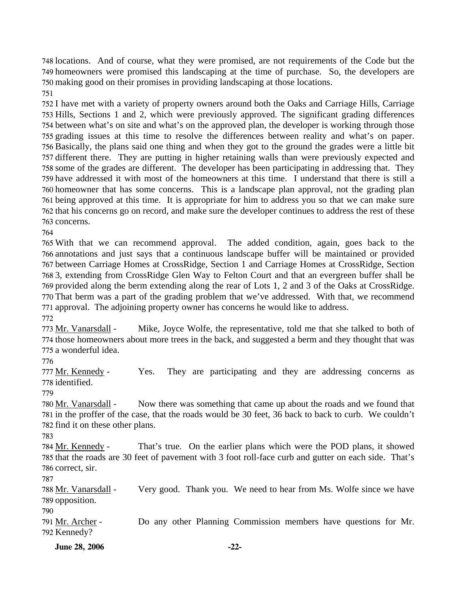748 locations. And of course, what they were promised, are not requirements of the Code but the 749 homeowners were promised this landscaping at the time of purchase. So, the developers are 750 making good on their promises in providing landscaping at those locations.

751

 I have met with a variety of property owners around both the Oaks and Carriage Hills, Carriage Hills, Sections 1 and 2, which were previously approved. The significant grading differences between what's on site and what's on the approved plan, the developer is working through those grading issues at this time to resolve the differences between reality and what's on paper. Basically, the plans said one thing and when they got to the ground the grades were a little bit different there. They are putting in higher retaining walls than were previously expected and some of the grades are different. The developer has been participating in addressing that. They have addressed it with most of the homeowners at this time. I understand that there is still a homeowner that has some concerns. This is a landscape plan approval, not the grading plan being approved at this time. It is appropriate for him to address you so that we can make sure that his concerns go on record, and make sure the developer continues to address the rest of these concerns.

764

765 With that we can recommend approval. annotations and just says that a continuous landscape buffer will be maintained or provided between Carriage Homes at CrossRidge, Section 1 and Carriage Homes at CrossRidge, Section 3, extending from CrossRidge Glen Way to Felton Court and that an evergreen buffer shall be provided along the berm extending along the rear of Lots 1, 2 and 3 of the Oaks at CrossRidge. That berm was a part of the grading problem that we've addressed. With that, we recommend approval. The adjoining property owner has concerns he would like to address. 772 The added condition, again, goes back to the

Mike, Joyce Wolfe, the representative, told me that she talked to both of 774 those homeowners about more trees in the back, and suggested a berm and they thought that was 775 a wonderful idea. 773 Mr. Vanarsdall -

776

Yes. They are participating and they are addressing concerns as 778 identified. 777 Mr. Kennedy -

779

Now there was something that came up about the roads and we found that 781 in the proffer of the case, that the roads would be 30 feet, 36 back to back to curb. We couldn't 782 find it on these other plans. 780 Mr. Vanarsdall -

783

That's true. On the earlier plans which were the POD plans, it showed 785 that the roads are 30 feet of pavement with 3 foot roll-face curb and gutter on each side. That's 786 correct, sir. 784 Mr. Kennedy -

787

Very good. Thank you. We need to hear from Ms. Wolfe since we have 789 opposition. 788 Mr. Vanarsdall -

790

Do any other Planning Commission members have questions for Mr. 792 Kennedy? 791 Mr. Archer -

**June 28, 2006** -22-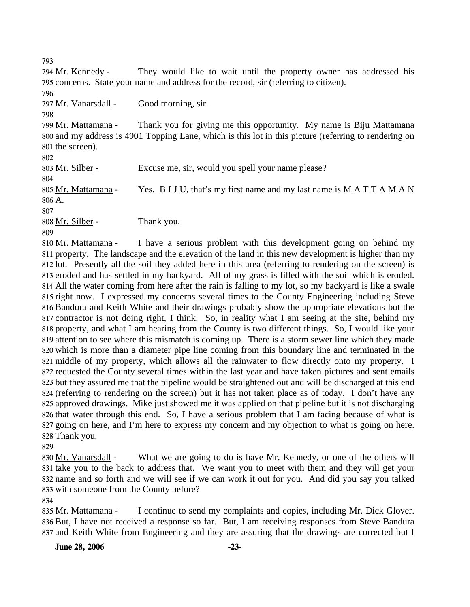793

They would like to wait until the property owner has addressed his 795 concerns. State your name and address for the record, sir (referring to citizen). 794 Mr. Kennedy -796 797 Mr. Vanarsdall - Good morning, sir. 798 Thank you for giving me this opportunity. My name is Biju Mattamana 800 and my address is 4901 Topping Lane, which is this lot in this picture (referring to rendering on 801 the screen). 799 Mr. Mattamana -802 803 Mr. Silber - Excuse me, sir, would you spell your name please? 804 Yes. B I J U, that's my first name and my last name is  $M$  A T T A M A N 806 A. 805 Mr. Mattamana -807 808 Mr. Silber - Thank you. 809

I have a serious problem with this development going on behind my 811 property. The landscape and the elevation of the land in this new development is higher than my 812 lot. Presently all the soil they added here in this area (referring to rendering on the screen) is 813 eroded and has settled in my backyard. All of my grass is filled with the soil which is eroded. All the water coming from here after the rain is falling to my lot, so my backyard is like a swale 814 815 right now. I expressed my concerns several times to the County Engineering including Steve 816 Bandura and Keith White and their drawings probably show the appropriate elevations but the 817 contractor is not doing right, I think. So, in reality what I am seeing at the site, behind my 818 property, and what I am hearing from the County is two different things. So, I would like your 819 attention to see where this mismatch is coming up. There is a storm sewer line which they made 820 which is more than a diameter pipe line coming from this boundary line and terminated in the 821 middle of my property, which allows all the rainwater to flow directly onto my property. I 822 requested the County several times within the last year and have taken pictures and sent emails 823 but they assured me that the pipeline would be straightened out and will be discharged at this end 824 (referring to rendering on the screen) but it has not taken place as of today. I don't have any 825 approved drawings. Mike just showed me it was applied on that pipeline but it is not discharging 826 that water through this end. So, I have a serious problem that I am facing because of what is 827 going on here, and I'm here to express my concern and my objection to what is going on here. 828 Thank you. 810 Mr. Mattamana -

829

What we are going to do is have Mr. Kennedy, or one of the others will 831 take you to the back to address that. We want you to meet with them and they will get your 832 name and so forth and we will see if we can work it out for you. And did you say you talked 833 with someone from the County before? 830 Mr. Vanarsdall -

834

I continue to send my complaints and copies, including Mr. Dick Glover. 836 But, I have not received a response so far. But, I am receiving responses from Steve Bandura 837 and Keith White from Engineering and they are assuring that the drawings are corrected but I 835 Mr. Mattamana -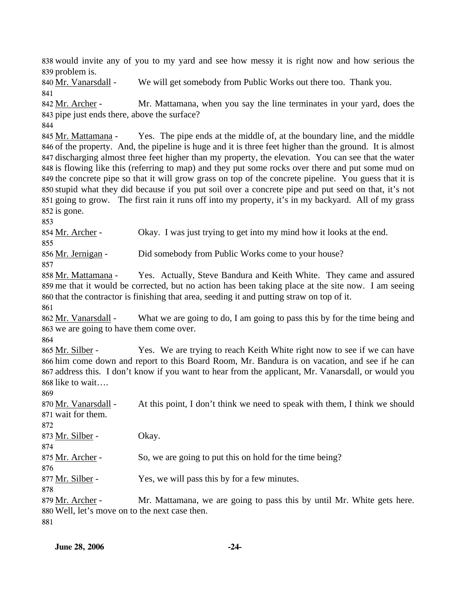838 would invite any of you to my yard and see how messy it is right now and how serious the 839 problem is.

840 Mr. Vanarsdall - We will get somebody from Public Works out there too. Thank you.

841

844

Mr. Mattamana, when you say the line terminates in your yard, does the 843 pipe just ends there, above the surface? 842 Mr. Archer -

Yes. The pipe ends at the middle of, at the boundary line, and the middle 846 of the property. And, the pipeline is huge and it is three feet higher than the ground. It is almost 847 discharging almost three feet higher than my property, the elevation. You can see that the water 848 is flowing like this (referring to map) and they put some rocks over there and put some mud on 849 the concrete pipe so that it will grow grass on top of the concrete pipeline. You guess that it is stupid what they did because if you put soil over a concrete pipe and put seed on that, it's not 850 851 going to grow. The first rain it runs off into my property, it's in my backyard. All of my grass  $852$  is gone. 845 Mr. Mattamana -

853

854 Mr. Archer - Okay. I was just trying to get into my mind how it looks at the end.

855

856 Mr. Jernigan - Did somebody from Public Works come to your house?

857

Yes. Actually, Steve Bandura and Keith White. They came and assured 859 me that it would be corrected, but no action has been taking place at the site now. I am seeing 860 that the contractor is finishing that area, seeding it and putting straw on top of it. 858 Mr. Mattamana -

861

What we are going to do, I am going to pass this by for the time being and 863 we are going to have them come over. 862 Mr. Vanarsdall -

864

Yes. We are trying to reach Keith White right now to see if we can have 866 him come down and report to this Board Room, Mr. Bandura is on vacation, and see if he can 867 address this. I don't know if you want to hear from the applicant, Mr. Vanarsdall, or would you 868 like to wait.... 865 Mr. Silber -

869

At this point, I don't think we need to speak with them, I think we should wait for them. 871 870 Mr. Vanarsdall -872 873 Mr. Silber - Okay. 874 875 Mr. Archer - So, we are going to put this on hold for the time being? 876 877 Mr. Silber - Yes, we will pass this by for a few minutes. 878 Mr. Mattamana, we are going to pass this by until Mr. White gets here. Well, let's move on to the next case then. 880 879 Mr. Archer -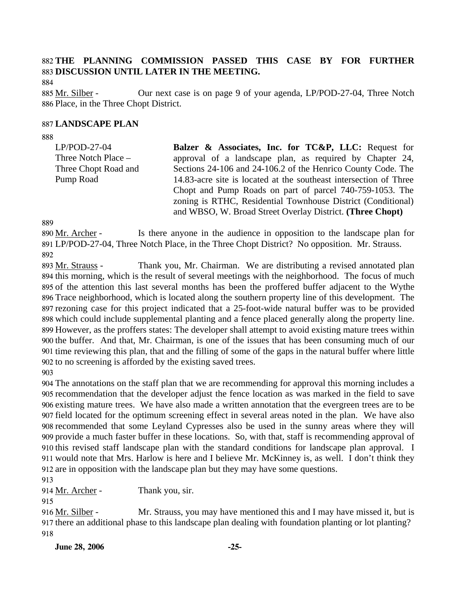## 882 **THE PLANNING COMMISSION PASSED THIS CASE BY FOR FURTHER**  883 **DISCUSSION UNTIL LATER IN THE MEETING.**

884

Our next case is on page 9 of your agenda, LP/POD-27-04, Three Notch 886 Place, in the Three Chopt District. 885 Mr. Silber -

#### 887 **LANDSCAPE PLAN**

888

| $LP/POD-27-04$       | Balzer & Associates, Inc. for TC&P, LLC: Request for              |
|----------------------|-------------------------------------------------------------------|
| Three Notch Place -  | approval of a landscape plan, as required by Chapter 24,          |
| Three Chopt Road and | Sections 24-106 and 24-106.2 of the Henrico County Code. The      |
| Pump Road            | 14.83-acre site is located at the southeast intersection of Three |
|                      | Chopt and Pump Roads on part of parcel 740-759-1053. The          |
|                      | zoning is RTHC, Residential Townhouse District (Conditional)      |
|                      | and WBSO, W. Broad Street Overlay District. (Three Chopt)         |

889

Is there anyone in the audience in opposition to the landscape plan for LP/POD-27-04, Three Notch Place, in the Three Chopt District? No opposition. Mr. Strauss. 891 890 Mr. Archer -892

Thank you, Mr. Chairman. We are distributing a revised annotated plan 894 this morning, which is the result of several meetings with the neighborhood. The focus of much 895 of the attention this last several months has been the proffered buffer adjacent to the Wythe Trace neighborhood, which is located along the southern property line of this development. The 896 897 rezoning case for this project indicated that a 25-foot-wide natural buffer was to be provided 898 which could include supplemental planting and a fence placed generally along the property line. 899 However, as the proffers states: The developer shall attempt to avoid existing mature trees within 900 the buffer. And that, Mr. Chairman, is one of the issues that has been consuming much of our 901 time reviewing this plan, that and the filling of some of the gaps in the natural buffer where little 902 to no screening is afforded by the existing saved trees. 893 Mr. Strauss -

903

 The annotations on the staff plan that we are recommending for approval this morning includes a recommendation that the developer adjust the fence location as was marked in the field to save existing mature trees. We have also made a written annotation that the evergreen trees are to be field located for the optimum screening effect in several areas noted in the plan. We have also recommended that some Leyland Cypresses also be used in the sunny areas where they will provide a much faster buffer in these locations. So, with that, staff is recommending approval of this revised staff landscape plan with the standard conditions for landscape plan approval. I would note that Mrs. Harlow is here and I believe Mr. McKinney is, as well. I don't think they are in opposition with the landscape plan but they may have some questions.

913

914 Mr. Archer - Thank you, sir.

915

Mr. Strauss, you may have mentioned this and I may have missed it, but is 917 there an additional phase to this landscape plan dealing with foundation planting or lot planting? 916 Mr. Silber -918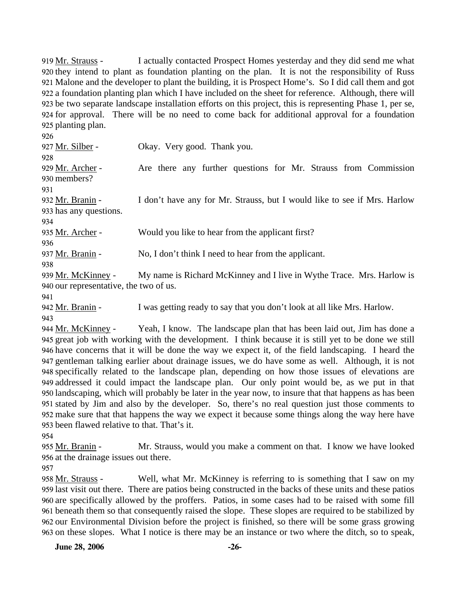I actually contacted Prospect Homes yesterday and they did send me what 920 they intend to plant as foundation planting on the plan. It is not the responsibility of Russ 921 Malone and the developer to plant the building, it is Prospect Home's. So I did call them and got 922 a foundation planting plan which I have included on the sheet for reference. Although, there will 923 be two separate landscape installation efforts on this project, this is representing Phase 1, per se, 924 for approval. There will be no need to come back for additional approval for a foundation 925 planting plan. 919 Mr. Strauss -

926 927 Mr. Silber - Okay. Very good. Thank you. 928 Are there any further questions for Mr. Strauss from Commission 930 members? 929 Mr. Archer -931 I don't have any for Mr. Strauss, but I would like to see if Mrs. Harlow 933 has any questions. 932 Mr. Branin -934 935 Mr. Archer - Would you like to hear from the applicant first? 936 937 Mr. Branin - No, I don't think I need to hear from the applicant. 938

My name is Richard McKinney and I live in Wythe Trace. Mrs. Harlow is 940 our representative, the two of us. 939 Mr. McKinney -

941

942 Mr. Branin - I was getting ready to say that you don't look at all like Mrs. Harlow. 943

Yeah, I know. The landscape plan that has been laid out, Jim has done a 945 great job with working with the development. I think because it is still yet to be done we still 946 have concerns that it will be done the way we expect it, of the field landscaping. I heard the gentleman talking earlier about drainage issues, we do have some as well. Although, it is not 947 specifically related to the landscape plan, depending on how those issues of elevations are 948 949 addressed it could impact the landscape plan. Our only point would be, as we put in that 950 landscaping, which will probably be later in the year now, to insure that that happens as has been stated by Jim and also by the developer. So, there's no real question just those comments to 951 952 make sure that that happens the way we expect it because some things along the way here have 953 been flawed relative to that. That's it. 944 Mr. McKinney -

954

Mr. Strauss, would you make a comment on that. I know we have looked 956 at the drainage issues out there. 955 Mr. Branin -

957

Well, what Mr. McKinney is referring to is something that I saw on my 959 last visit out there. There are patios being constructed in the backs of these units and these patios 960 are specifically allowed by the proffers. Patios, in some cases had to be raised with some fill beneath them so that consequently raised the slope. These slopes are required to be stabilized by 961 962 our Environmental Division before the project is finished, so there will be some grass growing 963 on these slopes. What I notice is there may be an instance or two where the ditch, so to speak, 958 Mr. Strauss -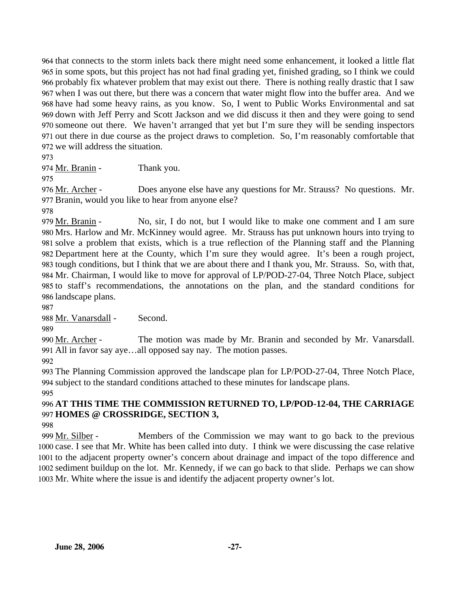that connects to the storm inlets back there might need some enhancement, it looked a little flat in some spots, but this project has not had final grading yet, finished grading, so I think we could probably fix whatever problem that may exist out there. There is nothing really drastic that I saw when I was out there, but there was a concern that water might flow into the buffer area. And we have had some heavy rains, as you know. So, I went to Public Works Environmental and sat down with Jeff Perry and Scott Jackson and we did discuss it then and they were going to send someone out there. We haven't arranged that yet but I'm sure they will be sending inspectors out there in due course as the project draws to completion. So, I'm reasonably comfortable that we will address the situation.

973

974 Mr. Branin - Thank you.

975

Does anyone else have any questions for Mr. Strauss? No questions. Mr. 977 Branin, would you like to hear from anyone else? 976 Mr. Archer -

978

No, sir, I do not, but I would like to make one comment and I am sure 980 Mrs. Harlow and Mr. McKinney would agree. Mr. Strauss has put unknown hours into trying to 981 solve a problem that exists, which is a true reflection of the Planning staff and the Planning Department here at the County, which I'm sure they would agree. It's been a rough project, 982 983 tough conditions, but I think that we are about there and I thank you, Mr. Strauss. So, with that, 984 Mr. Chairman, I would like to move for approval of LP/POD-27-04, Three Notch Place, subject 985 to staff's recommendations, the annotations on the plan, and the standard conditions for 986 landscape plans. 979 Mr. Branin -

987

988 Mr. Vanarsdall - Second.

989

The motion was made by Mr. Branin and seconded by Mr. Vanarsdall. All in favor say aye…all opposed say nay. The motion passes. 991 990 Mr. Archer -

992

993 The Planning Commission approved the landscape plan for LP/POD-27-04, Three Notch Place, 994 subject to the standard conditions attached to these minutes for landscape plans.

995

## 996 **AT THIS TIME THE COMMISSION RETURNED TO, LP/POD-12-04, THE CARRIAGE**  997 **HOMES @ CROSSRIDGE, SECTION 3,**

998

Members of the Commission we may want to go back to the previous 1000 case. I see that Mr. White has been called into duty. I think we were discussing the case relative 1001 to the adjacent property owner's concern about drainage and impact of the topo difference and 1002 sediment buildup on the lot. Mr. Kennedy, if we can go back to that slide. Perhaps we can show 1003 Mr. White where the issue is and identify the adjacent property owner's lot. 999 Mr. Silber -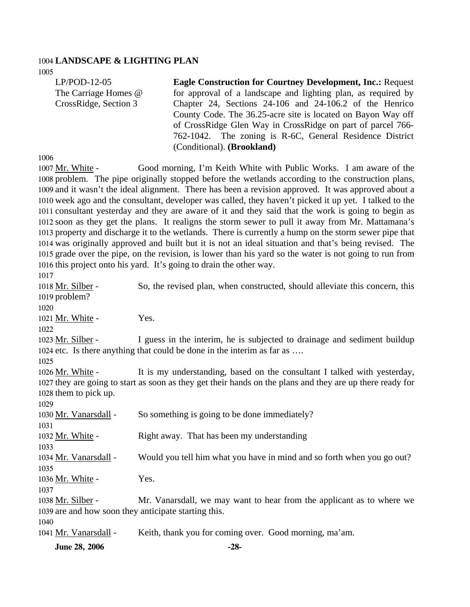#### 1004 **LANDSCAPE & LIGHTING PLAN**

1005

LP/POD-12-05 The Carriage Homes @ CrossRidge, Section 3 **Eagle Construction for Courtney Development, Inc.:** Request for approval of a landscape and lighting plan, as required by Chapter 24, Sections 24-106 and 24-106.2 of the Henrico County Code. The 36.25-acre site is located on Bayon Way off of CrossRidge Glen Way in CrossRidge on part of parcel 766- 762-1042. The zoning is R-6C, General Residence District (Conditional). **(Brookland)** 

1006

Good morning, I'm Keith White with Public Works. I am aware of the 1008 problem. The pipe originally stopped before the wetlands according to the construction plans, 1009 and it wasn't the ideal alignment. There has been a revision approved. It was approved about a 1010 week ago and the consultant, developer was called, they haven't picked it up yet. I talked to the 1011 consultant yesterday and they are aware of it and they said that the work is going to begin as 1012 soon as they get the plans. It realigns the storm sewer to pull it away from Mr. Mattamana's 1013 property and discharge it to the wetlands. There is currently a hump on the storm sewer pipe that 1014 was originally approved and built but it is not an ideal situation and that's being revised. The 1015 grade over the pipe, on the revision, is lower than his yard so the water is not going to run from 1016 this project onto his yard. It's going to drain the other way. 1007 Mr. White -1017

**June 28, 2006** -28-So, the revised plan, when constructed, should alleviate this concern, this 1019 problem? 1018 Mr. Silber -1020 1021 Mr. White - Yes. 1022 I guess in the interim, he is subjected to drainage and sediment buildup 1024 etc. Is there anything that could be done in the interim as far as .... 1023 Mr. Silber -1025 It is my understanding, based on the consultant I talked with yesterday, 1027 they are going to start as soon as they get their hands on the plans and they are up there ready for 1028 them to pick up. 1026 Mr. White -1029 1030 Mr. Vanarsdall - So something is going to be done immediately? 1031 1032 Mr. White - Right away. That has been my understanding 1033 1034 Mr. Vanarsdall - Would you tell him what you have in mind and so forth when you go out? 1035 1036 Mr. White - Yes. 1037 Mr. Vanarsdall, we may want to hear from the applicant as to where we 1039 are and how soon they anticipate starting this. 1038 Mr. Silber -1040 1041 Mr. Vanarsdall - Keith, thank you for coming over. Good morning, ma'am.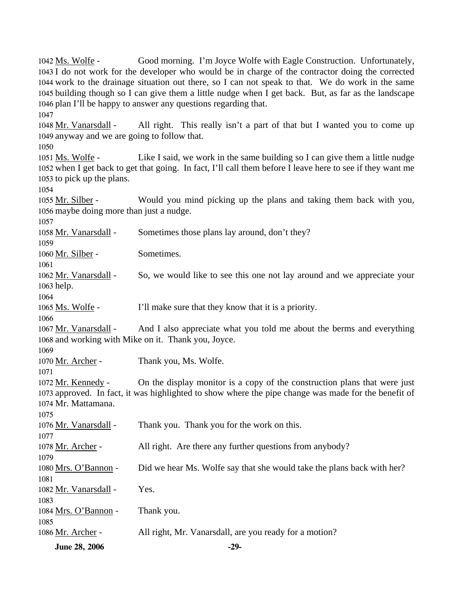**June 28, 2006** -29-Good morning. I'm Joyce Wolfe with Eagle Construction. Unfortunately, 1043 I do not work for the developer who would be in charge of the contractor doing the corrected 1044 work to the drainage situation out there, so I can not speak to that. We do work in the same 1045 building though so I can give them a little nudge when I get back. But, as far as the landscape 1046 plan I'll be happy to answer any questions regarding that. 1042 Ms. Wolfe -1047 All right. This really isn't a part of that but I wanted you to come up 1049 anyway and we are going to follow that. 1048 Mr. Vanarsdall -1050 Like I said, we work in the same building so I can give them a little nudge 1052 when I get back to get that going. In fact, I'll call them before I leave here to see if they want me 1053 to pick up the plans. 1051 Ms. Wolfe -1054 Would you mind picking up the plans and taking them back with you, 1056 maybe doing more than just a nudge. 1055 Mr. Silber -1057 1058 Mr. Vanarsdall - Sometimes those plans lay around, don't they? 1059 1060 Mr. Silber - Sometimes. 1061 So, we would like to see this one not lay around and we appreciate your 1063 help. 1062 Mr. Vanarsdall -1064 1065 Ms. Wolfe - I'll make sure that they know that it is a priority. 1066 And I also appreciate what you told me about the berms and everything 1068 and working with Mike on it. Thank you, Joyce. 1067 Mr. Vanarsdall -1069 1070 Mr. Archer - Thank you, Ms. Wolfe. 1071 On the display monitor is a copy of the construction plans that were just 1073 approved. In fact, it was highlighted to show where the pipe change was made for the benefit of 1074 Mr. Mattamana. 1072 Mr. Kennedy -1075 1076 Mr. Vanarsdall - Thank you. Thank you for the work on this. 1077 1078 Mr. Archer - All right. Are there any further questions from anybody? 1079 1080 Mrs. O'Bannon - Did we hear Ms. Wolfe say that she would take the plans back with her? 1081 1082 Mr. Vanarsdall - Yes. 1083 1084 Mrs. O'Bannon - Thank you. 1085 1086 Mr. Archer - All right, Mr. Vanarsdall, are you ready for a motion?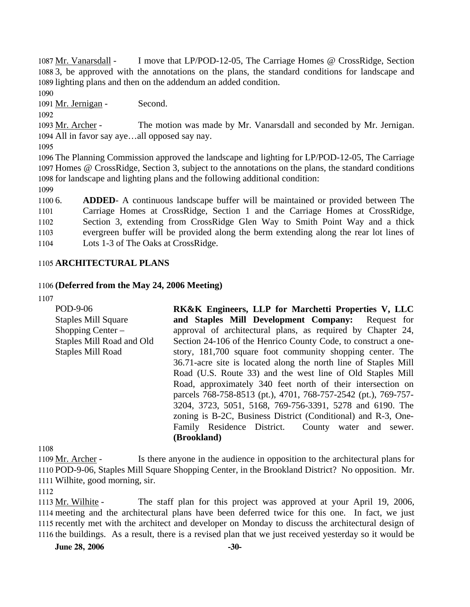I move that LP/POD-12-05, The Carriage Homes @ CrossRidge, Section 1088 3, be approved with the annotations on the plans, the standard conditions for landscape and 1089 lighting plans and then on the addendum an added condition. 1087 Mr. Vanarsdall -

1090

1091 Mr. Jernigan - Second.

1092

The motion was made by Mr. Vanarsdall and seconded by Mr. Jernigan. All in favor say aye…all opposed say nay. 1094 1093 Mr. Archer -

1095

1096 The Planning Commission approved the landscape and lighting for LP/POD-12-05, The Carriage 1097 Homes @ CrossRidge, Section 3, subject to the annotations on the plans, the standard conditions 1098 for landscape and lighting plans and the following additional condition:

1099

 $11006.$ 1101 1102 1103 1104 6. **ADDED**- A continuous landscape buffer will be maintained or provided between The Carriage Homes at CrossRidge, Section 1 and the Carriage Homes at CrossRidge, Section 3, extending from CrossRidge Glen Way to Smith Point Way and a thick evergreen buffer will be provided along the berm extending along the rear lot lines of Lots 1-3 of The Oaks at CrossRidge.

### 1105 **ARCHITECTURAL PLANS**

### 1106 **(Deferred from the May 24, 2006 Meeting)**

1107

POD-9-06 Staples Mill Square Shopping Center – Staples Mill Road and Old Staples Mill Road **RK&K Engineers, LLP for Marchetti Properties V, LLC and Staples Mill Development Company:** Request for approval of architectural plans, as required by Chapter 24, Section 24-106 of the Henrico County Code, to construct a onestory, 181,700 square foot community shopping center. The 36.71-acre site is located along the north line of Staples Mill Road (U.S. Route 33) and the west line of Old Staples Mill Road, approximately 340 feet north of their intersection on parcels 768-758-8513 (pt.), 4701, 768-757-2542 (pt.), 769-757- 3204, 3723, 5051, 5168, 769-756-3391, 5278 and 6190. The zoning is B-2C, Business District (Conditional) and R-3, One-Family Residence District. County water and sewer. **(Brookland)**

1108

Is there anyone in the audience in opposition to the architectural plans for 1110 POD-9-06, Staples Mill Square Shopping Center, in the Brookland District? No opposition. Mr. Wilhite, good morning, sir. 1111 1109 Mr. Archer -

1112

The staff plan for this project was approved at your April 19, 2006, 1114 meeting and the architectural plans have been deferred twice for this one. In fact, we just 1115 recently met with the architect and developer on Monday to discuss the architectural design of 1116 the buildings. As a result, there is a revised plan that we just received yesterday so it would be 1113 Mr. Wilhite -

**June 28, 2006** -30-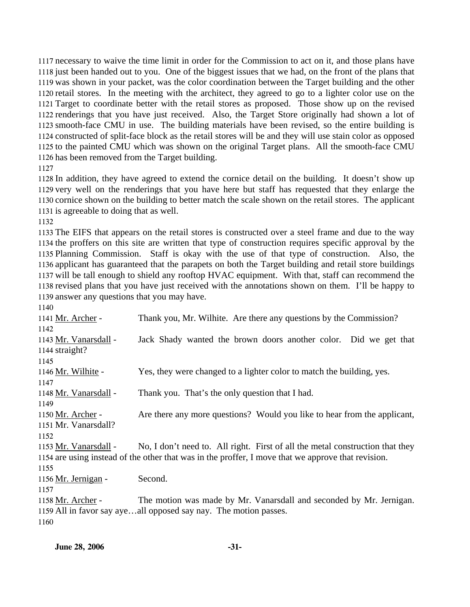necessary to waive the time limit in order for the Commission to act on it, and those plans have just been handed out to you. One of the biggest issues that we had, on the front of the plans that was shown in your packet, was the color coordination between the Target building and the other retail stores. In the meeting with the architect, they agreed to go to a lighter color use on the Target to coordinate better with the retail stores as proposed. Those show up on the revised renderings that you have just received. Also, the Target Store originally had shown a lot of smooth-face CMU in use. The building materials have been revised, so the entire building is constructed of split-face block as the retail stores will be and they will use stain color as opposed to the painted CMU which was shown on the original Target plans. All the smooth-face CMU has been removed from the Target building.

 In addition, they have agreed to extend the cornice detail on the building. It doesn't show up very well on the renderings that you have here but staff has requested that they enlarge the cornice shown on the building to better match the scale shown on the retail stores. The applicant is agreeable to doing that as well.

 The EIFS that appears on the retail stores is constructed over a steel frame and due to the way the proffers on this site are written that type of construction requires specific approval by the Planning Commission. Staff is okay with the use of that type of construction. Also, the applicant has guaranteed that the parapets on both the Target building and retail store buildings will be tall enough to shield any rooftop HVAC equipment. With that, staff can recommend the revised plans that you have just received with the annotations shown on them. I'll be happy to answer any questions that you may have.

| 1140                  |                                                                                                    |
|-----------------------|----------------------------------------------------------------------------------------------------|
| 1141 Mr. Archer -     | Thank you, Mr. Wilhite. Are there any questions by the Commission?                                 |
| 1142                  |                                                                                                    |
| 1143 Mr. Vanarsdall - | Jack Shady wanted the brown doors another color. Did we get that                                   |
| 1144 straight?        |                                                                                                    |
| 1145                  |                                                                                                    |
| 1146 Mr. Wilhite -    | Yes, they were changed to a lighter color to match the building, yes.                              |
| 1147                  |                                                                                                    |
| 1148 Mr. Vanarsdall - | Thank you. That's the only question that I had.                                                    |
| 1149                  |                                                                                                    |
| 1150 Mr. Archer -     | Are there any more questions? Would you like to hear from the applicant,                           |
| 1151 Mr. Vanarsdall?  |                                                                                                    |
| 1152                  |                                                                                                    |
| 1153 Mr. Vanarsdall - | No, I don't need to. All right. First of all the metal construction that they                      |
|                       | 1154 are using instead of the other that was in the proffer, I move that we approve that revision. |
| 1155                  |                                                                                                    |
| 1156 Mr. Jernigan -   | Second.                                                                                            |
| 1157                  |                                                                                                    |
| 1158 Mr. Archer -     | The motion was made by Mr. Vanarsdall and seconded by Mr. Jernigan.                                |
|                       | 1159 All in favor say ayeall opposed say nay. The motion passes.                                   |
| 1160                  |                                                                                                    |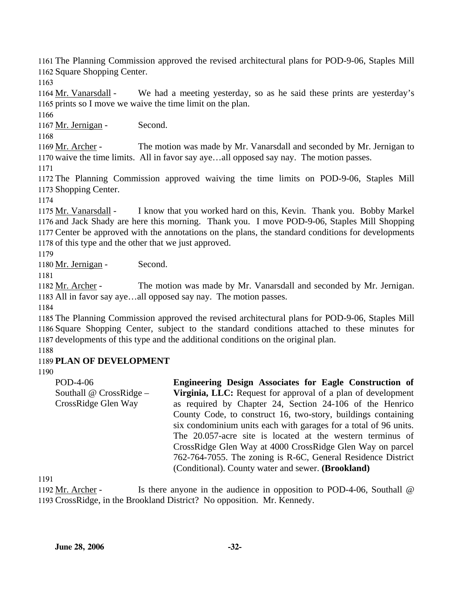1161 The Planning Commission approved the revised architectural plans for POD-9-06, Staples Mill 1162 Square Shopping Center.

1163

We had a meeting yesterday, so as he said these prints are yesterday's 1165 prints so I move we waive the time limit on the plan. 1164 Mr. Vanarsdall -

1166

1167 Mr. Jernigan - Second.

1168

The motion was made by Mr. Vanarsdall and seconded by Mr. Jernigan to 1170 waive the time limits. All in favor say aye...all opposed say nay. The motion passes. 1169 Mr. Archer -

1171

1172 The Planning Commission approved waiving the time limits on POD-9-06, Staples Mill 1173 Shopping Center.

1174

I know that you worked hard on this, Kevin. Thank you. Bobby Markel 1176 and Jack Shady are here this morning. Thank you. I move POD-9-06, Staples Mill Shopping 1177 Center be approved with the annotations on the plans, the standard conditions for developments 1178 of this type and the other that we just approved. 1175 Mr. Vanarsdall -

1179

1180 Mr. Jernigan - Second.

1181

The motion was made by Mr. Vanarsdall and seconded by Mr. Jernigan. 1183 All in favor say aye...all opposed say nay. The motion passes. 1182 Mr. Archer -

1184

1185 The Planning Commission approved the revised architectural plans for POD-9-06, Staples Mill 1186 Square Shopping Center, subject to the standard conditions attached to these minutes for 1187 developments of this type and the additional conditions on the original plan.

1188

## 1189 **PLAN OF DEVELOPMENT**

1190

POD-4-06 Southall @ CrossRidge – CrossRidge Glen Way **Engineering Design Associates for Eagle Construction of Virginia, LLC:** Request for approval of a plan of development as required by Chapter 24, Section 24-106 of the Henrico County Code, to construct 16, two-story, buildings containing six condominium units each with garages for a total of 96 units. The 20.057-acre site is located at the western terminus of CrossRidge Glen Way at 4000 CrossRidge Glen Way on parcel 762-764-7055. The zoning is R-6C, General Residence District (Conditional). County water and sewer. **(Brookland)** 

1191

Is there anyone in the audience in opposition to POD-4-06, Southall  $@$ 1193 CrossRidge, in the Brookland District? No opposition. Mr. Kennedy. 1192 Mr. Archer -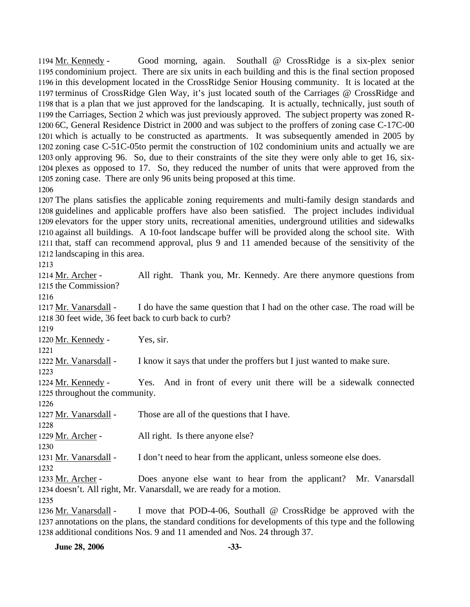Good morning, again. Southall @ CrossRidge is a six-plex senior 1195 condominium project. There are six units in each building and this is the final section proposed 1196 in this development located in the CrossRidge Senior Housing community. It is located at the 1197 terminus of CrossRidge Glen Way, it's just located south of the Carriages @ CrossRidge and 1198 that is a plan that we just approved for the landscaping. It is actually, technically, just south of 1199 the Carriages, Section 2 which was just previously approved. The subject property was zoned R-1200 6C, General Residence District in 2000 and was subject to the proffers of zoning case C-17C-00 1201 which is actually to be constructed as apartments. It was subsequently amended in 2005 by 1202 zoning case C-51C-05to permit the construction of 102 condominium units and actually we are 1203 only approving 96. So, due to their constraints of the site they were only able to get 16, six-1204 plexes as opposed to 17. So, they reduced the number of units that were approved from the 1205 zoning case. There are only 96 units being proposed at this time. 1194 Mr. Kennedy -1206

 The plans satisfies the applicable zoning requirements and multi-family design standards and guidelines and applicable proffers have also been satisfied. The project includes individual elevators for the upper story units, recreational amenities, underground utilities and sidewalks against all buildings. A 10-foot landscape buffer will be provided along the school site. With that, staff can recommend approval, plus 9 and 11 amended because of the sensitivity of the landscaping in this area.

1213

All right. Thank you, Mr. Kennedy. Are there anymore questions from 1215 the Commission? 1214 Mr. Archer -

1216

I do have the same question that I had on the other case. The road will be 30 feet wide, 36 feet back to curb back to curb? 1218 1217 Mr. Vanarsdall -

1219

1220 Mr. Kennedy - Yes, sir.

1221 1222 Mr. Vanarsdall - I know it says that under the proffers but I just wanted to make sure.

1223

Yes. And in front of every unit there will be a sidewalk connected 1224 Mr. Kennedy -

1225 throughout the community. 1226

1227 Mr. Vanarsdall - Those are all of the questions that I have.

1228

1229 Mr. Archer - All right. Is there anyone else?

1230

1231 Mr. Vanarsdall - I don't need to hear from the applicant, unless someone else does.

1232

Does anyone else want to hear from the applicant? Mr. Vanarsdall 1234 doesn't. All right, Mr. Vanarsdall, we are ready for a motion. 1233 Mr. Archer -

1235

I move that POD-4-06, Southall  $\omega$  CrossRidge be approved with the 1237 annotations on the plans, the standard conditions for developments of this type and the following 1238 additional conditions Nos. 9 and 11 amended and Nos. 24 through 37. 1236 Mr. Vanarsdall -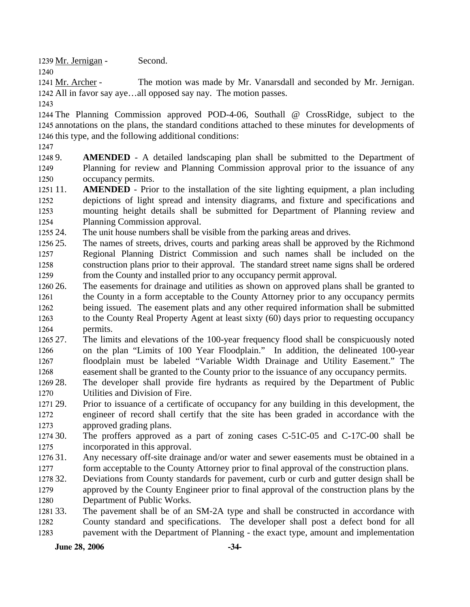1239 Mr. Jernigan - Second.

The motion was made by Mr. Vanarsdall and seconded by Mr. Jernigan. 1242 All in favor say aye...all opposed say nay. The motion passes. 1241 Mr. Archer -

1243

1240

1244 The Planning Commission approved POD-4-06, Southall @ CrossRidge, subject to the 1245 annotations on the plans, the standard conditions attached to these minutes for developments of 1246 this type, and the following additional conditions:

1247

1248 9. 1249 1250 **AMENDED** - A detailed landscaping plan shall be submitted to the Department of Planning for review and Planning Commission approval prior to the issuance of any occupancy permits.

1251 11. 1252 1253 1254 **AMENDED** - Prior to the installation of the site lighting equipment, a plan including depictions of light spread and intensity diagrams, and fixture and specifications and mounting height details shall be submitted for Department of Planning review and Planning Commission approval.

1255 24. The unit house numbers shall be visible from the parking areas and drives.

1256 25. 1257 1258 1259 The names of streets, drives, courts and parking areas shall be approved by the Richmond Regional Planning District Commission and such names shall be included on the construction plans prior to their approval. The standard street name signs shall be ordered from the County and installed prior to any occupancy permit approval.

- 1260 26. 1261 1262 1263 1264 26. The easements for drainage and utilities as shown on approved plans shall be granted to the County in a form acceptable to the County Attorney prior to any occupancy permits being issued. The easement plats and any other required information shall be submitted to the County Real Property Agent at least sixty (60) days prior to requesting occupancy permits.
- 1265 27. 1266 1267 1268 27. The limits and elevations of the 100-year frequency flood shall be conspicuously noted on the plan "Limits of 100 Year Floodplain." In addition, the delineated 100-year floodplain must be labeled "Variable Width Drainage and Utility Easement." The easement shall be granted to the County prior to the issuance of any occupancy permits.
- 1269 28. 1270 The developer shall provide fire hydrants as required by the Department of Public Utilities and Division of Fire.
- 1271 29. 1272 1273 29. Prior to issuance of a certificate of occupancy for any building in this development, the engineer of record shall certify that the site has been graded in accordance with the approved grading plans.

1274 30. 1275 The proffers approved as a part of zoning cases  $C-51C-05$  and  $C-17C-00$  shall be incorporated in this approval.

- 1276 31. 1277 Any necessary off-site drainage and/or water and sewer easements must be obtained in a form acceptable to the County Attorney prior to final approval of the construction plans.
- 1278 32. 1279 Deviations from County standards for pavement, curb or curb and gutter design shall be approved by the County Engineer prior to final approval of the construction plans by the
- 1280 Department of Public Works.
- 1281 33. 1282 1283 The pavement shall be of an SM-2A type and shall be constructed in accordance with County standard and specifications. The developer shall post a defect bond for all pavement with the Department of Planning - the exact type, amount and implementation

**June 28, 2006** -34-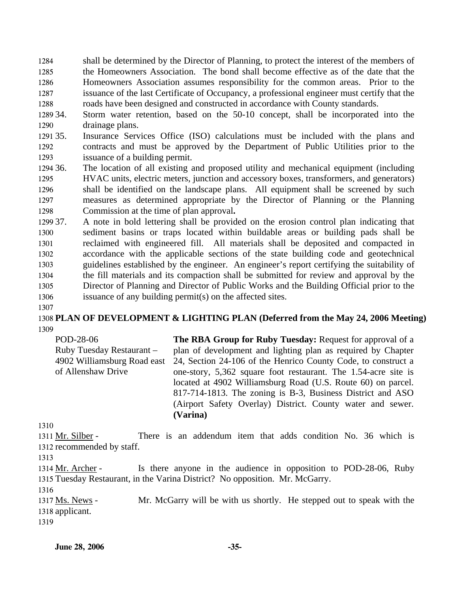1284 1285 1286 1287 1288 shall be determined by the Director of Planning, to protect the interest of the members of the Homeowners Association. The bond shall become effective as of the date that the Homeowners Association assumes responsibility for the common areas. Prior to the issuance of the last Certificate of Occupancy, a professional engineer must certify that the roads have been designed and constructed in accordance with County standards.

1289 34. 1290 Storm water retention, based on the 50-10 concept, shall be incorporated into the drainage plans.

1291 35. 1292 1293 Insurance Services Office (ISO) calculations must be included with the plans and contracts and must be approved by the Department of Public Utilities prior to the issuance of a building permit.

1294 36. 1295 1296 1297 1298 The location of all existing and proposed utility and mechanical equipment (including HVAC units, electric meters, junction and accessory boxes, transformers, and generators) shall be identified on the landscape plans. All equipment shall be screened by such measures as determined appropriate by the Director of Planning or the Planning Commission at the time of plan approval**.** 

1299 37. 1300 1301 1302 1303 1304 1305 1306 37. A note in bold lettering shall be provided on the erosion control plan indicating that sediment basins or traps located within buildable areas or building pads shall be reclaimed with engineered fill. All materials shall be deposited and compacted in accordance with the applicable sections of the state building code and geotechnical guidelines established by the engineer. An engineer's report certifying the suitability of the fill materials and its compaction shall be submitted for review and approval by the Director of Planning and Director of Public Works and the Building Official prior to the issuance of any building permit(s) on the affected sites.

1307

1308 **PLAN OF DEVELOPMENT & LIGHTING PLAN (Deferred from the May 24, 2006 Meeting)**  1309

POD-28-06 Ruby Tuesday Restaurant – 4902 Williamsburg Road east of Allenshaw Drive **The RBA Group for Ruby Tuesday:** Request for approval of a plan of development and lighting plan as required by Chapter 24, Section 24-106 of the Henrico County Code, to construct a one-story, 5,362 square foot restaurant. The 1.54-acre site is located at 4902 Williamsburg Road (U.S. Route 60) on parcel. 817-714-1813. The zoning is B-3, Business District and ASO (Airport Safety Overlay) District. County water and sewer. **(Varina)** 

1310

There is an addendum item that adds condition No. 36 which is 1312 recommended by staff. 1311 Mr. Silber -

1313

Is there anyone in the audience in opposition to POD-28-06, Ruby 1315 Tuesday Restaurant, in the Varina District? No opposition. Mr. McGarry. 1314 Mr. Archer -

1316

Mr. McGarry will be with us shortly. He stepped out to speak with the 1318 applicant. 1317 Ms. News -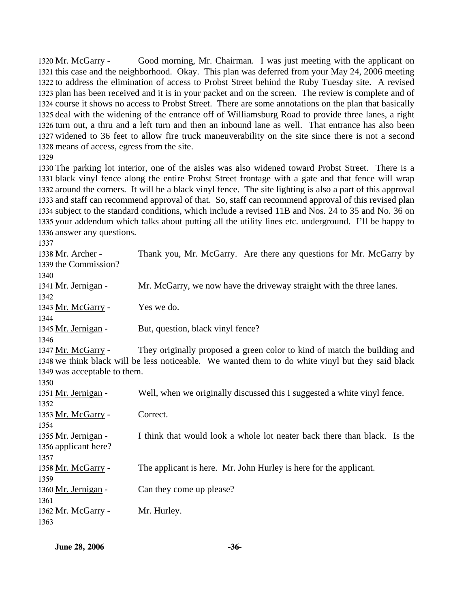Good morning, Mr. Chairman. I was just meeting with the applicant on 1321 this case and the neighborhood. Okay. This plan was deferred from your May 24, 2006 meeting 1322 to address the elimination of access to Probst Street behind the Ruby Tuesday site. A revised 1323 plan has been received and it is in your packet and on the screen. The review is complete and of 1324 course it shows no access to Probst Street. There are some annotations on the plan that basically 1325 deal with the widening of the entrance off of Williamsburg Road to provide three lanes, a right 1326 turn out, a thru and a left turn and then an inbound lane as well. That entrance has also been 1327 widened to 36 feet to allow fire truck maneuverability on the site since there is not a second 1328 means of access, egress from the site. 1320 Mr. McGarry -

 The parking lot interior, one of the aisles was also widened toward Probst Street. There is a black vinyl fence along the entire Probst Street frontage with a gate and that fence will wrap around the corners. It will be a black vinyl fence. The site lighting is also a part of this approval and staff can recommend approval of that. So, staff can recommend approval of this revised plan subject to the standard conditions, which include a revised 11B and Nos. 24 to 35 and No. 36 on your addendum which talks about putting all the utility lines etc. underground. I'll be happy to answer any questions.

| 1338 Mr. Archer -            | Thank you, Mr. McGarry. Are there any questions for Mr. McGarry by                                |
|------------------------------|---------------------------------------------------------------------------------------------------|
| 1339 the Commission?         |                                                                                                   |
| 1340                         |                                                                                                   |
| 1341 Mr. Jernigan -          | Mr. McGarry, we now have the driveway straight with the three lanes.                              |
| 1342                         |                                                                                                   |
| 1343 Mr. McGarry -           | Yes we do.                                                                                        |
| 1344                         |                                                                                                   |
| 1345 Mr. Jernigan -          | But, question, black vinyl fence?                                                                 |
| 1346                         |                                                                                                   |
| 1347 Mr. McGarry -           | They originally proposed a green color to kind of match the building and                          |
|                              | 1348 we think black will be less noticeable. We wanted them to do white vinyl but they said black |
| 1349 was acceptable to them. |                                                                                                   |
| 1350                         |                                                                                                   |
| 1351 Mr. Jernigan -          | Well, when we originally discussed this I suggested a white vinyl fence.                          |
| 1352                         |                                                                                                   |
| 1353 Mr. McGarry -           | Correct.                                                                                          |
| 1354                         |                                                                                                   |
| 1355 Mr. Jernigan -          | I think that would look a whole lot neater back there than black. Is the                          |
| 1356 applicant here?         |                                                                                                   |
| 1357                         |                                                                                                   |
| 1358 Mr. McGarry -           | The applicant is here. Mr. John Hurley is here for the applicant.                                 |
| 1359                         |                                                                                                   |
| 1360 Mr. Jernigan -          | Can they come up please?                                                                          |
| 1361                         |                                                                                                   |
| 1362 Mr. McGarry -           | Mr. Hurley.                                                                                       |
| 1363                         |                                                                                                   |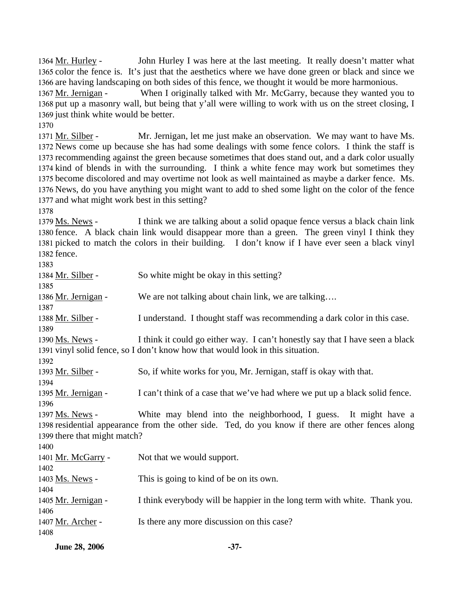John Hurley I was here at the last meeting. It really doesn't matter what 1365 color the fence is. It's just that the aesthetics where we have done green or black and since we 1366 are having landscaping on both sides of this fence, we thought it would be more harmonious. 1364 Mr. Hurley -

When I originally talked with Mr. McGarry, because they wanted you to 1368 put up a masonry wall, but being that y'all were willing to work with us on the street closing, I 1369 just think white would be better. 1367 Mr. Jernigan -

1370

Mr. Jernigan, let me just make an observation. We may want to have Ms. 1372 News come up because she has had some dealings with some fence colors. I think the staff is 1373 recommending against the green because sometimes that does stand out, and a dark color usually 1374 kind of blends in with the surrounding. I think a white fence may work but sometimes they 1375 become discolored and may overtime not look as well maintained as maybe a darker fence. Ms. 1376 News, do you have anything you might want to add to shed some light on the color of the fence 1377 and what might work best in this setting? 1371 Mr. Silber -

1378

I think we are talking about a solid opaque fence versus a black chain link 1380 fence. A black chain link would disappear more than a green. The green vinyl I think they 1381 picked to match the colors in their building. I don't know if I have ever seen a black vinyl 1382 fence. 1379 Ms. News -

| 1383                         |                                                                                                   |
|------------------------------|---------------------------------------------------------------------------------------------------|
| 1384 <u>Mr. Silber</u> -     | So white might be okay in this setting?                                                           |
| 1385                         |                                                                                                   |
| 1386 Mr. Jernigan -          | We are not talking about chain link, we are talking                                               |
| 1387                         |                                                                                                   |
| 1388 <u>Mr. Silber</u> -     | I understand. I thought staff was recommending a dark color in this case.                         |
| 1389                         |                                                                                                   |
| 1390 Ms. News -              | I think it could go either way. I can't honestly say that I have seen a black                     |
|                              | 1391 vinyl solid fence, so I don't know how that would look in this situation.                    |
| 1392                         |                                                                                                   |
| 1393 <u>Mr. Silber</u> -     | So, if white works for you, Mr. Jernigan, staff is okay with that.                                |
| 1394                         |                                                                                                   |
| 1395 Mr. Jernigan -          | I can't think of a case that we've had where we put up a black solid fence.                       |
| 1396                         |                                                                                                   |
| 1397 Ms. News -              | White may blend into the neighborhood, I guess. It might have a                                   |
|                              | 1398 residential appearance from the other side. Ted, do you know if there are other fences along |
| 1399 there that might match? |                                                                                                   |
| 1400                         |                                                                                                   |
| 1401 Mr. McGarry -           | Not that we would support.                                                                        |
| 1402                         |                                                                                                   |
| 1403 <u>Ms. News</u> -       | This is going to kind of be on its own.                                                           |
| 1404                         |                                                                                                   |
| 1405 Mr. Jernigan -          | I think everybody will be happier in the long term with white. Thank you.                         |
| 1406                         |                                                                                                   |
| 1407 Mr. Archer -            | Is there any more discussion on this case?                                                        |
| 1408                         |                                                                                                   |
|                              |                                                                                                   |

| <b>June 28, 2006</b> | $-37-$ |
|----------------------|--------|
|                      |        |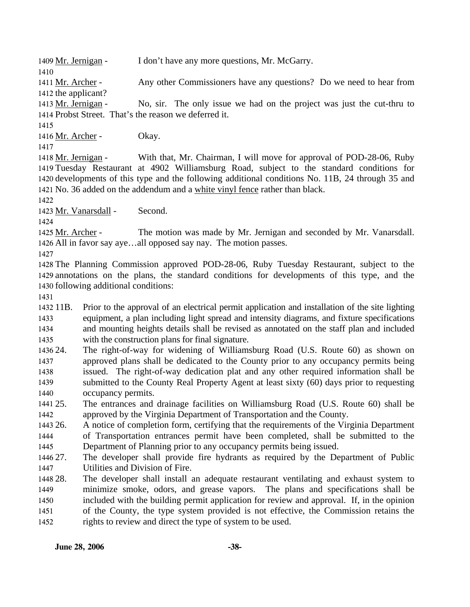1409 Mr. Jernigan - I don't have any more questions, Mr. McGarry.

1410

Any other Commissioners have any questions? Do we need to hear from 1411 Mr. Archer -

1412 the applicant?

No, sir. The only issue we had on the project was just the cut-thru to 1414 Probst Street. That's the reason we deferred it. 1413 Mr. Jernigan -

1415

1416 Mr. Archer - Okay.

1417

With that, Mr. Chairman, I will move for approval of POD-28-06, Ruby Tuesday Restaurant at 4902 Williamsburg Road, subject to the standard conditions for 1419 1420 developments of this type and the following additional conditions No. 11B, 24 through 35 and 1421 No. 36 added on the addendum and a white vinyl fence rather than black. 1418 Mr. Jernigan -

1422

1423 Mr. Vanarsdall - Second.

1424

The motion was made by Mr. Jernigan and seconded by Mr. Vanarsdall. 1426 All in favor say aye...all opposed say nay. The motion passes. 1425 Mr. Archer -

1427

1428 The Planning Commission approved POD-28-06, Ruby Tuesday Restaurant, subject to the 1429 annotations on the plans, the standard conditions for developments of this type, and the 1430 following additional conditions:

1431

1432 11B. 1433 1434 1435 11B. Prior to the approval of an electrical permit application and installation of the site lighting equipment, a plan including light spread and intensity diagrams, and fixture specifications and mounting heights details shall be revised as annotated on the staff plan and included with the construction plans for final signature.

1436 24. 1437 1438 1439 1440 The right-of-way for widening of Williamsburg Road (U.S. Route 60) as shown on approved plans shall be dedicated to the County prior to any occupancy permits being issued. The right-of-way dedication plat and any other required information shall be submitted to the County Real Property Agent at least sixty (60) days prior to requesting occupancy permits.

1441 25. 1442 25. The entrances and drainage facilities on Williamsburg Road (U.S. Route 60) shall be approved by the Virginia Department of Transportation and the County.

1443 26. 1444 1445 26. A notice of completion form, certifying that the requirements of the Virginia Department of Transportation entrances permit have been completed, shall be submitted to the Department of Planning prior to any occupancy permits being issued.

1446 27. 1447 The developer shall provide fire hydrants as required by the Department of Public Utilities and Division of Fire.

1448 28. 1449 1450 1451 1452 28. The developer shall install an adequate restaurant ventilating and exhaust system to minimize smoke, odors, and grease vapors. The plans and specifications shall be included with the building permit application for review and approval. If, in the opinion of the County, the type system provided is not effective, the Commission retains the rights to review and direct the type of system to be used.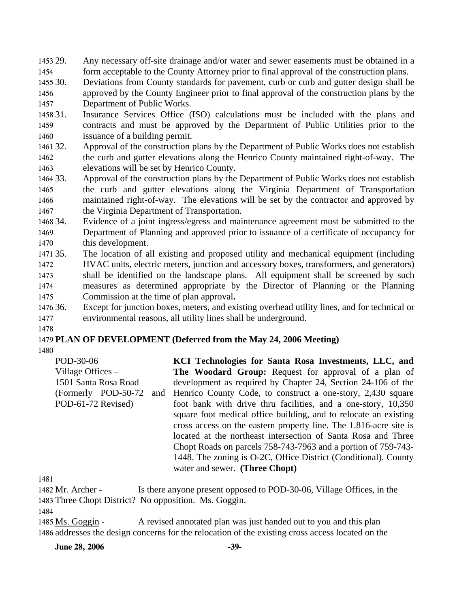1453 29. Any necessary off-site drainage and/or water and sewer easements must be obtained in a

1454 form acceptable to the County Attorney prior to final approval of the construction plans.

1455 30. 1456 1457 Deviations from County standards for pavement, curb or curb and gutter design shall be approved by the County Engineer prior to final approval of the construction plans by the Department of Public Works.

1458 31. 1459 1460 Insurance Services Office (ISO) calculations must be included with the plans and contracts and must be approved by the Department of Public Utilities prior to the issuance of a building permit.

1461 32. 1462 1463 Approval of the construction plans by the Department of Public Works does not establish the curb and gutter elevations along the Henrico County maintained right-of-way. The elevations will be set by Henrico County.

1464 33. 1465 1466 1467 Approval of the construction plans by the Department of Public Works does not establish the curb and gutter elevations along the Virginia Department of Transportation maintained right-of-way. The elevations will be set by the contractor and approved by the Virginia Department of Transportation.

1468 34. 1469 1470 Evidence of a joint ingress/egress and maintenance agreement must be submitted to the Department of Planning and approved prior to issuance of a certificate of occupancy for this development.

1471 35. 1472 1473 1474 1475 The location of all existing and proposed utility and mechanical equipment (including HVAC units, electric meters, junction and accessory boxes, transformers, and generators) shall be identified on the landscape plans. All equipment shall be screened by such measures as determined appropriate by the Director of Planning or the Planning Commission at the time of plan approval**.** 

1476 36. 1477 Except for junction boxes, meters, and existing overhead utility lines, and for technical or environmental reasons, all utility lines shall be underground.

## 1479 **PLAN OF DEVELOPMENT (Deferred from the May 24, 2006 Meeting)**

1480

1478

| POD-30-06                   | KCI Technologies for Santa Rosa Investments, LLC, and             |
|-----------------------------|-------------------------------------------------------------------|
| Village Offices $-$         | The Woodard Group: Request for approval of a plan of              |
| 1501 Santa Rosa Road        | development as required by Chapter 24, Section 24-106 of the      |
| (Formerly POD-50-72)<br>and | Henrico County Code, to construct a one-story, 2,430 square       |
| POD-61-72 Revised)          | foot bank with drive thru facilities, and a one-story, 10,350     |
|                             | square foot medical office building, and to relocate an existing  |
|                             | cross access on the eastern property line. The 1.816-acre site is |
|                             | located at the northeast intersection of Santa Rosa and Three     |
|                             | Chopt Roads on parcels 758-743-7963 and a portion of 759-743-     |
|                             | 1448. The zoning is O-2C, Office District (Conditional). County   |
|                             | water and sewer. (Three Chopt)                                    |

1481

1482 Mr. Archer - Is there anyone present opposed to POD-30-06, Village Offices, in the 1483 Three Chopt District? No opposition. Ms. Goggin.

1484

1485 Ms. Goggin - A revised annotated plan was just handed out to you and this plan 1486 addresses the design concerns for the relocation of the existing cross access located on the

**June 28, 2006** -39-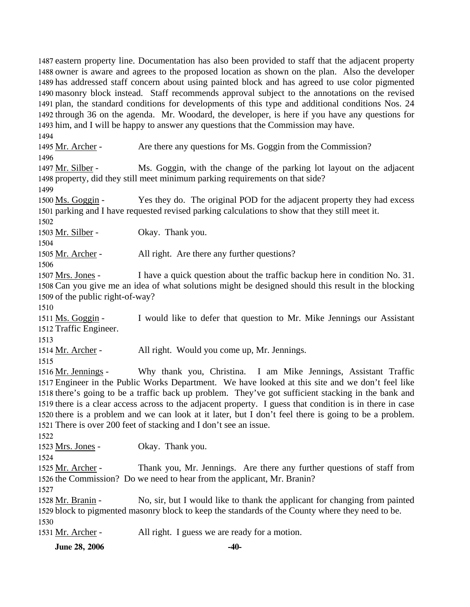eastern property line. Documentation has also been provided to staff that the adjacent property owner is aware and agrees to the proposed location as shown on the plan. Also the developer has addressed staff concern about using painted block and has agreed to use color pigmented masonry block instead. Staff recommends approval subject to the annotations on the revised plan, the standard conditions for developments of this type and additional conditions Nos. 24 through 36 on the agenda. Mr. Woodard, the developer, is here if you have any questions for him, and I will be happy to answer any questions that the Commission may have.

1494

1495 Mr. Archer - Are there any questions for Ms. Goggin from the Commission? 1496 Ms. Goggin, with the change of the parking lot layout on the adjacent 1497 Mr. Silber -

1498 property, did they still meet minimum parking requirements on that side?

1499

Yes they do. The original POD for the adjacent property they had excess 1501 parking and I have requested revised parking calculations to show that they still meet it. 1500 Ms. Goggin -

1502

1503 Mr. Silber - Okay. Thank you.

1504

1505 Mr. Archer - All right. Are there any further questions?

1506

I have a quick question about the traffic backup here in condition No. 31. 1508 Can you give me an idea of what solutions might be designed should this result in the blocking 1509 of the public right-of-way? 1507 Mrs. Jones -

1510

I would like to defer that question to Mr. Mike Jennings our Assistant 1512 Traffic Engineer. 1511 Ms. Goggin -

1513

1514 Mr. Archer - All right. Would you come up, Mr. Jennings.

1515

Why thank you, Christina. I am Mike Jennings, Assistant Traffic Engineer in the Public Works Department. We have looked at this site and we don't feel like 1517 1518 there's going to be a traffic back up problem. They've got sufficient stacking in the bank and 1519 there is a clear access across to the adjacent property. I guess that condition is in there in case 1520 there is a problem and we can look at it later, but I don't feel there is going to be a problem. 1521 There is over 200 feet of stacking and I don't see an issue. 1516 Mr. Jennings -

1522

1523 Mrs. Jones - Okay. Thank you.

1524

Thank you, Mr. Jennings. Are there any further questions of staff from 1526 the Commission? Do we need to hear from the applicant, Mr. Branin? 1525 Mr. Archer -

1527

No, sir, but I would like to thank the applicant for changing from painted 1529 block to pigmented masonry block to keep the standards of the County where they need to be. 1528 Mr. Branin -1530

1531 Mr. Archer - All right. I guess we are ready for a motion.

**June 28, 2006** -40-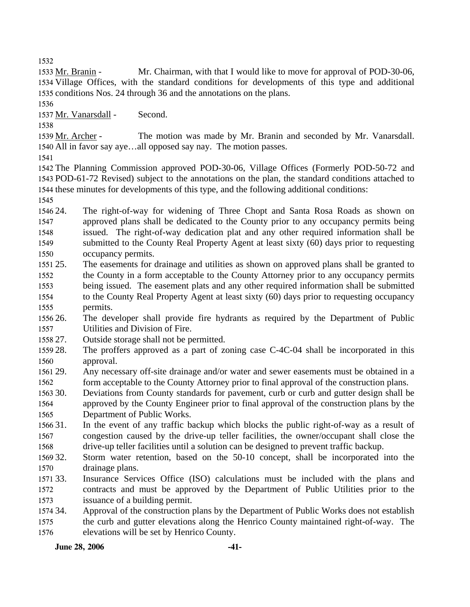1532

Mr. Chairman, with that I would like to move for approval of POD-30-06, 1534 Village Offices, with the standard conditions for developments of this type and additional 1535 conditions Nos. 24 through 36 and the annotations on the plans. 1533 Mr. Branin -

1536

1537 Mr. Vanarsdall - Second.

1538

The motion was made by Mr. Branin and seconded by Mr. Vanarsdall. 1540 All in favor say aye...all opposed say nay. The motion passes. 1539 Mr. Archer -

1541

1542 The Planning Commission approved POD-30-06, Village Offices (Formerly POD-50-72 and 1543 POD-61-72 Revised) subject to the annotations on the plan, the standard conditions attached to 1544 these minutes for developments of this type, and the following additional conditions:

1545

1546 24. 1547 1548 1549 1550 The right-of-way for widening of Three Chopt and Santa Rosa Roads as shown on approved plans shall be dedicated to the County prior to any occupancy permits being issued. The right-of-way dedication plat and any other required information shall be submitted to the County Real Property Agent at least sixty (60) days prior to requesting occupancy permits.

- 1551 25. 1552 1553 1554 1555 25. The easements for drainage and utilities as shown on approved plans shall be granted to the County in a form acceptable to the County Attorney prior to any occupancy permits being issued. The easement plats and any other required information shall be submitted to the County Real Property Agent at least sixty (60) days prior to requesting occupancy permits.
- 1556 26 1557 26. The developer shall provide fire hydrants as required by the Department of Public Utilities and Division of Fire.
- 1558 27. Outside storage shall not be permitted.
- 1559 28. 1560 The proffers approved as a part of zoning case C-4C-04 shall be incorporated in this approval.
- 1561 29. 1562 Any necessary off-site drainage and/or water and sewer easements must be obtained in a form acceptable to the County Attorney prior to final approval of the construction plans.
- 1563 30. 1564 1565 30. Deviations from County standards for pavement, curb or curb and gutter design shall be approved by the County Engineer prior to final approval of the construction plans by the Department of Public Works.
- 1566 31. 1567 1568 In the event of any traffic backup which blocks the public right-of-way as a result of congestion caused by the drive-up teller facilities, the owner/occupant shall close the drive-up teller facilities until a solution can be designed to prevent traffic backup.
- 1569 32. 1570 Storm water retention, based on the 50-10 concept, shall be incorporated into the drainage plans.
- 1571 33. 1572 1573 Insurance Services Office (ISO) calculations must be included with the plans and contracts and must be approved by the Department of Public Utilities prior to the issuance of a building permit.
- 1574 34. 1575 1576 Approval of the construction plans by the Department of Public Works does not establish the curb and gutter elevations along the Henrico County maintained right-of-way. The elevations will be set by Henrico County.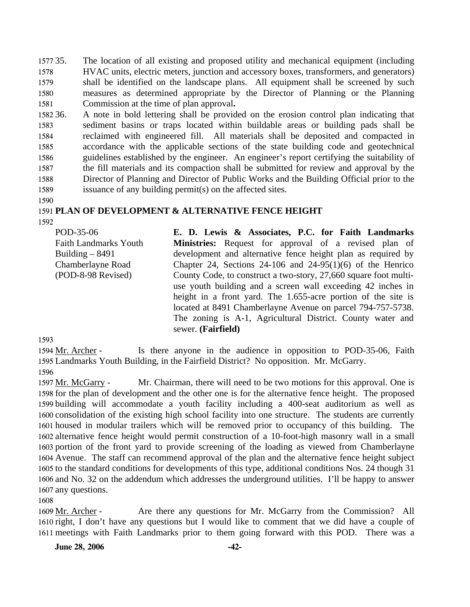1577 35. 1578 1579 1580 1581 The location of all existing and proposed utility and mechanical equipment (including HVAC units, electric meters, junction and accessory boxes, transformers, and generators) shall be identified on the landscape plans. All equipment shall be screened by such measures as determined appropriate by the Director of Planning or the Planning Commission at the time of plan approval**.** 

1582 36. 1583 1584 1585 1586 1587 1588 1589 36. A note in bold lettering shall be provided on the erosion control plan indicating that sediment basins or traps located within buildable areas or building pads shall be reclaimed with engineered fill. All materials shall be deposited and compacted in accordance with the applicable sections of the state building code and geotechnical guidelines established by the engineer. An engineer's report certifying the suitability of the fill materials and its compaction shall be submitted for review and approval by the Director of Planning and Director of Public Works and the Building Official prior to the issuance of any building permit(s) on the affected sites.

1590

#### 1591 **PLAN OF DEVELOPMENT & ALTERNATIVE FENCE HEIGHT**

1592

POD-35-06 Faith Landmarks Youth Building – 8491 Chamberlayne Road (POD-8-98 Revised) **E. D. Lewis & Associates, P.C. for Faith Landmarks Ministries:** Request for approval of a revised plan of development and alternative fence height plan as required by Chapter 24, Sections 24-106 and  $24-95(1)(6)$  of the Henrico County Code, to construct a two-story, 27,660 square foot multiuse youth building and a screen wall exceeding 42 inches in height in a front yard. The 1.655-acre portion of the site is located at 8491 Chamberlayne Avenue on parcel 794-757-5738. The zoning is A-1, Agricultural District. County water and sewer. **(Fairfield)** 

1593

Is there anyone in the audience in opposition to POD-35-06, Faith 1595 Landmarks Youth Building, in the Fairfield District? No opposition. Mr. McGarry. 1594 Mr. Archer -1596

Mr. Chairman, there will need to be two motions for this approval. One is 1598 for the plan of development and the other one is for the alternative fence height. The proposed 1599 building will accommodate a youth facility including a 400-seat auditorium as well as 1600 consolidation of the existing high school facility into one structure. The students are currently 1601 housed in modular trailers which will be removed prior to occupancy of this building. The 1602 alternative fence height would permit construction of a 10-foot-high masonry wall in a small 1603 portion of the front yard to provide screening of the loading as viewed from Chamberlayne 1604 Avenue. The staff can recommend approval of the plan and the alternative fence height subject 1605 to the standard conditions for developments of this type, additional conditions Nos. 24 though 31 1606 and No. 32 on the addendum which addresses the underground utilities. I'll be happy to answer 1607 any questions. 1597 Mr. McGarry -

1608

Are there any questions for Mr. McGarry from the Commission? All 1610 right, I don't have any questions but I would like to comment that we did have a couple of 1611 meetings with Faith Landmarks prior to them going forward with this POD. There was a 1609 Mr. Archer -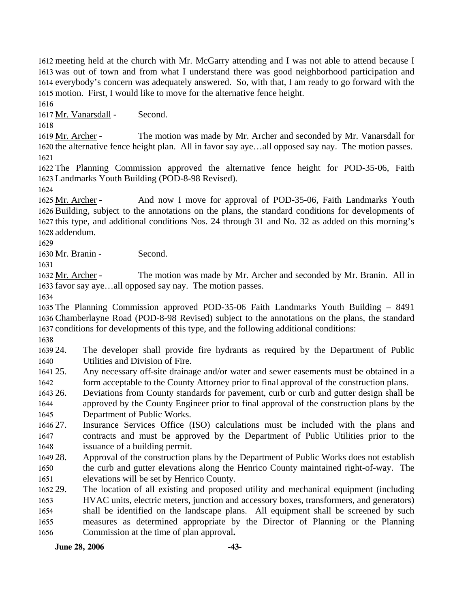meeting held at the church with Mr. McGarry attending and I was not able to attend because I was out of town and from what I understand there was good neighborhood participation and everybody's concern was adequately answered. So, with that, I am ready to go forward with the motion. First, I would like to move for the alternative fence height.

1616

1617 Mr. Vanarsdall - Second.

1618

The motion was made by Mr. Archer and seconded by Mr. Vanarsdall for 1620 the alternative fence height plan. All in favor say aye...all opposed say nay. The motion passes. 1619 Mr. Archer -1621

1622 The Planning Commission approved the alternative fence height for POD-35-06, Faith 1623 Landmarks Youth Building (POD-8-98 Revised).

1624

And now I move for approval of POD-35-06, Faith Landmarks Youth 1626 Building, subject to the annotations on the plans, the standard conditions for developments of 1627 this type, and additional conditions Nos. 24 through 31 and No. 32 as added on this morning's 1628 addendum. 1625 Mr. Archer -

1629

1630 Mr. Branin - Second.

1631

The motion was made by Mr. Archer and seconded by Mr. Branin. All in 1633 favor say aye...all opposed say nay. The motion passes. 1632 Mr. Archer -

1634

1635 The Planning Commission approved POD-35-06 Faith Landmarks Youth Building – 8491 1636 Chamberlayne Road (POD-8-98 Revised) subject to the annotations on the plans, the standard 1637 conditions for developments of this type, and the following additional conditions:

1638

1639 24. 1640 The developer shall provide fire hydrants as required by the Department of Public Utilities and Division of Fire.

- 1641 25. 1642 Any necessary off-site drainage and/or water and sewer easements must be obtained in a form acceptable to the County Attorney prior to final approval of the construction plans.
- 1643 26. 1644 1645 26. Deviations from County standards for pavement, curb or curb and gutter design shall be approved by the County Engineer prior to final approval of the construction plans by the Department of Public Works.
- 1646 27. 1647 1648 Insurance Services Office (ISO) calculations must be included with the plans and contracts and must be approved by the Department of Public Utilities prior to the issuance of a building permit.
- 1649 28. 1650 1651 Approval of the construction plans by the Department of Public Works does not establish the curb and gutter elevations along the Henrico County maintained right-of-way. The elevations will be set by Henrico County.
- 1652 29. 1653 1654 1655 1656 The location of all existing and proposed utility and mechanical equipment (including HVAC units, electric meters, junction and accessory boxes, transformers, and generators) shall be identified on the landscape plans. All equipment shall be screened by such measures as determined appropriate by the Director of Planning or the Planning Commission at the time of plan approval**.**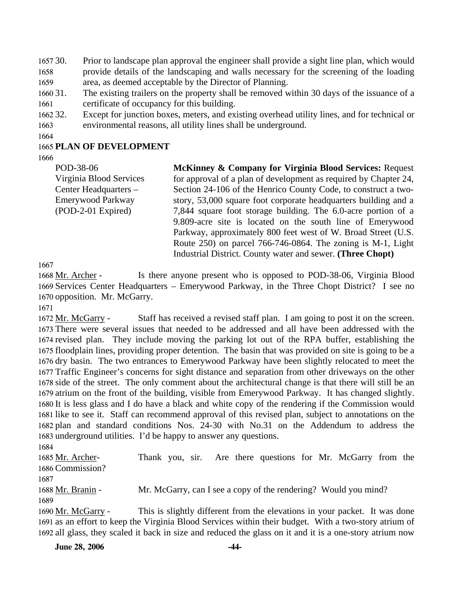$165730.$ 1658 1659 Prior to landscape plan approval the engineer shall provide a sight line plan, which would provide details of the landscaping and walls necessary for the screening of the loading area, as deemed acceptable by the Director of Planning.

- 1660 31. 1661 The existing trailers on the property shall be removed within 30 days of the issuance of a certificate of occupancy for this building.
- 1662 32. 1663 Except for junction boxes, meters, and existing overhead utility lines, and for technical or environmental reasons, all utility lines shall be underground.
- 1664

### 1665 **PLAN OF DEVELOPMENT**

1666

POD-38-06 Virginia Blood Services Center Headquarters – Emerywood Parkway (POD-2-01 Expired) **McKinney & Company for Virginia Blood Services:** Request for approval of a plan of development as required by Chapter 24, Section 24-106 of the Henrico County Code, to construct a twostory, 53,000 square foot corporate headquarters building and a 7,844 square foot storage building. The 6.0-acre portion of a 9.809-acre site is located on the south line of Emerywood Parkway, approximately 800 feet west of W. Broad Street (U.S. Route 250) on parcel 766-746-0864. The zoning is M-1, Light Industrial District. County water and sewer. **(Three Chopt)** 

1667

Is there anyone present who is opposed to POD-38-06, Virginia Blood 1669 Services Center Headquarters - Emerywood Parkway, in the Three Chopt District? I see no 1670 opposition. Mr. McGarry. 1668 Mr. Archer -

1671

Staff has received a revised staff plan. I am going to post it on the screen. 1673 There were several issues that needed to be addressed and all have been addressed with the 1674 revised plan. They include moving the parking lot out of the RPA buffer, establishing the 1675 floodplain lines, providing proper detention. The basin that was provided on site is going to be a 1676 dry basin. The two entrances to Emerywood Parkway have been slightly relocated to meet the 1677 Traffic Engineer's concerns for sight distance and separation from other driveways on the other 1678 side of the street. The only comment about the architectural change is that there will still be an 1679 atrium on the front of the building, visible from Emerywood Parkway. It has changed slightly. 1680 It is less glass and I do have a black and white copy of the rendering if the Commission would 1681 like to see it. Staff can recommend approval of this revised plan, subject to annotations on the 1682 plan and standard conditions Nos. 24-30 with No.31 on the Addendum to address the 1683 underground utilities. I'd be happy to answer any questions. 1672 Mr. McGarry -

1684

Thank you, sir. Are there questions for Mr. McGarry from the 1686 Commission? 1685 Mr. Archer-1687 1688 Mr. Branin - Mr. McGarry, can I see a copy of the rendering? Would you mind? 1689 This is slightly different from the elevations in your packet. It was done 1691 as an effort to keep the Virginia Blood Services within their budget. With a two-story atrium of 1690 Mr. McGarry -

1692 all glass, they scaled it back in size and reduced the glass on it and it is a one-story atrium now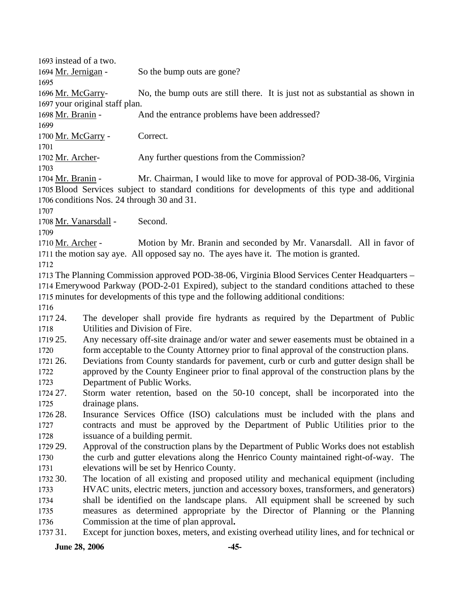1693 instead of a two. 1694 Mr. Jernigan - So the bump outs are gone? 1695 No, the bump outs are still there. It is just not as substantial as shown in 1697 your original staff plan. 1696 Mr. McGarry-1698 Mr. Branin - And the entrance problems have been addressed? 1699 1700 Mr. McGarry - Correct. 1701 1702 Mr. Archer- Any further questions from the Commission? 1703 Mr. Chairman, I would like to move for approval of POD-38-06, Virginia 1705 Blood Services subject to standard conditions for developments of this type and additional 1706 conditions Nos. 24 through 30 and 31. 1704 Mr. Branin -1707 1708 Mr. Vanarsdall - Second. 1709 Motion by Mr. Branin and seconded by Mr. Vanarsdall. All in favor of 1711 the motion say aye. All opposed say no. The ayes have it. The motion is granted. 1710 Mr. Archer -1712 1713 The Planning Commission approved POD-38-06, Virginia Blood Services Center Headquarters – 1714 Emerywood Parkway (POD-2-01 Expired), subject to the standard conditions attached to these 1715 minutes for developments of this type and the following additional conditions: 1716 1717 24 1718 1719 25. 1720 1721 26. 1722 1723 1724 27. 1725 1726 28. 1727 1728 1729 29. 1730 1731 1732 30. 1733 1734 1735 1736 1737 31. The developer shall provide fire hydrants as required by the Department of Public Utilities and Division of Fire. Any necessary off-site drainage and/or water and sewer easements must be obtained in a form acceptable to the County Attorney prior to final approval of the construction plans. 26. Deviations from County standards for pavement, curb or curb and gutter design shall be approved by the County Engineer prior to final approval of the construction plans by the Department of Public Works. 27. Storm water retention, based on the 50-10 concept, shall be incorporated into the drainage plans. Insurance Services Office (ISO) calculations must be included with the plans and contracts and must be approved by the Department of Public Utilities prior to the issuance of a building permit. Approval of the construction plans by the Department of Public Works does not establish the curb and gutter elevations along the Henrico County maintained right-of-way. The elevations will be set by Henrico County. 30. The location of all existing and proposed utility and mechanical equipment (including HVAC units, electric meters, junction and accessory boxes, transformers, and generators) shall be identified on the landscape plans. All equipment shall be screened by such measures as determined appropriate by the Director of Planning or the Planning Commission at the time of plan approval**.**  Except for junction boxes, meters, and existing overhead utility lines, and for technical or

#### **June 28, 2006** -45-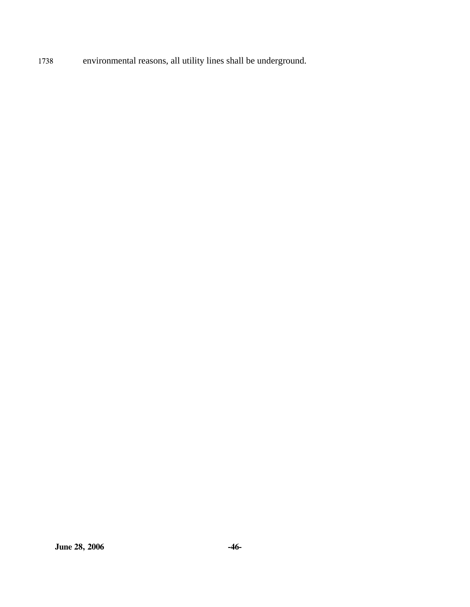1738 environmental reasons, all utility lines shall be underground.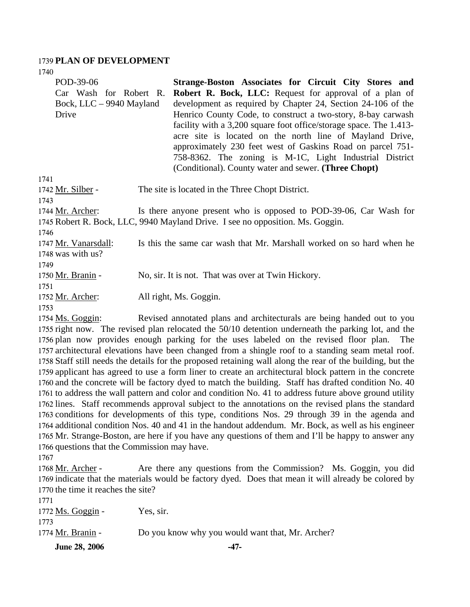#### 1739 **PLAN OF DEVELOPMENT**

1740

| POD-39-06<br>Car Wash for Robert R.<br>Bock, LLC – 9940 Mayland<br>Drive | Strange-Boston Associates for Circuit City Stores and<br><b>Robert R. Bock, LLC:</b> Request for approval of a plan of<br>development as required by Chapter 24, Section 24-106 of the<br>Henrico County Code, to construct a two-story, 8-bay carwash<br>facility with a 3,200 square foot office/storage space. The 1.413-<br>acre site is located on the north line of Mayland Drive,<br>approximately 230 feet west of Gaskins Road on parcel 751-<br>758-8362. The zoning is M-1C, Light Industrial District<br>(Conditional). County water and sewer. (Three Chopt) |
|--------------------------------------------------------------------------|---------------------------------------------------------------------------------------------------------------------------------------------------------------------------------------------------------------------------------------------------------------------------------------------------------------------------------------------------------------------------------------------------------------------------------------------------------------------------------------------------------------------------------------------------------------------------|
| 1741                                                                     |                                                                                                                                                                                                                                                                                                                                                                                                                                                                                                                                                                           |
| 1742 <u>Mr. Silber</u> -                                                 | The site is located in the Three Chopt District.                                                                                                                                                                                                                                                                                                                                                                                                                                                                                                                          |
| 1743<br>1744 Mr. Archer:                                                 | Is there anyone present who is opposed to POD-39-06, Car Wash for<br>1745 Robert R. Bock, LLC, 9940 Mayland Drive. I see no opposition. Ms. Goggin.                                                                                                                                                                                                                                                                                                                                                                                                                       |
| 1746<br>1747 Mr. Vanarsdall:<br>1748 was with us?                        | Is this the same car wash that Mr. Marshall worked on so hard when he                                                                                                                                                                                                                                                                                                                                                                                                                                                                                                     |
| 1749<br>1750 Mr. Branin -<br>1751                                        | No, sir. It is not. That was over at Twin Hickory.                                                                                                                                                                                                                                                                                                                                                                                                                                                                                                                        |
| 1752 Mr. Archer:<br>1753                                                 | All right, Ms. Goggin.                                                                                                                                                                                                                                                                                                                                                                                                                                                                                                                                                    |
| 1754 Ms. Goggin:                                                         | Revised annotated plans and architecturals are being handed out to you                                                                                                                                                                                                                                                                                                                                                                                                                                                                                                    |
|                                                                          |                                                                                                                                                                                                                                                                                                                                                                                                                                                                                                                                                                           |

1755 right now. The revised plan relocated the 50/10 detention underneath the parking lot, and the 1756 plan now provides enough parking for the uses labeled on the revised floor plan. The 1757 architectural elevations have been changed from a shingle roof to a standing seam metal roof. 1758 Staff still needs the details for the proposed retaining wall along the rear of the building, but the 1759 applicant has agreed to use a form liner to create an architectural block pattern in the concrete 1760 and the concrete will be factory dyed to match the building. Staff has drafted condition No. 40 1761 to address the wall pattern and color and condition No. 41 to address future above ground utility 1762 lines. Staff recommends approval subject to the annotations on the revised plans the standard 1763 conditions for developments of this type, conditions Nos. 29 through 39 in the agenda and 1764 additional condition Nos. 40 and 41 in the handout addendum. Mr. Bock, as well as his engineer 1765 Mr. Strange-Boston, are here if you have any questions of them and I'll be happy to answer any 1766 questions that the Commission may have.

1767

Are there any questions from the Commission? Ms. Goggin, you did 1769 indicate that the materials would be factory dyed. Does that mean it will already be colored by 1770 the time it reaches the site? 1768 Mr. Archer -

| <b>June 28, 2006</b> | -47-                                             |
|----------------------|--------------------------------------------------|
| 1774 Mr. Branin -    | Do you know why you would want that, Mr. Archer? |
| 1773                 |                                                  |
| 1772 Ms. Goggin -    | Yes, sir.                                        |
| 1771                 |                                                  |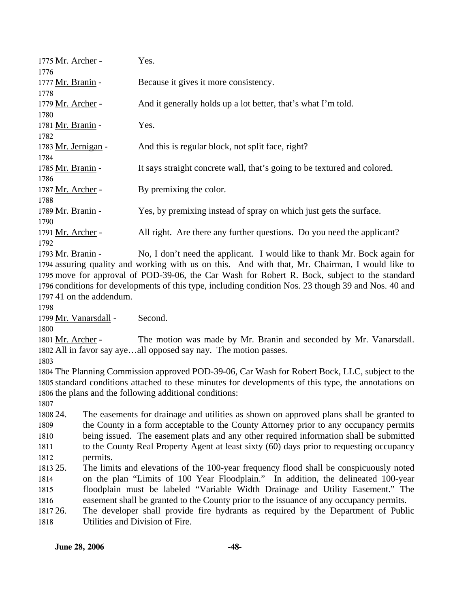| 1775 Mr. Archer -   | Yes.                                                                     |
|---------------------|--------------------------------------------------------------------------|
| 1776                |                                                                          |
| 1777 Mr. Branin -   | Because it gives it more consistency.                                    |
| 1778                |                                                                          |
| 1779 Mr. Archer -   | And it generally holds up a lot better, that's what I'm told.            |
| 1780                |                                                                          |
| 1781 Mr. Branin -   | Yes.                                                                     |
| 1782                |                                                                          |
| 1783 Mr. Jernigan - | And this is regular block, not split face, right?                        |
| 1784                |                                                                          |
| 1785 Mr. Branin -   | It says straight concrete wall, that's going to be textured and colored. |
| 1786                |                                                                          |
| 1787 Mr. Archer -   | By premixing the color.                                                  |
| 1788                |                                                                          |
| 1789 Mr. Branin -   | Yes, by premixing instead of spray on which just gets the surface.       |
| 1790                |                                                                          |
| 1791 Mr. Archer -   | All right. Are there any further questions. Do you need the applicant?   |
| 1792                |                                                                          |
| 1793 Mr. Branin -   | No, I don't need the applicant. I would like to thank Mr. Bock again for |

1794 assuring quality and working with us on this. And with that, Mr. Chairman, I would like to 1795 move for approval of POD-39-06, the Car Wash for Robert R. Bock, subject to the standard 1796 conditions for developments of this type, including condition Nos. 23 though 39 and Nos. 40 and 1797 41 on the addendum.

Mr. Vanarsdall - Second.

The motion was made by Mr. Branin and seconded by Mr. Vanarsdall. 1802 All in favor say aye...all opposed say nay. The motion passes. 1801 Mr. Archer -

 The Planning Commission approved POD-39-06, Car Wash for Robert Bock, LLC, subject to the standard conditions attached to these minutes for developments of this type, the annotations on the plans and the following additional conditions:

1808 24. 1813 25. 24. The easements for drainage and utilities as shown on approved plans shall be granted to the County in a form acceptable to the County Attorney prior to any occupancy permits being issued. The easement plats and any other required information shall be submitted to the County Real Property Agent at least sixty (60) days prior to requesting occupancy permits. The limits and elevations of the 100-year frequency flood shall be conspicuously noted

 on the plan "Limits of 100 Year Floodplain." In addition, the delineated 100-year floodplain must be labeled "Variable Width Drainage and Utility Easement." The easement shall be granted to the County prior to the issuance of any occupancy permits.

1817 26. 26. The developer shall provide fire hydrants as required by the Department of Public Utilities and Division of Fire.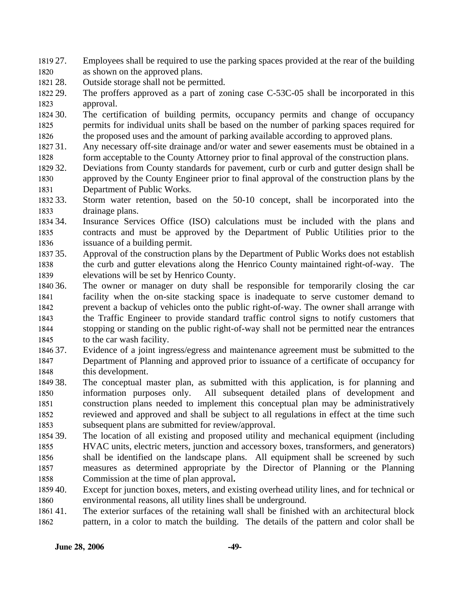1819 27. 1820 Employees shall be required to use the parking spaces provided at the rear of the building as shown on the approved plans.

1821 28. Outside storage shall not be permitted.

1822 29. 1823 The proffers approved as a part of zoning case C-53C-05 shall be incorporated in this approval.

1824 30. 1825 1826 The certification of building permits, occupancy permits and change of occupancy permits for individual units shall be based on the number of parking spaces required for the proposed uses and the amount of parking available according to approved plans.

1827 31. 1828 Any necessary off-site drainage and/or water and sewer easements must be obtained in a form acceptable to the County Attorney prior to final approval of the construction plans.

- 1829 32. 1830 1831 Deviations from County standards for pavement, curb or curb and gutter design shall be approved by the County Engineer prior to final approval of the construction plans by the Department of Public Works.
- 1832.33 1833 Storm water retention, based on the 50-10 concept, shall be incorporated into the drainage plans.
- 1834 34. 1835 1836 Insurance Services Office (ISO) calculations must be included with the plans and contracts and must be approved by the Department of Public Utilities prior to the issuance of a building permit.
- 1837 35. 1838 1839 Approval of the construction plans by the Department of Public Works does not establish the curb and gutter elevations along the Henrico County maintained right-of-way. The elevations will be set by Henrico County.
- 1840 36. 1841 1842 1843 1844 1845 The owner or manager on duty shall be responsible for temporarily closing the car facility when the on-site stacking space is inadequate to serve customer demand to prevent a backup of vehicles onto the public right-of-way. The owner shall arrange with the Traffic Engineer to provide standard traffic control signs to notify customers that stopping or standing on the public right-of-way shall not be permitted near the entrances to the car wash facility.
- 1846 37. 1847 1848 Evidence of a joint ingress/egress and maintenance agreement must be submitted to the Department of Planning and approved prior to issuance of a certificate of occupancy for this development.
- 1849 38. 1850 1851 1852 1853 The conceptual master plan, as submitted with this application, is for planning and information purposes only. All subsequent detailed plans of development and construction plans needed to implement this conceptual plan may be administratively reviewed and approved and shall be subject to all regulations in effect at the time such subsequent plans are submitted for review/approval.
- 1854 39. 1855 1856 1857 1858 The location of all existing and proposed utility and mechanical equipment (including HVAC units, electric meters, junction and accessory boxes, transformers, and generators) shall be identified on the landscape plans. All equipment shall be screened by such measures as determined appropriate by the Director of Planning or the Planning Commission at the time of plan approval**.**
- 1859 40. 1860 Except for junction boxes, meters, and existing overhead utility lines, and for technical or environmental reasons, all utility lines shall be underground.
- 1861 41. 1862 The exterior surfaces of the retaining wall shall be finished with an architectural block pattern, in a color to match the building. The details of the pattern and color shall be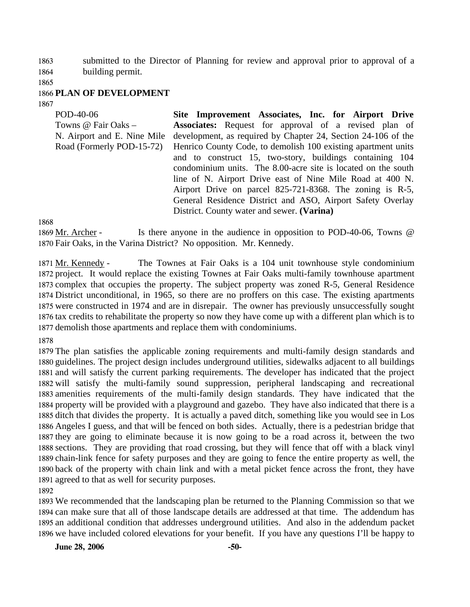1863 1864 submitted to the Director of Planning for review and approval prior to approval of a building permit.

1865

### 1866 **PLAN OF DEVELOPMENT**

1867

| POD-40-06                   | Site Improvement Associates, Inc. for Airport Drive           |
|-----------------------------|---------------------------------------------------------------|
| Towns @ Fair Oaks -         | <b>Associates:</b> Request for approval of a revised plan of  |
| N. Airport and E. Nine Mile | development, as required by Chapter 24, Section 24-106 of the |
| Road (Formerly POD-15-72)   | Henrico County Code, to demolish 100 existing apartment units |
|                             | and to construct 15, two-story, buildings containing 104      |
|                             | condominium units. The 8.00-acre site is located on the south |
|                             | line of N. Airport Drive east of Nine Mile Road at 400 N.     |
|                             | Airport Drive on parcel 825-721-8368. The zoning is R-5,      |
|                             | General Residence District and ASO, Airport Safety Overlay    |
|                             | District. County water and sewer. (Varina)                    |
| 1868                        |                                                               |

Is there anyone in the audience in opposition to POD-40-06, Towns  $\omega$ 1870 Fair Oaks, in the Varina District? No opposition. Mr. Kennedy. 1869 Mr. Archer -

The Townes at Fair Oaks is a 104 unit townhouse style condominium 1872 project. It would replace the existing Townes at Fair Oaks multi-family townhouse apartment 1873 complex that occupies the property. The subject property was zoned R-5, General Residence 1874 District unconditional, in 1965, so there are no proffers on this case. The existing apartments 1875 were constructed in 1974 and are in disrepair. The owner has previously unsuccessfully sought 1876 tax credits to rehabilitate the property so now they have come up with a different plan which is to 1877 demolish those apartments and replace them with condominiums. 1871 Mr. Kennedy -

1878

 The plan satisfies the applicable zoning requirements and multi-family design standards and guidelines. The project design includes underground utilities, sidewalks adjacent to all buildings and will satisfy the current parking requirements. The developer has indicated that the project will satisfy the multi-family sound suppression, peripheral landscaping and recreational amenities requirements of the multi-family design standards. They have indicated that the property will be provided with a playground and gazebo. They have also indicated that there is a ditch that divides the property. It is actually a paved ditch, something like you would see in Los Angeles I guess, and that will be fenced on both sides. Actually, there is a pedestrian bridge that they are going to eliminate because it is now going to be a road across it, between the two sections. They are providing that road crossing, but they will fence that off with a black vinyl chain-link fence for safety purposes and they are going to fence the entire property as well, the back of the property with chain link and with a metal picket fence across the front, they have agreed to that as well for security purposes.

1892

 We recommended that the landscaping plan be returned to the Planning Commission so that we can make sure that all of those landscape details are addressed at that time. The addendum has an additional condition that addresses underground utilities. And also in the addendum packet we have included colored elevations for your benefit. If you have any questions I'll be happy to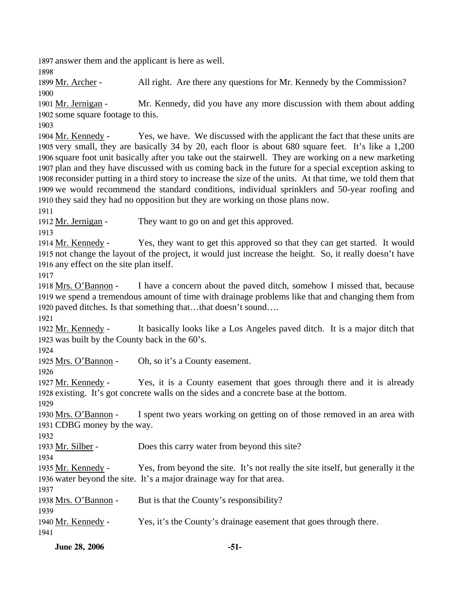1897 answer them and the applicant is here as well.

1898

1899 Mr. Archer - All right. Are there any questions for Mr. Kennedy by the Commission? 1900

Mr. Kennedy, did you have any more discussion with them about adding 1902 some square footage to this. 1901 Mr. Jernigan -

1903

Yes, we have. We discussed with the applicant the fact that these units are 1905 very small, they are basically 34 by 20, each floor is about 680 square feet. It's like a 1,200 1906 square foot unit basically after you take out the stairwell. They are working on a new marketing 1907 plan and they have discussed with us coming back in the future for a special exception asking to 1908 reconsider putting in a third story to increase the size of the units. At that time, we told them that 1909 we would recommend the standard conditions, individual sprinklers and 50-year roofing and 1910 they said they had no opposition but they are working on those plans now. 1904 Mr. Kennedy -

1911

1912 Mr. Jernigan - They want to go on and get this approved.

1913

Yes, they want to get this approved so that they can get started. It would 1915 not change the layout of the project, it would just increase the height. So, it really doesn't have 1916 any effect on the site plan itself. 1914 Mr. Kennedy -

1917

I have a concern about the paved ditch, somehow I missed that, because 1919 we spend a tremendous amount of time with drainage problems like that and changing them from 1920 paved ditches. Is that something that…that doesn't sound…. 1918 Mrs. O'Bannon -

1921

It basically looks like a Los Angeles paved ditch. It is a major ditch that 1923 was built by the County back in the 60's. 1922 Mr. Kennedy -

1924

1925 Mrs. O'Bannon - Oh, so it's a County easement.

1926

Yes, it is a County easement that goes through there and it is already 1928 existing. It's got concrete walls on the sides and a concrete base at the bottom. 1927 Mr. Kennedy -

1929

I spent two years working on getting on of those removed in an area with 1931 CDBG money by the way. 1930 Mrs. O'Bannon -

1932

1933 Mr. Silber - Does this carry water from beyond this site?

1934

Yes, from beyond the site. It's not really the site itself, but generally it the 1936 water beyond the site. It's a major drainage way for that area. 1935 Mr. Kennedy -

1937

1938 Mrs. O'Bannon - But is that the County's responsibility?

1939

1940 <u>Mr. Kennedy</u> - Yes, it's the County's drainage easement that goes through there.

1941

**June 28, 2006** -51-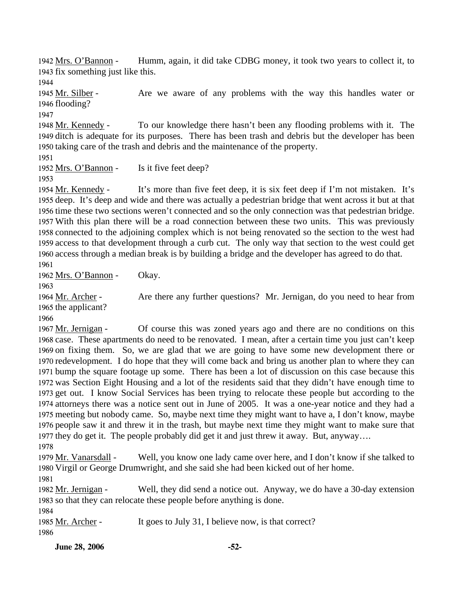Humm, again, it did take CDBG money, it took two years to collect it, to 1943 fix something just like this. 1942 Mrs. O'Bannon -

1944

Are we aware of any problems with the way this handles water or 1946 flooding? 1945 Mr. Silber -

1947

To our knowledge there hasn't been any flooding problems with it. The 1949 ditch is adequate for its purposes. There has been trash and debris but the developer has been 1950 taking care of the trash and debris and the maintenance of the property. 1948 Mr. Kennedy -

1951

1952 Mrs. O'Bannon - Is it five feet deep?

1953

It's more than five feet deep, it is six feet deep if I'm not mistaken. It's 1955 deep. It's deep and wide and there was actually a pedestrian bridge that went across it but at that 1956 time these two sections weren't connected and so the only connection was that pedestrian bridge. 1957 With this plan there will be a road connection between these two units. This was previously 1958 connected to the adjoining complex which is not being renovated so the section to the west had 1959 access to that development through a curb cut. The only way that section to the west could get 1960 access through a median break is by building a bridge and the developer has agreed to do that. 1954 Mr. Kennedy -1961

1962 Mrs. O'Bannon - Okay.

1963

Are there any further questions? Mr. Jernigan, do you need to hear from 1965 the applicant? 1964 Mr. Archer -

1966

Of course this was zoned years ago and there are no conditions on this 1968 case. These apartments do need to be renovated. I mean, after a certain time you just can't keep 1969 on fixing them. So, we are glad that we are going to have some new development there or 1970 redevelopment. I do hope that they will come back and bring us another plan to where they can 1971 bump the square footage up some. There has been a lot of discussion on this case because this 1972 was Section Eight Housing and a lot of the residents said that they didn't have enough time to 1973 get out. I know Social Services has been trying to relocate these people but according to the 1974 attorneys there was a notice sent out in June of 2005. It was a one-year notice and they had a 1975 meeting but nobody came. So, maybe next time they might want to have a, I don't know, maybe 1976 people saw it and threw it in the trash, but maybe next time they might want to make sure that 1977 they do get it. The people probably did get it and just threw it away. But, anyway.... 1967 Mr. Jernigan -1978

Well, you know one lady came over here, and I don't know if she talked to 1980 Virgil or George Drumwright, and she said she had been kicked out of her home. 1979 Mr. Vanarsdall -

1981

Well, they did send a notice out. Anyway, we do have a 30-day extension 1983 so that they can relocate these people before anything is done. 1982 Mr. Jernigan -

1984

1985 Mr. Archer - It goes to July 31, I believe now, is that correct?

1986

**June 28, 2006** -52-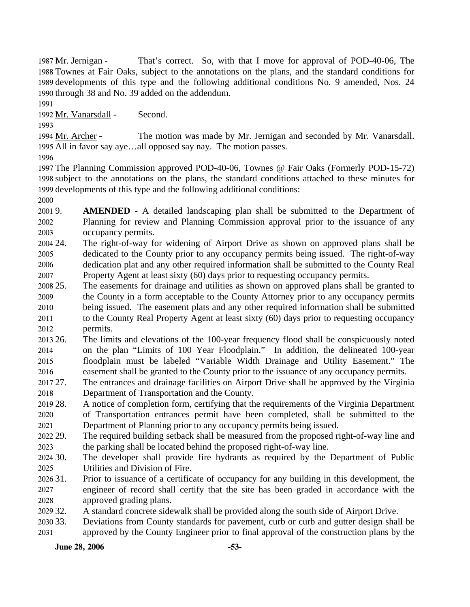That's correct. So, with that I move for approval of POD-40-06, The 1988 Townes at Fair Oaks, subject to the annotations on the plans, and the standard conditions for 1989 developments of this type and the following additional conditions No. 9 amended, Nos. 24 1990 through 38 and No. 39 added on the addendum. 1987 Mr. Jernigan -

1991

1992 Mr. Vanarsdall - Second.

1993

The motion was made by Mr. Jernigan and seconded by Mr. Vanarsdall. 1995 All in favor say aye...all opposed say nay. The motion passes. 1994 Mr. Archer -

1996

1997 The Planning Commission approved POD-40-06, Townes @ Fair Oaks (Formerly POD-15-72) 1998 subject to the annotations on the plans, the standard conditions attached to these minutes for 1999 developments of this type and the following additional conditions:

2000

2001 9. 2002 2003 AMENDED - A detailed landscaping plan shall be submitted to the Department of Planning for review and Planning Commission approval prior to the issuance of any occupancy permits.

2004 24. 2005 2006 2007 The right-of-way for widening of Airport Drive as shown on approved plans shall be dedicated to the County prior to any occupancy permits being issued. The right-of-way dedication plat and any other required information shall be submitted to the County Real Property Agent at least sixty (60) days prior to requesting occupancy permits.

2008 25. 2009 2010 2011 2012 25. The easements for drainage and utilities as shown on approved plans shall be granted to the County in a form acceptable to the County Attorney prior to any occupancy permits being issued. The easement plats and any other required information shall be submitted to the County Real Property Agent at least sixty (60) days prior to requesting occupancy permits.

2013 26. 2014 2015 2016 26. The limits and elevations of the 100-year frequency flood shall be conspicuously noted on the plan "Limits of 100 Year Floodplain." In addition, the delineated 100-year floodplain must be labeled "Variable Width Drainage and Utility Easement." The easement shall be granted to the County prior to the issuance of any occupancy permits.

- 2017 27. 2018 The entrances and drainage facilities on Airport Drive shall be approved by the Virginia Department of Transportation and the County.
- 2019 28. 2020 2021 28. A notice of completion form, certifying that the requirements of the Virginia Department of Transportation entrances permit have been completed, shall be submitted to the Department of Planning prior to any occupancy permits being issued.
- 2022 29. 2023 The required building setback shall be measured from the proposed right-of-way line and the parking shall be located behind the proposed right-of-way line.

 $202430$ . 2025 The developer shall provide fire hydrants as required by the Department of Public Utilities and Division of Fire.

- 2026 31. 2027 2028 31. Prior to issuance of a certificate of occupancy for any building in this development, the engineer of record shall certify that the site has been graded in accordance with the approved grading plans.
- 2029 32. A standard concrete sidewalk shall be provided along the south side of Airport Drive.
- 2030 33. 2031 Deviations from County standards for pavement, curb or curb and gutter design shall be approved by the County Engineer prior to final approval of the construction plans by the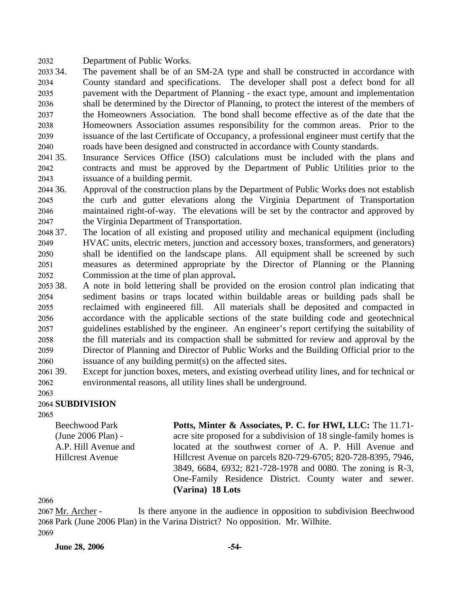2032 Department of Public Works.

- 2033 34. 2034 2035 2036 2037 2038 2039 2040 The pavement shall be of an SM-2A type and shall be constructed in accordance with County standard and specifications. The developer shall post a defect bond for all pavement with the Department of Planning - the exact type, amount and implementation shall be determined by the Director of Planning, to protect the interest of the members of the Homeowners Association. The bond shall become effective as of the date that the Homeowners Association assumes responsibility for the common areas. Prior to the issuance of the last Certificate of Occupancy, a professional engineer must certify that the roads have been designed and constructed in accordance with County standards.
- 2041 35. 2042 2043 Insurance Services Office (ISO) calculations must be included with the plans and contracts and must be approved by the Department of Public Utilities prior to the issuance of a building permit.
- 2044 36. 2045 2046 2047 Approval of the construction plans by the Department of Public Works does not establish the curb and gutter elevations along the Virginia Department of Transportation maintained right-of-way. The elevations will be set by the contractor and approved by the Virginia Department of Transportation.
- 2048 37. 2049 2050 2051 2052 The location of all existing and proposed utility and mechanical equipment (including HVAC units, electric meters, junction and accessory boxes, transformers, and generators) shall be identified on the landscape plans. All equipment shall be screened by such measures as determined appropriate by the Director of Planning or the Planning Commission at the time of plan approval**.**
- 2053 38. 2054 2055 2056 2057 2058 2059 2060 38. A note in bold lettering shall be provided on the erosion control plan indicating that sediment basins or traps located within buildable areas or building pads shall be reclaimed with engineered fill. All materials shall be deposited and compacted in accordance with the applicable sections of the state building code and geotechnical guidelines established by the engineer. An engineer's report certifying the suitability of the fill materials and its compaction shall be submitted for review and approval by the Director of Planning and Director of Public Works and the Building Official prior to the issuance of any building permit(s) on the affected sites.
- 2061 39. 2062 Except for junction boxes, meters, and existing overhead utility lines, and for technical or environmental reasons, all utility lines shall be underground.
- 2063

## 2064 **SUBDIVISION**

2065

Beechwood Park (June 2006 Plan) - A.P. Hill Avenue and Hillcrest Avenue

**Potts, Minter & Associates, P. C. for HWI, LLC:** The 11.71 acre site proposed for a subdivision of 18 single-family homes is located at the southwest corner of A. P. Hill Avenue and Hillcrest Avenue on parcels 820-729-6705; 820-728-8395, 7946, 3849, 6684, 6932; 821-728-1978 and 0080. The zoning is R-3, One-Family Residence District. County water and sewer. **(Varina) 18 Lots**

2066

Is there anyone in the audience in opposition to subdivision Beechwood 2068 Park (June 2006 Plan) in the Varina District? No opposition. Mr. Wilhite. 2067 Mr. Archer -2069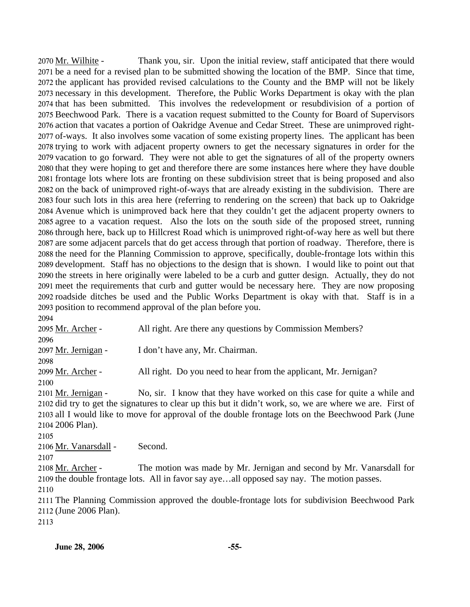Thank you, sir. Upon the initial review, staff anticipated that there would 2071 be a need for a revised plan to be submitted showing the location of the BMP. Since that time, 2072 the applicant has provided revised calculations to the County and the BMP will not be likely 2073 necessary in this development. Therefore, the Public Works Department is okay with the plan 2074 that has been submitted. This involves the redevelopment or resubdivision of a portion of 2075 Beechwood Park. There is a vacation request submitted to the County for Board of Supervisors 2076 action that vacates a portion of Oakridge Avenue and Cedar Street. These are unimproved right-2077 of-ways. It also involves some vacation of some existing property lines. The applicant has been 2078 trying to work with adjacent property owners to get the necessary signatures in order for the 2079 vacation to go forward. They were not able to get the signatures of all of the property owners 2080 that they were hoping to get and therefore there are some instances here where they have double 2081 frontage lots where lots are fronting on these subdivision street that is being proposed and also 2082 on the back of unimproved right-of-ways that are already existing in the subdivision. There are 2083 four such lots in this area here (referring to rendering on the screen) that back up to Oakridge 2084 Avenue which is unimproved back here that they couldn't get the adjacent property owners to 2085 agree to a vacation request. Also the lots on the south side of the proposed street, running 2086 through here, back up to Hillcrest Road which is unimproved right-of-way here as well but there 2087 are some adjacent parcels that do get access through that portion of roadway. Therefore, there is 2088 the need for the Planning Commission to approve, specifically, double-frontage lots within this 2089 development. Staff has no objections to the design that is shown. I would like to point out that 2090 the streets in here originally were labeled to be a curb and gutter design. Actually, they do not 2091 meet the requirements that curb and gutter would be necessary here. They are now proposing 2092 roadside ditches be used and the Public Works Department is okay with that. Staff is in a 2093 position to recommend approval of the plan before you. 2070 Mr. Wilhite -

2094 2095 Mr. Archer - All right. Are there any questions by Commission Members? 2096 2097 Mr. Jernigan - I don't have any, Mr. Chairman. 2098 2099 Mr. Archer - All right. Do you need to hear from the applicant, Mr. Jernigan? 2100 No, sir. I know that they have worked on this case for quite a while and 2102 did try to get the signatures to clear up this but it didn't work, so, we are where we are. First of 2103 all I would like to move for approval of the double frontage lots on the Beechwood Park (June 2104 2006 Plan). 2101 Mr. Jernigan -2105 2106 Mr. Vanarsdall - Second. 2107 The motion was made by Mr. Jernigan and second by Mr. Vanarsdall for 2109 the double frontage lots. All in favor say aye...all opposed say nay. The motion passes. 2108 Mr. Archer -2110 2111 The Planning Commission approved the double-frontage lots for subdivision Beechwood Park 2112 (June 2006 Plan). 2113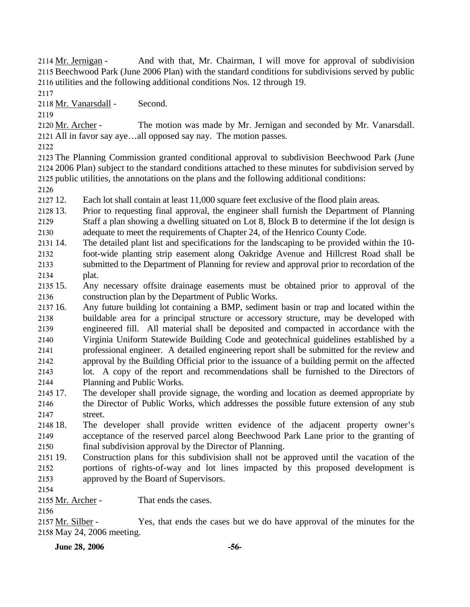And with that, Mr. Chairman, I will move for approval of subdivision 2115 Beechwood Park (June 2006 Plan) with the standard conditions for subdivisions served by public 2116 utilities and the following additional conditions Nos. 12 through 19. 2114 Mr. Jernigan -

2117

2118 Mr. Vanarsdall - Second.

2119

The motion was made by Mr. Jernigan and seconded by Mr. Vanarsdall. All in favor say aye…all opposed say nay. The motion passes. 2121 2120 Mr. Archer -

2122

2123 The Planning Commission granted conditional approval to subdivision Beechwood Park (June 2124 2006 Plan) subject to the standard conditions attached to these minutes for subdivision served by 2125 public utilities, the annotations on the plans and the following additional conditions:

2126

2127 12 Each lot shall contain at least 11,000 square feet exclusive of the flood plain areas.

2128 13. 2129 2130 Prior to requesting final approval, the engineer shall furnish the Department of Planning Staff a plan showing a dwelling situated on Lot 8, Block B to determine if the lot design is adequate to meet the requirements of Chapter 24, of the Henrico County Code.

2131 14. 2132 2133 2134 The detailed plant list and specifications for the landscaping to be provided within the 10foot-wide planting strip easement along Oakridge Avenue and Hillcrest Road shall be submitted to the Department of Planning for review and approval prior to recordation of the plat.

2135 15. 2136 15. Any necessary offsite drainage easements must be obtained prior to approval of the construction plan by the Department of Public Works.

2137 16. 2138 2139 2140 2141 2142 2143 16. Any future building lot containing a BMP, sediment basin or trap and located within the buildable area for a principal structure or accessory structure, may be developed with engineered fill. All material shall be deposited and compacted in accordance with the Virginia Uniform Statewide Building Code and geotechnical guidelines established by a professional engineer. A detailed engineering report shall be submitted for the review and approval by the Building Official prior to the issuance of a building permit on the affected lot. A copy of the report and recommendations shall be furnished to the Directors of

- 2144 Planning and Public Works.
- 2145 17. 2146 2147 The developer shall provide signage, the wording and location as deemed appropriate by the Director of Public Works, which addresses the possible future extension of any stub street.

2148 18. 2149 2150 The developer shall provide written evidence of the adjacent property owner's acceptance of the reserved parcel along Beechwood Park Lane prior to the granting of final subdivision approval by the Director of Planning.

- 2151 19. 2152 2153 19. Construction plans for this subdivision shall not be approved until the vacation of the portions of rights-of-way and lot lines impacted by this proposed development is approved by the Board of Supervisors.
- 2154

2155 Mr. Archer - That ends the cases.

2156

Yes, that ends the cases but we do have approval of the minutes for the 2158 May 24, 2006 meeting. 2157 Mr. Silber -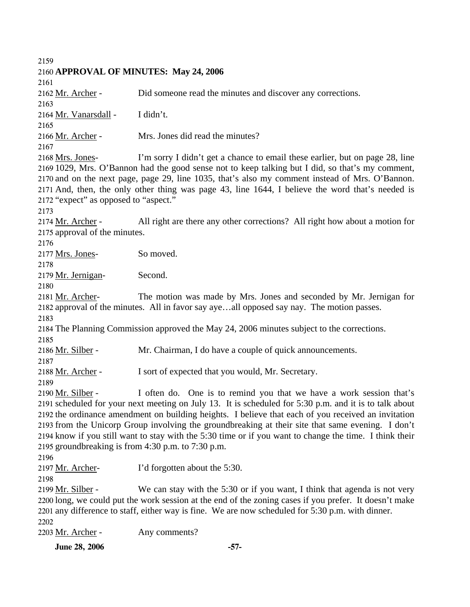**June 28, 2006** -57-2159 2160 **APPROVAL OF MINUTES: May 24, 2006**  2161 2162 Mr. Archer - Did someone read the minutes and discover any corrections. 2163 2164 Mr. Vanarsdall - I didn't. 2165 2166 Mr. Archer - Mrs. Jones did read the minutes? 2167 I'm sorry I didn't get a chance to email these earlier, but on page 28, line 2169 1029, Mrs. O'Bannon had the good sense not to keep talking but I did, so that's my comment, 2170 and on the next page, page 29, line 1035, that's also my comment instead of Mrs. O'Bannon. 2171 And, then, the only other thing was page 43, line 1644, I believe the word that's needed is 2172 "expect" as opposed to "aspect." 2168 Mrs. Jones-2173 All right are there any other corrections? All right how about a motion for 2175 approval of the minutes. 2174 Mr. Archer -2176 2177 Mrs. Jones- So moved. 2178 2179 Mr. Jernigan- Second. 2180 The motion was made by Mrs. Jones and seconded by Mr. Jernigan for 2182 approval of the minutes. All in favor say aye...all opposed say nay. The motion passes. 2181 Mr. Archer-2183 2184 The Planning Commission approved the May 24, 2006 minutes subject to the corrections. 2185 2186 Mr. Silber - Mr. Chairman, I do have a couple of quick announcements. 2187 2188 Mr. Archer - I sort of expected that you would, Mr. Secretary. 2189 I often do. One is to remind you that we have a work session that's 2191 scheduled for your next meeting on July 13. It is scheduled for 5:30 p.m. and it is to talk about 2192 the ordinance amendment on building heights. I believe that each of you received an invitation 2193 from the Unicorp Group involving the groundbreaking at their site that same evening. I don't 2194 know if you still want to stay with the 5:30 time or if you want to change the time. I think their 2195 groundbreaking is from  $4:30$  p.m. to  $7:30$  p.m. 2190 Mr. Silber -2196 2197 Mr. Archer- I'd forgotten about the 5:30. 2198 We can stay with the 5:30 or if you want, I think that agenda is not very 2200 long, we could put the work session at the end of the zoning cases if you prefer. It doesn't make 2201 any difference to staff, either way is fine. We are now scheduled for 5:30 p.m. with dinner. 2199 Mr. Silber -2202 2203 Mr. Archer - Any comments?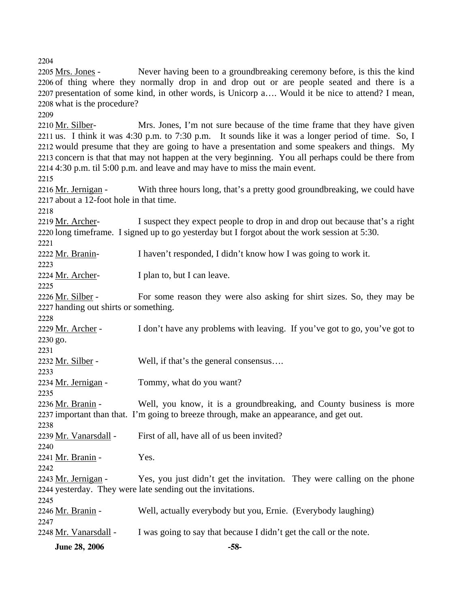**June 28, 2006** -58-2204 Never having been to a groundbreaking ceremony before, is this the kind 2206 of thing where they normally drop in and drop out or are people seated and there is a 2207 presentation of some kind, in other words, is Unicorp a.... Would it be nice to attend? I mean, 2208 what is the procedure? 2205 Mrs. Jones -2209 Mrs. Jones, I'm not sure because of the time frame that they have given 2211 us. I think it was 4:30 p.m. to 7:30 p.m. It sounds like it was a longer period of time. So, I 2212 would presume that they are going to have a presentation and some speakers and things. My 2213 concern is that that may not happen at the very beginning. You all perhaps could be there from 4:30 p.m. til 5:00 p.m. and leave and may have to miss the main event. 2214 2210 Mr. Silber-2215 With three hours long, that's a pretty good groundbreaking, we could have 2217 about a 12-foot hole in that time. 2216 Mr. Jernigan -2218 I suspect they expect people to drop in and drop out because that's a right  $2220$  long timeframe. I signed up to go yesterday but I forgot about the work session at  $5:30$ . 2219 Mr. Archer-2221 2222 Mr. Branin- I haven't responded, I didn't know how I was going to work it. 2223 2224 Mr. Archer- I plan to, but I can leave. 2225 For some reason they were also asking for shirt sizes. So, they may be 2227 handing out shirts or something. 2226 Mr. Silber -2228 I don't have any problems with leaving. If you've got to go, you've got to 2230 go. 2229 Mr. Archer -2231 2232 Mr. Silber - Well, if that's the general consensus.... 2233 2234 Mr. Jernigan - Tommy, what do you want? 2235 Well, you know, it is a groundbreaking, and County business is more 2237 important than that. I'm going to breeze through, make an appearance, and get out. 2236 Mr. Branin -2238 2239 Mr. Vanarsdall - First of all, have all of us been invited? 2240 2241 Mr. Branin - Yes. 2242 Yes, you just didn't get the invitation. They were calling on the phone 2244 yesterday. They were late sending out the invitations. 2243 Mr. Jernigan -2245 2246 Mr. Branin - Well, actually everybody but you, Ernie. (Everybody laughing) 2247 2248 Mr. Vanarsdall - I was going to say that because I didn't get the call or the note.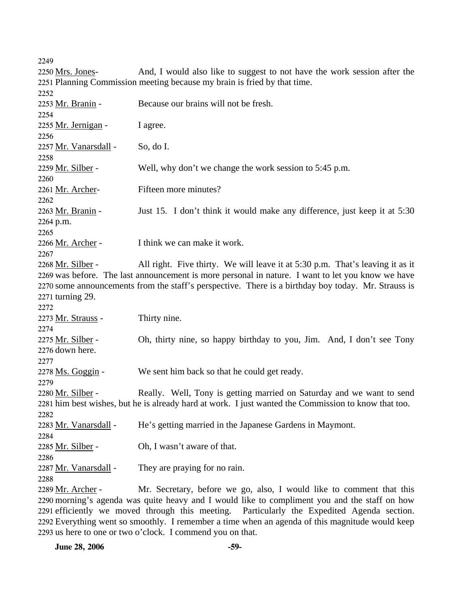| 2250 Mrs. Jones-                                                                                | And, I would also like to suggest to not have the work session after the                             |  |  |
|-------------------------------------------------------------------------------------------------|------------------------------------------------------------------------------------------------------|--|--|
|                                                                                                 | 2251 Planning Commission meeting because my brain is fried by that time.                             |  |  |
| 2252                                                                                            |                                                                                                      |  |  |
| 2253 Mr. Branin -                                                                               | Because our brains will not be fresh.                                                                |  |  |
| 2254                                                                                            |                                                                                                      |  |  |
| 2255 Mr. Jernigan -                                                                             | I agree.                                                                                             |  |  |
| 2256                                                                                            |                                                                                                      |  |  |
| 2257 Mr. Vanarsdall -                                                                           | So, do I.                                                                                            |  |  |
| 2258                                                                                            |                                                                                                      |  |  |
| 2259 Mr. Silber -<br>2260                                                                       | Well, why don't we change the work session to 5:45 p.m.                                              |  |  |
| 2261 Mr. Archer-                                                                                | Fifteen more minutes?                                                                                |  |  |
| 2262                                                                                            |                                                                                                      |  |  |
|                                                                                                 | Just 15. I don't think it would make any difference, just keep it at 5:30                            |  |  |
| 2263 <u>Mr. Branin</u> -                                                                        |                                                                                                      |  |  |
| 2264 p.m.                                                                                       |                                                                                                      |  |  |
| 2265                                                                                            | I think we can make it work.                                                                         |  |  |
| 2266 Mr. Archer -<br>2267                                                                       |                                                                                                      |  |  |
| <u>2268 Mr. Silber</u> -                                                                        | All right. Five thirty. We will leave it at 5:30 p.m. That's leaving it as it                        |  |  |
|                                                                                                 | 2269 was before. The last announcement is more personal in nature. I want to let you know we have    |  |  |
|                                                                                                 | 2270 some announcements from the staff's perspective. There is a birthday boy today. Mr. Strauss is  |  |  |
| 2271 turning 29.                                                                                |                                                                                                      |  |  |
| 2272                                                                                            |                                                                                                      |  |  |
| 2273 Mr. Strauss -                                                                              | Thirty nine.                                                                                         |  |  |
| 2274                                                                                            |                                                                                                      |  |  |
| 2275 Mr. Silber -                                                                               | Oh, thirty nine, so happy birthday to you, Jim. And, I don't see Tony                                |  |  |
| 2276 down here.                                                                                 |                                                                                                      |  |  |
| 2277                                                                                            |                                                                                                      |  |  |
| 2278 Ms. Goggin -                                                                               | We sent him back so that he could get ready.                                                         |  |  |
| 2279                                                                                            |                                                                                                      |  |  |
| 2280 Mr. Silber -                                                                               | Really. Well, Tony is getting married on Saturday and we want to send                                |  |  |
|                                                                                                 | 2281 him best wishes, but he is already hard at work. I just wanted the Commission to know that too. |  |  |
| 2282                                                                                            |                                                                                                      |  |  |
|                                                                                                 |                                                                                                      |  |  |
| 2283 Mr. Vanarsdall -                                                                           | He's getting married in the Japanese Gardens in Maymont.                                             |  |  |
| 2284                                                                                            |                                                                                                      |  |  |
| 2285 Mr. Silber -                                                                               | Oh, I wasn't aware of that.                                                                          |  |  |
| 2286                                                                                            |                                                                                                      |  |  |
| 2287 Mr. Vanarsdall -                                                                           | They are praying for no rain.                                                                        |  |  |
| 2288                                                                                            |                                                                                                      |  |  |
| 2289 Mr. Archer -                                                                               | Mr. Secretary, before we go, also, I would like to comment that this                                 |  |  |
| 2290 morning's agenda was quite heavy and I would like to compliment you and the staff on how   |                                                                                                      |  |  |
|                                                                                                 | 2291 efficiently we moved through this meeting.<br>Particularly the Expedited Agenda section.        |  |  |
| 2292 Everything went so smoothly. I remember a time when an agenda of this magnitude would keep |                                                                                                      |  |  |

2293 us here to one or two o'clock. I commend you on that.